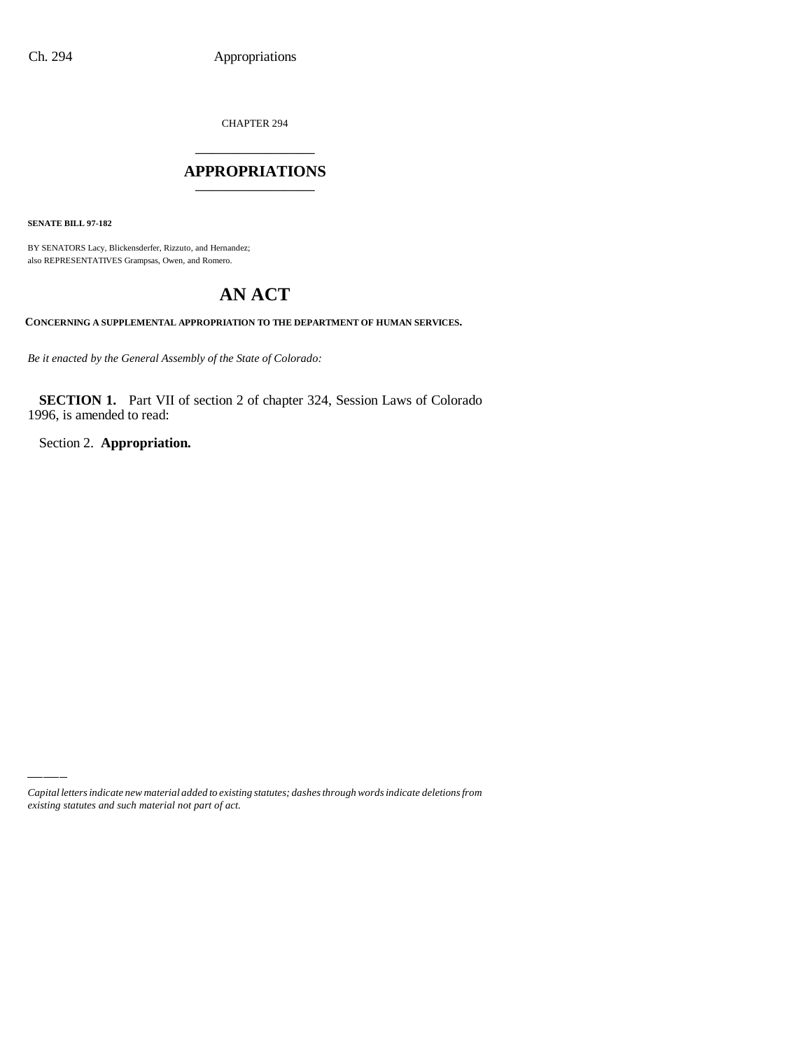CHAPTER 294 \_\_\_\_\_\_\_\_\_\_\_\_\_\_\_

### **APPROPRIATIONS** \_\_\_\_\_\_\_\_\_\_\_\_\_\_\_

**SENATE BILL 97-182**

BY SENATORS Lacy, Blickensderfer, Rizzuto, and Hernandez; also REPRESENTATIVES Grampsas, Owen, and Romero.

# **AN ACT**

**CONCERNING A SUPPLEMENTAL APPROPRIATION TO THE DEPARTMENT OF HUMAN SERVICES.**

*Be it enacted by the General Assembly of the State of Colorado:*

**SECTION 1.** Part VII of section 2 of chapter 324, Session Laws of Colorado 1996, is amended to read:

Section 2. **Appropriation.**

*Capital letters indicate new material added to existing statutes; dashes through words indicate deletions from existing statutes and such material not part of act.*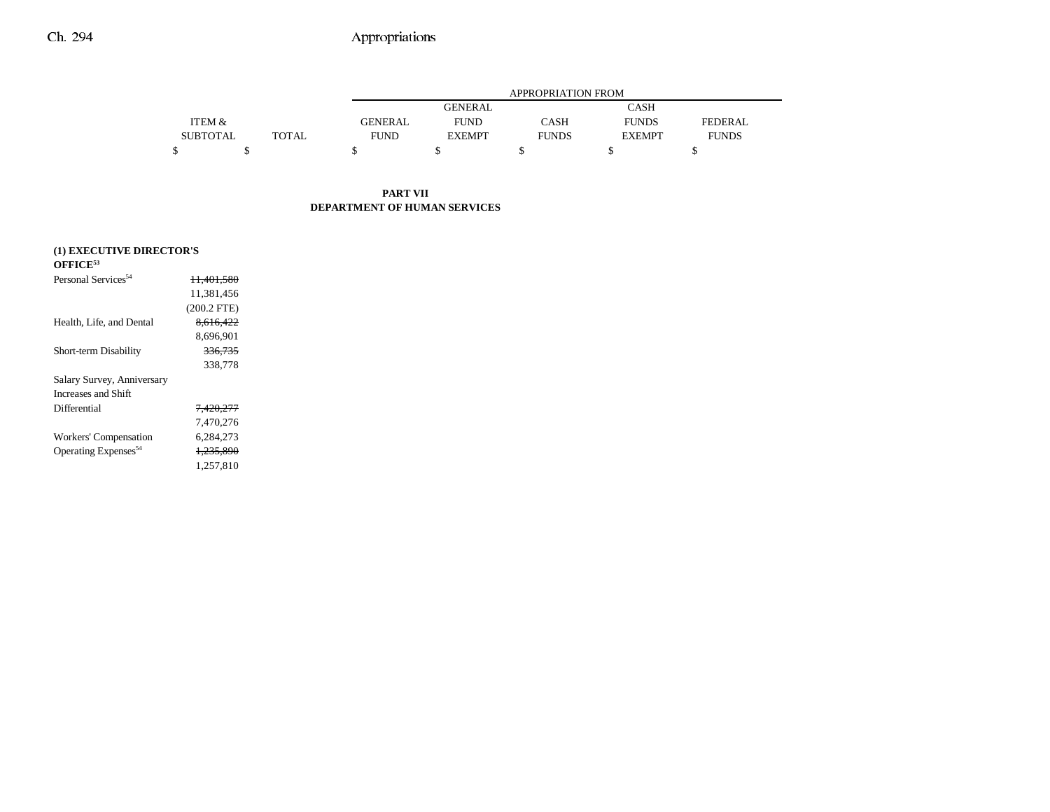|                 |              |                | APPROPRIATION FROM |              |               |                |  |  |  |  |
|-----------------|--------------|----------------|--------------------|--------------|---------------|----------------|--|--|--|--|
|                 |              |                | <b>GENERAL</b>     |              | CASH          |                |  |  |  |  |
| ITEM &          |              | <b>GENERAL</b> | <b>FUND</b>        | CASH         | <b>FUNDS</b>  | <b>FEDERAL</b> |  |  |  |  |
| <b>SUBTOTAL</b> | <b>TOTAL</b> | FUND           | <b>EXEMPT</b>      | <b>FUNDS</b> | <b>EXEMPT</b> | <b>FUNDS</b>   |  |  |  |  |
|                 |              |                |                    |              |               |                |  |  |  |  |

### **PART VII DEPARTMENT OF HUMAN SERVICES**

| (1) EXECUTIVE DIRECTOR'S         |                       |
|----------------------------------|-----------------------|
| $\rm OFFICE^{53}$                |                       |
| Personal Services <sup>54</sup>  | <del>11.401.580</del> |
|                                  | 11,381,456            |
|                                  | $(200.2$ FTE)         |
| Health, Life, and Dental         | 8.616.422             |
|                                  | 8.696.901             |
| Short-term Disability            | 336.735               |
|                                  | 338,778               |
| Salary Survey, Anniversary       |                       |
| Increases and Shift              |                       |
| Differential                     | <del>7.420.277</del>  |
|                                  | 7.470.276             |
| Workers' Compensation            | 6.284.273             |
| Operating Expenses <sup>54</sup> | 1.235.890             |
|                                  | 1,257,810             |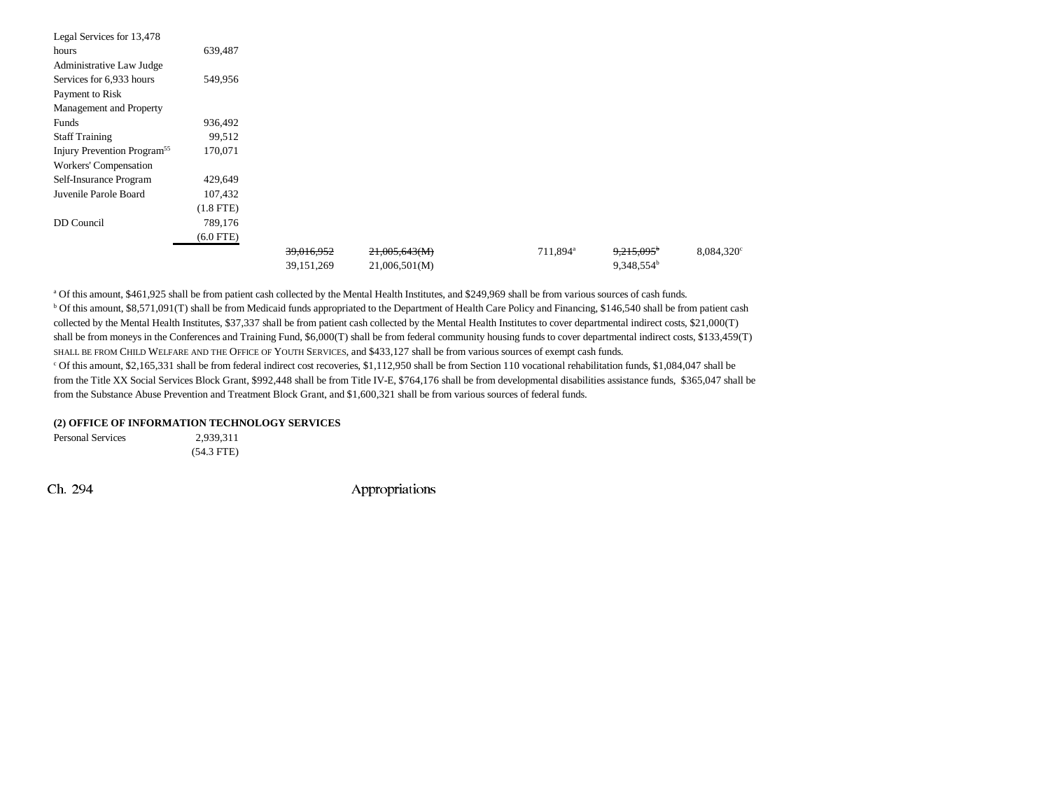| Legal Services for 13,478               |                |            |               |                      |                          |                     |
|-----------------------------------------|----------------|------------|---------------|----------------------|--------------------------|---------------------|
| hours                                   | 639,487        |            |               |                      |                          |                     |
| Administrative Law Judge                |                |            |               |                      |                          |                     |
| Services for 6,933 hours                | 549,956        |            |               |                      |                          |                     |
| Payment to Risk                         |                |            |               |                      |                          |                     |
| Management and Property                 |                |            |               |                      |                          |                     |
| Funds                                   | 936,492        |            |               |                      |                          |                     |
| <b>Staff Training</b>                   | 99,512         |            |               |                      |                          |                     |
| Injury Prevention Program <sup>55</sup> | 170,071        |            |               |                      |                          |                     |
| Workers' Compensation                   |                |            |               |                      |                          |                     |
| Self-Insurance Program                  | 429,649        |            |               |                      |                          |                     |
| Juvenile Parole Board                   | 107,432        |            |               |                      |                          |                     |
|                                         | $(1.8$ FTE $)$ |            |               |                      |                          |                     |
| DD Council                              | 789,176        |            |               |                      |                          |                     |
|                                         | $(6.0$ FTE)    |            |               |                      |                          |                     |
|                                         |                | 39,016,952 | 21,005,643(M) | 711,894 <sup>a</sup> | $9,215,095$ <sup>b</sup> | $8,084,320^{\circ}$ |
|                                         |                | 39,151,269 | 21,006,501(M) |                      | 9,348,554 <sup>b</sup>   |                     |

a Of this amount, \$461,925 shall be from patient cash collected by the Mental Health Institutes, and \$249,969 shall be from various sources of cash funds. b Of this amount, \$8,571,091(T) shall be from Medicaid funds appropriated to the Department of Health Care Policy and Financing, \$146,540 shall be from patient cash collected by the Mental Health Institutes, \$37,337 shall be from patient cash collected by the Mental Health Institutes to cover departmental indirect costs, \$21,000(T) shall be from moneys in the Conferences and Training Fund, \$6,000(T) shall be from federal community housing funds to cover departmental indirect costs, \$133,459(T) SHALL BE FROM CHILD WELFARE AND THE OFFICE OF YOUTH SERVICES, and \$433,127 shall be from various sources of exempt cash funds. c Of this amount, \$2,165,331 shall be from federal indirect cost recoveries, \$1,112,950 shall be from Section 110 vocational rehabilitation funds, \$1,084,047 shall be

from the Title XX Social Services Block Grant, \$992,448 shall be from Title IV-E, \$764,176 shall be from developmental disabilities assistance funds, \$365,047 shall be from the Substance Abuse Prevention and Treatment Block Grant, and \$1,600,321 shall be from various sources of federal funds.

#### **(2) OFFICE OF INFORMATION TECHNOLOGY SERVICES**

Personal Services 2,939,311 (54.3 FTE)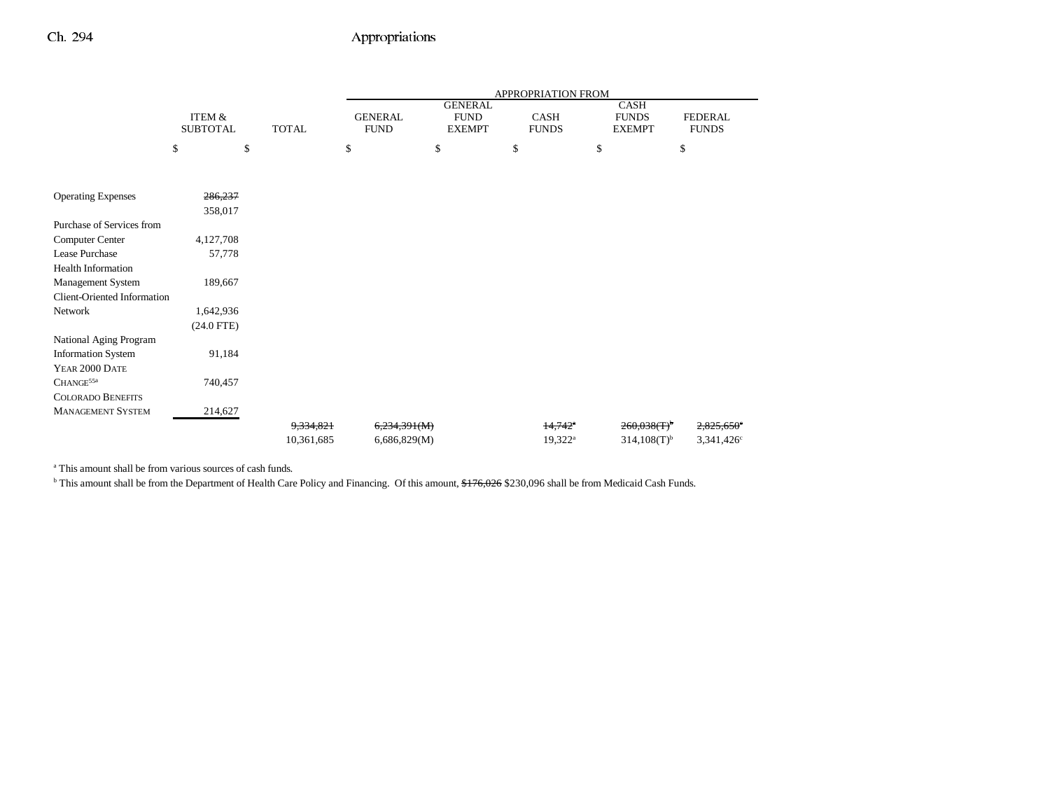|                             |                   |              | APPROPRIATION FROM |                               |                       |                             |                        |  |
|-----------------------------|-------------------|--------------|--------------------|-------------------------------|-----------------------|-----------------------------|------------------------|--|
|                             | <b>ITEM &amp;</b> |              | <b>GENERAL</b>     | <b>GENERAL</b><br><b>FUND</b> | CASH                  | <b>CASH</b><br><b>FUNDS</b> | <b>FEDERAL</b>         |  |
|                             | <b>SUBTOTAL</b>   | <b>TOTAL</b> | <b>FUND</b>        | <b>EXEMPT</b>                 | <b>FUNDS</b>          | <b>EXEMPT</b>               | <b>FUNDS</b>           |  |
|                             | \$<br>\$          |              | \$                 | \$                            | \$                    | \$                          | \$                     |  |
|                             |                   |              |                    |                               |                       |                             |                        |  |
| <b>Operating Expenses</b>   | 286,237           |              |                    |                               |                       |                             |                        |  |
|                             | 358,017           |              |                    |                               |                       |                             |                        |  |
| Purchase of Services from   |                   |              |                    |                               |                       |                             |                        |  |
| Computer Center             | 4,127,708         |              |                    |                               |                       |                             |                        |  |
| Lease Purchase              | 57,778            |              |                    |                               |                       |                             |                        |  |
| <b>Health Information</b>   |                   |              |                    |                               |                       |                             |                        |  |
| Management System           | 189,667           |              |                    |                               |                       |                             |                        |  |
| Client-Oriented Information |                   |              |                    |                               |                       |                             |                        |  |
| Network                     | 1,642,936         |              |                    |                               |                       |                             |                        |  |
|                             | $(24.0$ FTE)      |              |                    |                               |                       |                             |                        |  |
| National Aging Program      |                   |              |                    |                               |                       |                             |                        |  |
| <b>Information System</b>   | 91,184            |              |                    |                               |                       |                             |                        |  |
| YEAR 2000 DATE              |                   |              |                    |                               |                       |                             |                        |  |
| CHANGE <sup>55a</sup>       | 740,457           |              |                    |                               |                       |                             |                        |  |
| <b>COLORADO BENEFITS</b>    |                   |              |                    |                               |                       |                             |                        |  |
| <b>MANAGEMENT SYSTEM</b>    | 214,627           |              |                    |                               |                       |                             |                        |  |
|                             |                   | 9.334.821    | 6,234,391(M)       |                               | $14,742$ <sup>a</sup> | $260,038(T)$ <sup>b</sup>   | 2,825,650              |  |
|                             |                   | 10,361,685   | 6,686,829(M)       |                               | $19,322^a$            | $314,108(T)^{b}$            | 3,341,426 <sup>c</sup> |  |

a This amount shall be from various sources of cash funds.

<sup>b</sup> This amount shall be from the Department of Health Care Policy and Financing. Of this amount, \$176,026 \$230,096 shall be from Medicaid Cash Funds.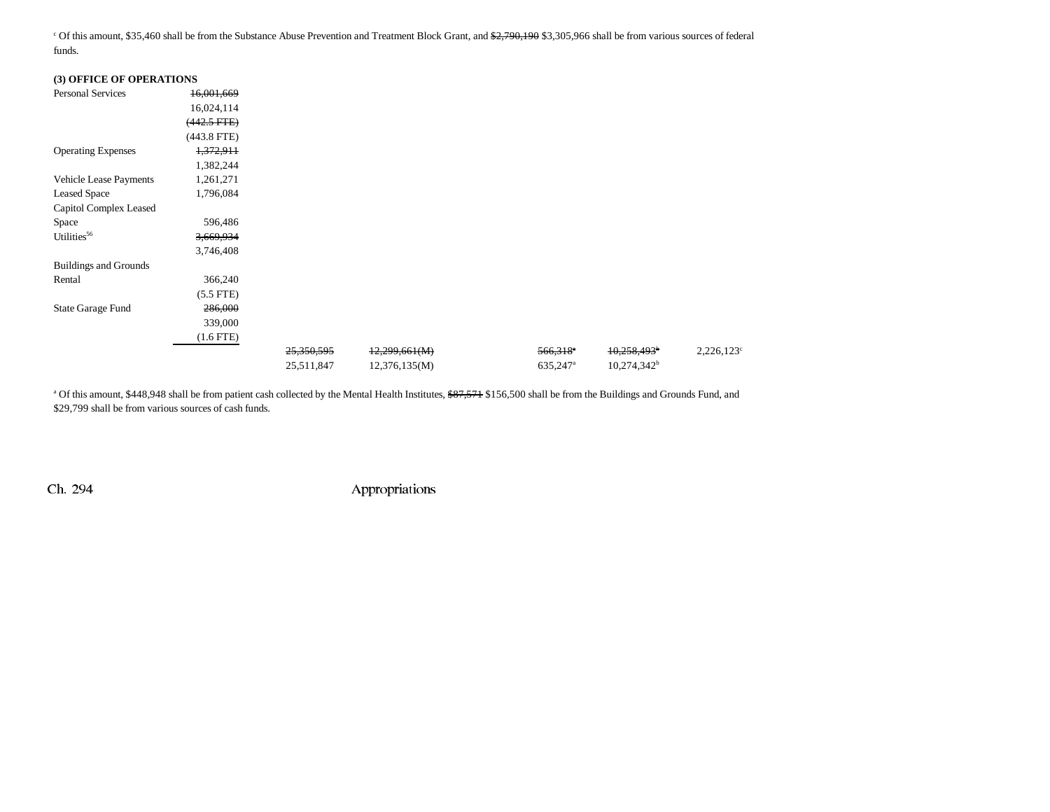<sup>c</sup> Of this amount, \$35,460 shall be from the Substance Abuse Prevention and Treatment Block Grant, and \$2,790,190 \$3,305,966 shall be from various sources of federal funds.

| (3) OFFICE OF OPERATIONS     |                  |            |               |                        |                           |               |
|------------------------------|------------------|------------|---------------|------------------------|---------------------------|---------------|
| <b>Personal Services</b>     | 16,001,669       |            |               |                        |                           |               |
|                              | 16,024,114       |            |               |                        |                           |               |
|                              | $(442.5$ FTE $)$ |            |               |                        |                           |               |
|                              | $(443.8$ FTE)    |            |               |                        |                           |               |
| <b>Operating Expenses</b>    | 1,372,911        |            |               |                        |                           |               |
|                              | 1,382,244        |            |               |                        |                           |               |
| Vehicle Lease Payments       | 1,261,271        |            |               |                        |                           |               |
| <b>Leased Space</b>          | 1,796,084        |            |               |                        |                           |               |
| Capitol Complex Leased       |                  |            |               |                        |                           |               |
| Space                        | 596,486          |            |               |                        |                           |               |
| Utilities <sup>56</sup>      | 3,669,934        |            |               |                        |                           |               |
|                              | 3,746,408        |            |               |                        |                           |               |
| <b>Buildings and Grounds</b> |                  |            |               |                        |                           |               |
| Rental                       | 366,240          |            |               |                        |                           |               |
|                              | $(5.5$ FTE $)$   |            |               |                        |                           |               |
| <b>State Garage Fund</b>     | 286,000          |            |               |                        |                           |               |
|                              | 339,000          |            |               |                        |                           |               |
|                              | $(1.6$ FTE $)$   |            |               |                        |                           |               |
|                              |                  | 25,350,595 | 12,299,661(M) | $566,318$ <sup>e</sup> | $10,258,493$ <sup>b</sup> | $2,226,123^c$ |
|                              |                  | 25,511,847 | 12,376,135(M) | 635,247 <sup>a</sup>   | $10,274,342^b$            |               |

<sup>a</sup> Of this amount, \$448,948 shall be from patient cash collected by the Mental Health Institutes, \$87,571 \$156,500 shall be from the Buildings and Grounds Fund, and \$29,799 shall be from various sources of cash funds.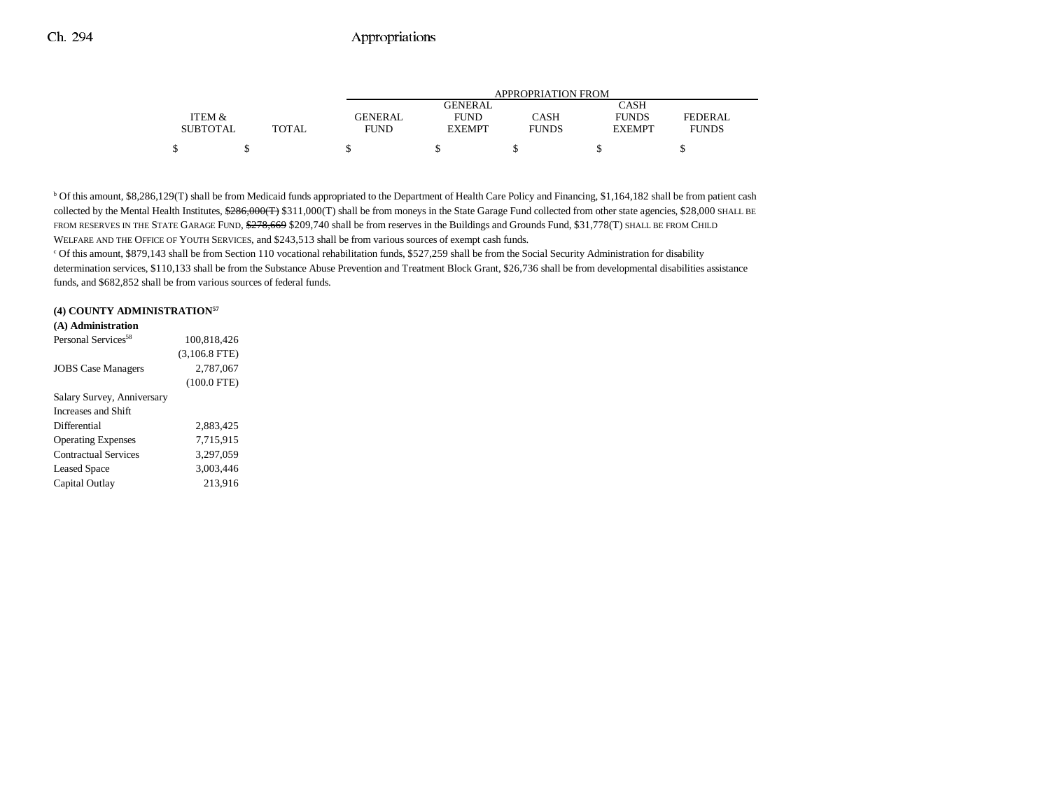|                 |       | APPROPRIATION FROM |               |              |               |              |  |
|-----------------|-------|--------------------|---------------|--------------|---------------|--------------|--|
|                 |       |                    | GENERAL       |              | CASH          |              |  |
| ITEM &          |       | GENERAL            | <b>FUND</b>   | CASH         | <b>FUNDS</b>  | FEDERAL      |  |
| <b>SUBTOTAL</b> | TOTAL | <b>FUND</b>        | <b>EXEMPT</b> | <b>FUNDS</b> | <b>EXEMPT</b> | <b>FUNDS</b> |  |
| Φ               |       |                    |               |              |               |              |  |

<sup>b</sup> Of this amount, \$8,286,129(T) shall be from Medicaid funds appropriated to the Department of Health Care Policy and Financing, \$1,164,182 shall be from patient cash collected by the Mental Health Institutes, \$286,000(T) \$311,000(T) shall be from moneys in the State Garage Fund collected from other state agencies, \$28,000 SHALL BE FROM RESERVES IN THE STATE GARAGE FUND, \$278,669 \$209,740 shall be from reserves in the Buildings and Grounds Fund, \$31,778(T) SHALL BE FROM CHILD WELFARE AND THE OFFICE OF YOUTH SERVICES, and \$243,513 shall be from various sources of exempt cash funds.

c Of this amount, \$879,143 shall be from Section 110 vocational rehabilitation funds, \$527,259 shall be from the Social Security Administration for disability determination services, \$110,133 shall be from the Substance Abuse Prevention and Treatment Block Grant, \$26,736 shall be from developmental disabilities assistance funds, and \$682,852 shall be from various sources of federal funds.

#### **(4) COUNTY ADMINISTRATION57**

| (A) Administration              |                 |
|---------------------------------|-----------------|
| Personal Services <sup>58</sup> | 100.818.426     |
|                                 | $(3,106.8$ FTE) |
| <b>JOBS</b> Case Managers       | 2.787.067       |
|                                 | $(100.0$ FTE)   |
| Salary Survey, Anniversary      |                 |
| Increases and Shift             |                 |
| Differential                    | 2.883.425       |
| <b>Operating Expenses</b>       | 7.715.915       |
| Contractual Services            | 3,297,059       |
| <b>Leased Space</b>             | 3.003.446       |
| Capital Outlay                  | 213.916         |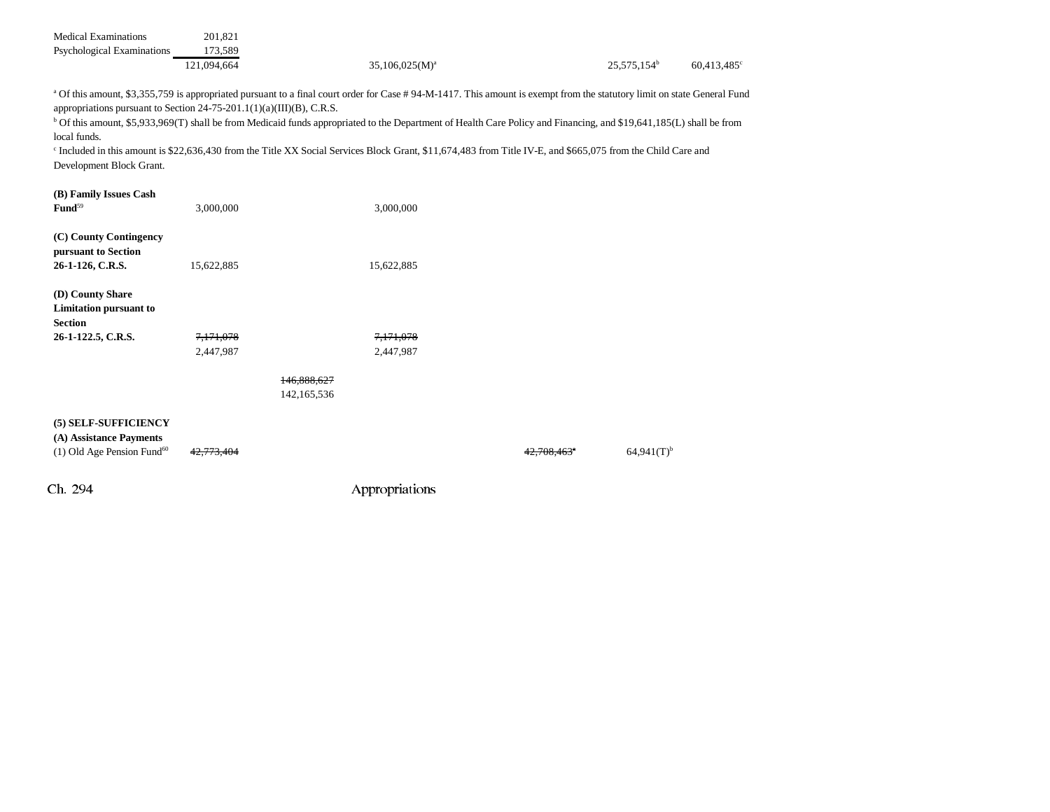| <b>Medical Examinations</b><br>Psychological Examinations                                                           | 201,821<br>173,589     |                                                                                                                                                                                                                                                                                                                                                                                                                                                                                                                                      |             |                          |             |
|---------------------------------------------------------------------------------------------------------------------|------------------------|--------------------------------------------------------------------------------------------------------------------------------------------------------------------------------------------------------------------------------------------------------------------------------------------------------------------------------------------------------------------------------------------------------------------------------------------------------------------------------------------------------------------------------------|-------------|--------------------------|-------------|
|                                                                                                                     | 121,094,664            | $35,106,025(M)^a$                                                                                                                                                                                                                                                                                                                                                                                                                                                                                                                    |             | 25,575,154 <sup>b</sup>  | 60,413,485° |
| appropriations pursuant to Section $24-75-201.1(1)(a)(III)(B)$ , C.R.S.<br>local funds.<br>Development Block Grant. |                        | a Of this amount, \$3,355,759 is appropriated pursuant to a final court order for Case #94-M-1417. This amount is exempt from the statutory limit on state General Fund<br><sup>b</sup> Of this amount, \$5,933,969(T) shall be from Medicaid funds appropriated to the Department of Health Care Policy and Financing, and \$19,641,185(L) shall be from<br><sup>c</sup> Included in this amount is \$22,636,430 from the Title XX Social Services Block Grant, \$11,674,483 from Title IV-E, and \$665,075 from the Child Care and |             |                          |             |
| (B) Family Issues Cash<br>Fund <sup>59</sup>                                                                        | 3.000.000              | 3,000,000                                                                                                                                                                                                                                                                                                                                                                                                                                                                                                                            |             |                          |             |
| (C) County Contingency<br>pursuant to Section<br>26-1-126, C.R.S.                                                   | 15,622,885             | 15,622,885                                                                                                                                                                                                                                                                                                                                                                                                                                                                                                                           |             |                          |             |
| (D) County Share<br><b>Limitation pursuant to</b><br><b>Section</b>                                                 |                        |                                                                                                                                                                                                                                                                                                                                                                                                                                                                                                                                      |             |                          |             |
| 26-1-122.5, C.R.S.                                                                                                  | 7,171,078<br>2,447,987 | 7,171,078<br>2,447,987                                                                                                                                                                                                                                                                                                                                                                                                                                                                                                               |             |                          |             |
|                                                                                                                     |                        | 146.888.627<br>142,165,536                                                                                                                                                                                                                                                                                                                                                                                                                                                                                                           |             |                          |             |
| (5) SELF-SUFFICIENCY<br>(A) Assistance Payments<br>$(1)$ Old Age Pension Fund <sup>60</sup>                         |                        |                                                                                                                                                                                                                                                                                                                                                                                                                                                                                                                                      | 42.708.463° | $64,941(T)$ <sup>b</sup> |             |
| Ch. 294                                                                                                             |                        | Appropriations                                                                                                                                                                                                                                                                                                                                                                                                                                                                                                                       |             |                          |             |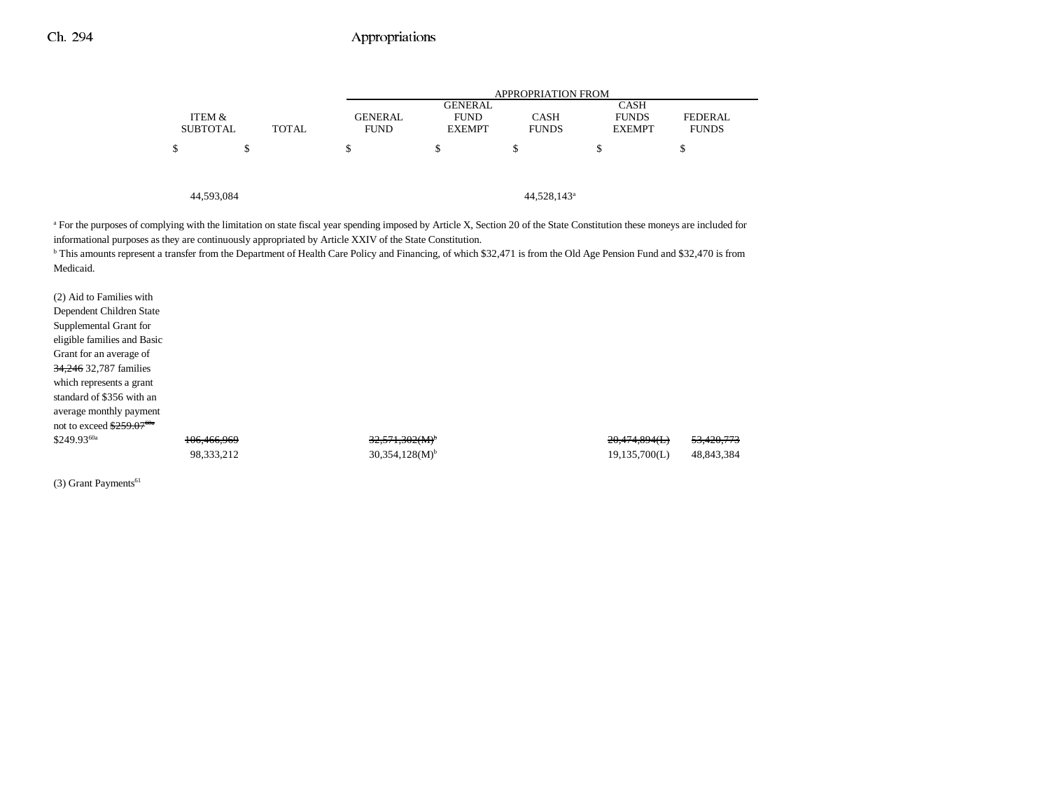|                 |              |                | <b>APPROPRIATION FROM</b>     |                         |                             |                |  |  |  |
|-----------------|--------------|----------------|-------------------------------|-------------------------|-----------------------------|----------------|--|--|--|
| ITEM &          |              | <b>GENERAL</b> | <b>GENERAL</b><br><b>FUND</b> | <b>CASH</b>             | <b>CASH</b><br><b>FUNDS</b> | <b>FEDERAL</b> |  |  |  |
| <b>SUBTOTAL</b> | <b>TOTAL</b> | <b>FUND</b>    | <b>EXEMPT</b>                 | <b>FUNDS</b>            | <b>EXEMPT</b>               | <b>FUNDS</b>   |  |  |  |
| \$              | \$           | \$             | \$                            | \$                      | S                           | \$             |  |  |  |
|                 |              |                |                               |                         |                             |                |  |  |  |
|                 |              |                |                               |                         |                             |                |  |  |  |
| 44,593,084      |              |                |                               | 44,528,143 <sup>a</sup> |                             |                |  |  |  |

<sup>a</sup> For the purposes of complying with the limitation on state fiscal year spending imposed by Article X, Section 20 of the State Constitution these moneys are included for informational purposes as they are continuously appropriated by Article XXIV of the State Constitution.

b This amounts represent a transfer from the Department of Health Care Policy and Financing, of which \$32,471 is from the Old Age Pension Fund and \$32,470 is from Medicaid.

| (2) Aid to Families with               |             |                              |               |            |
|----------------------------------------|-------------|------------------------------|---------------|------------|
| Dependent Children State               |             |                              |               |            |
| Supplemental Grant for                 |             |                              |               |            |
| eligible families and Basic            |             |                              |               |            |
| Grant for an average of                |             |                              |               |            |
| 34,246 32,787 families                 |             |                              |               |            |
| which represents a grant               |             |                              |               |            |
| standard of \$356 with an              |             |                              |               |            |
| average monthly payment                |             |                              |               |            |
| not to exceed $$259.07$ <sup>60a</sup> |             |                              |               |            |
| $$249.93^{60a}$                        | 106,466,969 | $32,571,302(M)^{+}$          | 20,474,894(L) | 53,420,773 |
|                                        | 98,333,212  | $30,354,128(M)$ <sup>b</sup> | 19,135,700(L) | 48,843,384 |
|                                        |             |                              |               |            |

(3) Grant Payments<sup>61</sup>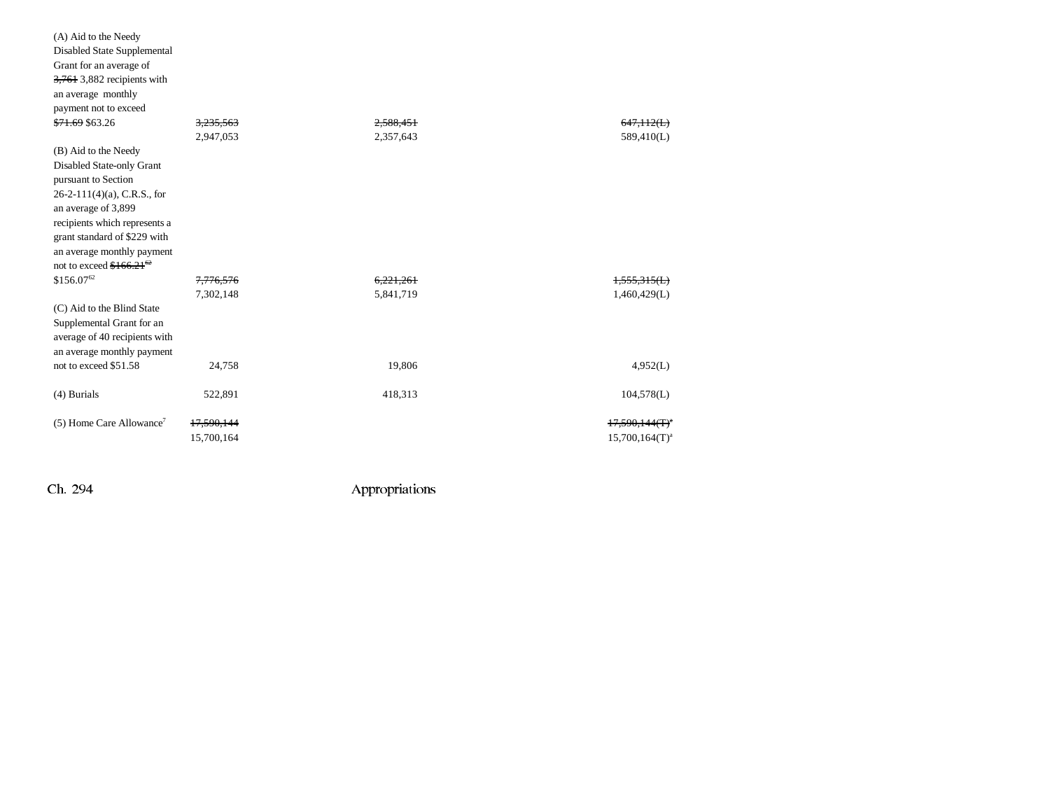| Grant for an average of                |            |           |                   |
|----------------------------------------|------------|-----------|-------------------|
| $3,761$ 3,882 recipients with          |            |           |                   |
| an average monthly                     |            |           |                   |
| payment not to exceed                  |            |           |                   |
| \$71.69 \$63.26                        | 3,235,563  | 2,588,451 | 647.112(L)        |
|                                        | 2,947,053  | 2,357,643 | 589,410(L)        |
| (B) Aid to the Needy                   |            |           |                   |
| Disabled State-only Grant              |            |           |                   |
| pursuant to Section                    |            |           |                   |
| $26-2-111(4)(a)$ , C.R.S., for         |            |           |                   |
| an average of 3,899                    |            |           |                   |
| recipients which represents a          |            |           |                   |
| grant standard of \$229 with           |            |           |                   |
| an average monthly payment             |            |           |                   |
| not to exceed $$166.21$ <sup>62</sup>  |            |           |                   |
| \$156.0762                             | 7,776,576  | 6,221,261 | 1,555,315(L)      |
|                                        | 7,302,148  | 5,841,719 | 1,460,429(L)      |
| (C) Aid to the Blind State             |            |           |                   |
| Supplemental Grant for an              |            |           |                   |
| average of 40 recipients with          |            |           |                   |
| an average monthly payment             |            |           |                   |
| not to exceed \$51.58                  | 24,758     | 19,806    | 4,952(L)          |
|                                        |            |           |                   |
| (4) Burials                            | 522,891    | 418,313   | 104,578(L)        |
| $(5)$ Home Care Allowance <sup>7</sup> | 17,590,144 |           | $17,590,144(T)^4$ |
|                                        | 15,700,164 |           | $15,700,164(T)^a$ |
|                                        |            |           |                   |

(A) Aid to the Needy Disabled State Supplemental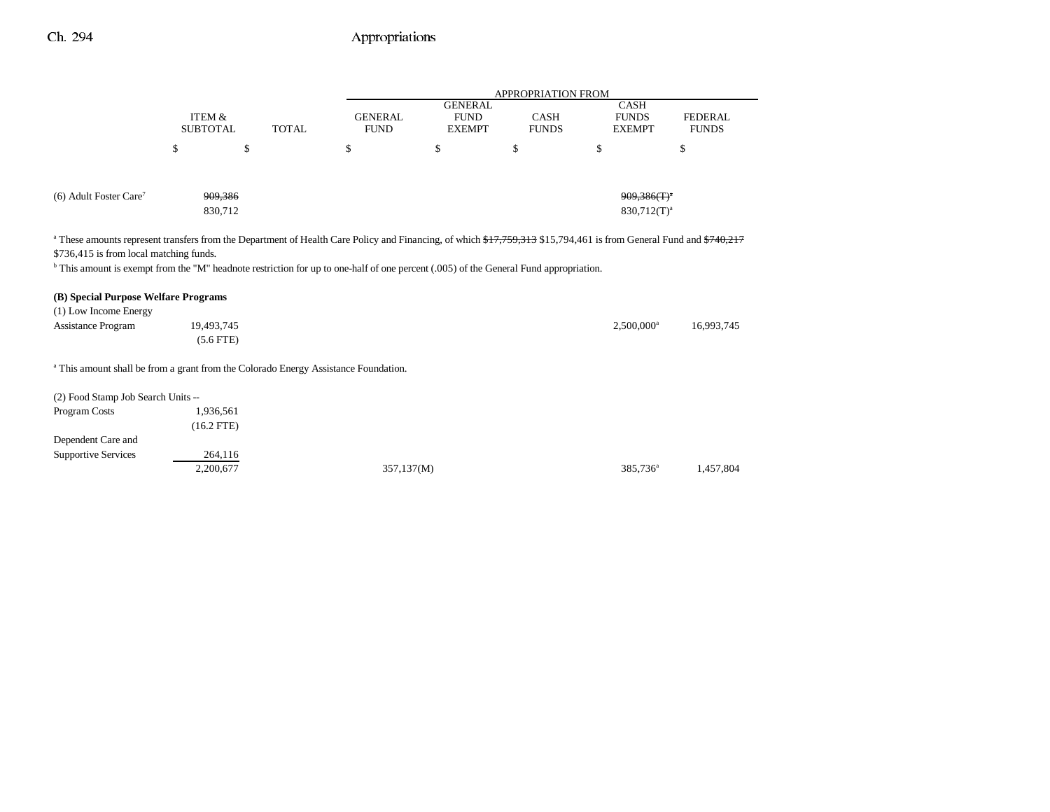|                                                                                                                                                                                                                                                |                                      |              | APPROPRIATION FROM            |                                                |                             |                                              |                                |  |  |
|------------------------------------------------------------------------------------------------------------------------------------------------------------------------------------------------------------------------------------------------|--------------------------------------|--------------|-------------------------------|------------------------------------------------|-----------------------------|----------------------------------------------|--------------------------------|--|--|
|                                                                                                                                                                                                                                                | <b>ITEM &amp;</b><br><b>SUBTOTAL</b> | <b>TOTAL</b> | <b>GENERAL</b><br><b>FUND</b> | <b>GENERAL</b><br><b>FUND</b><br><b>EXEMPT</b> | <b>CASH</b><br><b>FUNDS</b> | <b>CASH</b><br><b>FUNDS</b><br><b>EXEMPT</b> | <b>FEDERAL</b><br><b>FUNDS</b> |  |  |
|                                                                                                                                                                                                                                                | \$                                   | \$           | \$                            | \$                                             | \$                          | \$                                           | \$                             |  |  |
|                                                                                                                                                                                                                                                |                                      |              |                               |                                                |                             |                                              |                                |  |  |
| $(6)$ Adult Foster Care <sup>7</sup>                                                                                                                                                                                                           | 909,386                              |              |                               |                                                |                             | $909,386(f)^4$                               |                                |  |  |
|                                                                                                                                                                                                                                                | 830,712                              |              |                               |                                                |                             | $830,712(T)^a$                               |                                |  |  |
| <sup>b</sup> This amount is exempt from the "M" headnote restriction for up to one-half of one percent (.005) of the General Fund appropriation.<br>(B) Special Purpose Welfare Programs<br>(1) Low Income Energy<br><b>Assistance Program</b> | 19,493,745<br>$(5.6$ FTE)            |              |                               |                                                |                             | $2,500,000$ <sup>a</sup>                     | 16,993,745                     |  |  |
| <sup>a</sup> This amount shall be from a grant from the Colorado Energy Assistance Foundation.                                                                                                                                                 |                                      |              |                               |                                                |                             |                                              |                                |  |  |
| (2) Food Stamp Job Search Units --                                                                                                                                                                                                             |                                      |              |                               |                                                |                             |                                              |                                |  |  |
| Program Costs                                                                                                                                                                                                                                  | 1,936,561                            |              |                               |                                                |                             |                                              |                                |  |  |
|                                                                                                                                                                                                                                                | $(16.2$ FTE)                         |              |                               |                                                |                             |                                              |                                |  |  |
| Dependent Care and                                                                                                                                                                                                                             |                                      |              |                               |                                                |                             |                                              |                                |  |  |
| <b>Supportive Services</b>                                                                                                                                                                                                                     | 264,116                              |              |                               |                                                |                             |                                              |                                |  |  |
|                                                                                                                                                                                                                                                | 2,200,677                            |              | 357,137(M)                    |                                                |                             | 385,736 <sup>a</sup>                         | 1.457.804                      |  |  |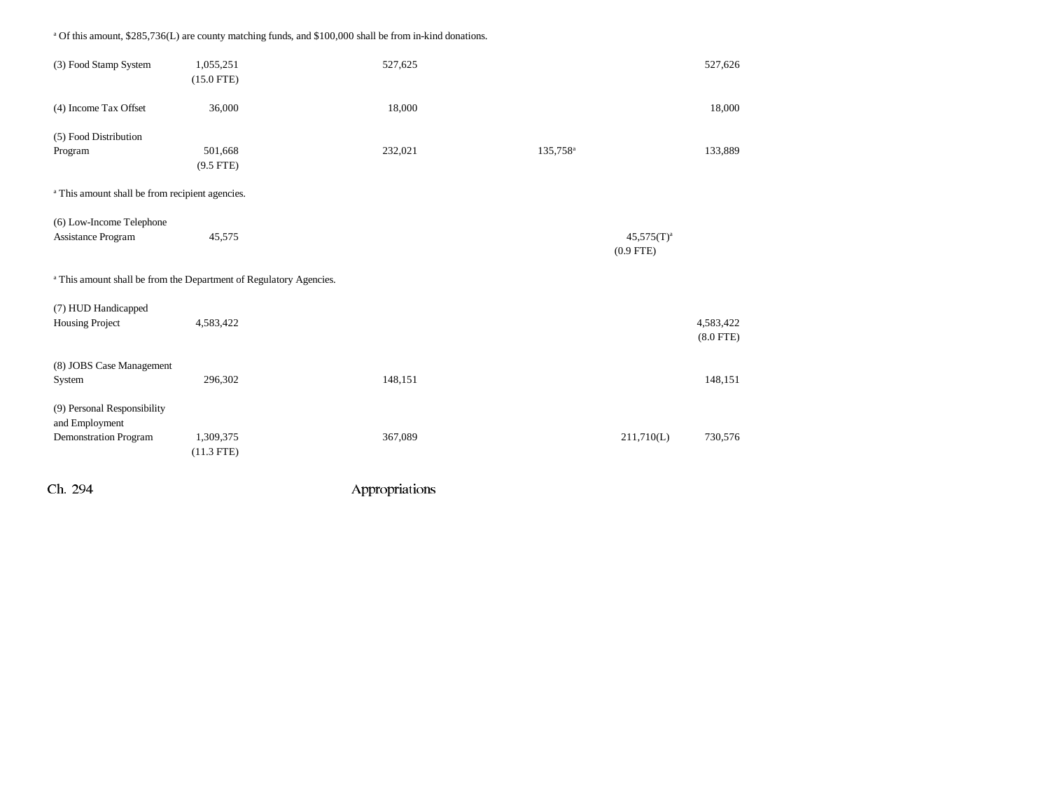(3) Food Stamp System 1,055,251 527,625 527,625 527,626 527,626 527,626 (15.0 FTE) (4) Income Tax Offset 36,000 18,000 18,000 18,000 18,000 18,000 18,000 18,000 18,000 18,000 18,000 18,000 18,000 18,000 18,000 18,000 18,000 18,000 18,000 18,000 18,000 18,000 18,000 18,000 18,000 18,000 18,000 18,000 18,0 (5) Food Distribution Program 501,668 501,668 232,021 135,758<sup>a</sup> 133,889 (9.5 FTE) <sup>a</sup> This amount shall be from recipient agencies. (6) Low-Income Telephone Assistance Program  $45,575$   $45,575$   $45,575$   $45,575$   $45,575$   $45,575$   $45,575$   $45,575$   $45,575$   $45,575$   $45,575$   $45,575$   $45,575$   $45,575$   $45,575$   $45,575$   $45,575$   $45,575$   $45,575$   $45,575$   $45,575$   $45,575$   $45,$ (0.9 FTE) a This amount shall be from the Department of Regulatory Agencies. (7) HUD Handicapped Housing Project 4,583,422 4,583,422 (8.0 FTE) (8) JOBS Case Management System 296,302 206,302 148,151 148,151 200 148,151 148,151 148,151 148,151 (9) Personal Responsibility and Employment Demonstration Program 1,309,375 367,089 211,710(L) 730,576 (11.3 FTE)

Ch. 294 Appropriations

a Of this amount, \$285,736(L) are county matching funds, and \$100,000 shall be from in-kind donations.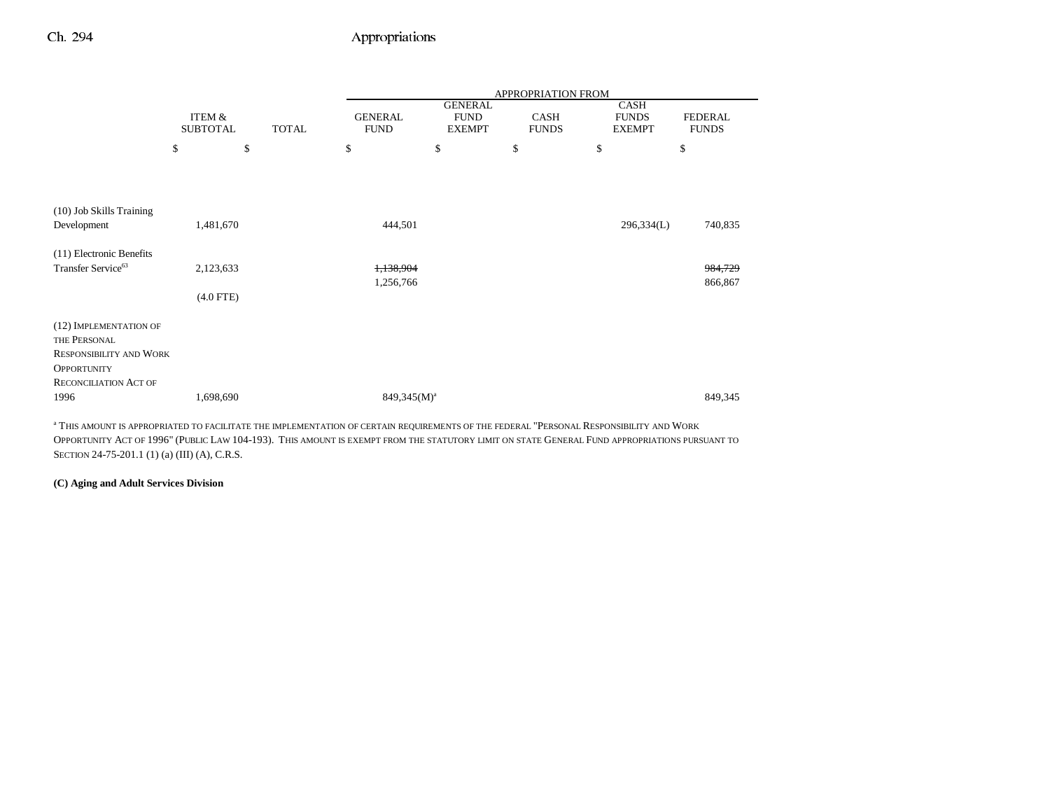|                                                            |                           |              |                               |                                                | APPROPRIATION FROM          |                                              |                                |
|------------------------------------------------------------|---------------------------|--------------|-------------------------------|------------------------------------------------|-----------------------------|----------------------------------------------|--------------------------------|
|                                                            | ITEM &<br><b>SUBTOTAL</b> | <b>TOTAL</b> | <b>GENERAL</b><br><b>FUND</b> | <b>GENERAL</b><br><b>FUND</b><br><b>EXEMPT</b> | <b>CASH</b><br><b>FUNDS</b> | <b>CASH</b><br><b>FUNDS</b><br><b>EXEMPT</b> | <b>FEDERAL</b><br><b>FUNDS</b> |
|                                                            | \$                        | \$           | \$                            | \$                                             | \$                          | \$                                           | \$                             |
|                                                            |                           |              |                               |                                                |                             |                                              |                                |
| (10) Job Skills Training                                   |                           |              |                               |                                                |                             |                                              |                                |
| Development                                                | 1,481,670                 |              | 444,501                       |                                                |                             | 296,334(L)                                   | 740,835                        |
| (11) Electronic Benefits<br>Transfer Service <sup>63</sup> | 2,123,633                 |              | 1,138,904                     |                                                |                             |                                              | 984,729                        |
|                                                            |                           |              | 1,256,766                     |                                                |                             |                                              | 866,867                        |
|                                                            | $(4.0$ FTE)               |              |                               |                                                |                             |                                              |                                |
| (12) IMPLEMENTATION OF                                     |                           |              |                               |                                                |                             |                                              |                                |
| THE PERSONAL                                               |                           |              |                               |                                                |                             |                                              |                                |
| <b>RESPONSIBILITY AND WORK</b>                             |                           |              |                               |                                                |                             |                                              |                                |
| <b>OPPORTUNITY</b><br><b>RECONCILIATION ACT OF</b>         |                           |              |                               |                                                |                             |                                              |                                |
| 1996                                                       | 1,698,690                 |              | $849,345(M)^a$                |                                                |                             |                                              | 849,345                        |

a THIS AMOUNT IS APPROPRIATED TO FACILITATE THE IMPLEMENTATION OF CERTAIN REQUIREMENTS OF THE FEDERAL "PERSONAL RESPONSIBILITY AND WORK OPPORTUNITY ACT OF 1996" (PUBLIC LAW 104-193). THIS AMOUNT IS EXEMPT FROM THE STATUTORY LIMIT ON STATE GENERAL FUND APPROPRIATIONS PURSUANT TO SECTION 24-75-201.1 (1) (a) (III) (A), C.R.S.

#### **(C) Aging and Adult Services Division**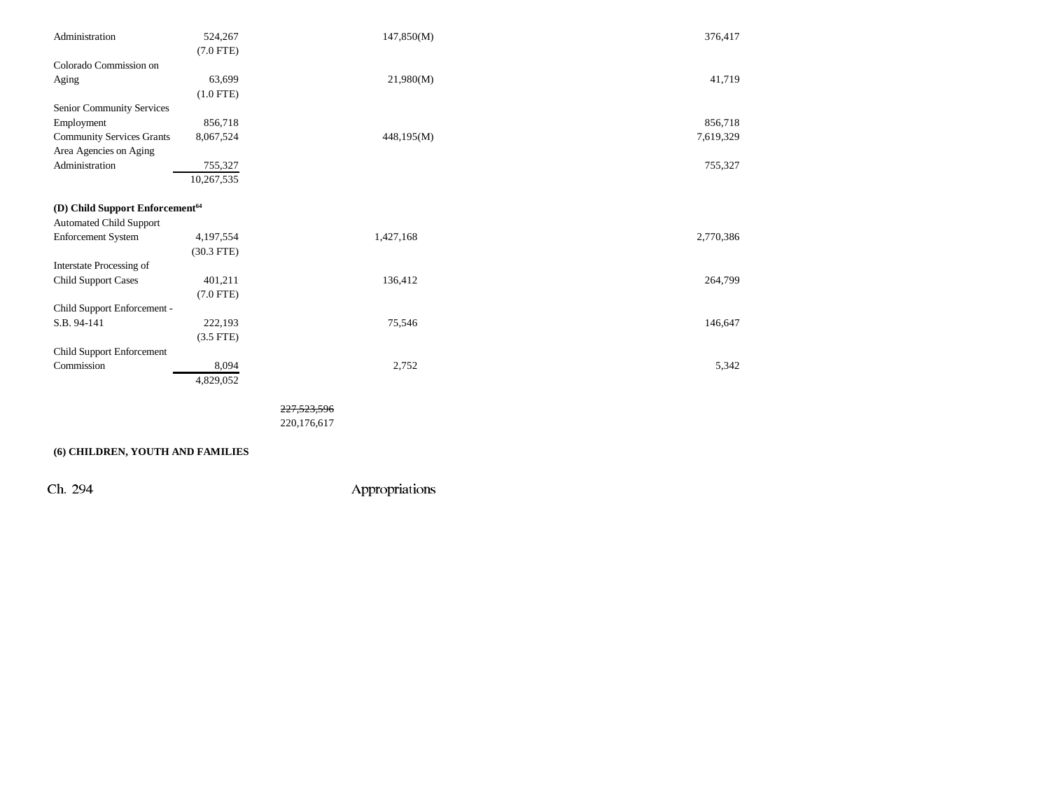| Administration                              | 524,267        | 147,850(M) | 376,417   |
|---------------------------------------------|----------------|------------|-----------|
|                                             | $(7.0$ FTE)    |            |           |
| Colorado Commission on                      |                |            |           |
| Aging                                       | 63,699         | 21,980(M)  | 41,719    |
|                                             | $(1.0$ FTE)    |            |           |
| Senior Community Services                   |                |            |           |
| Employment                                  | 856,718        |            | 856,718   |
| <b>Community Services Grants</b>            | 8,067,524      | 448,195(M) | 7,619,329 |
| Area Agencies on Aging                      |                |            |           |
| Administration                              | 755,327        |            | 755,327   |
|                                             | 10,267,535     |            |           |
|                                             |                |            |           |
| (D) Child Support Enforcement <sup>64</sup> |                |            |           |
| <b>Automated Child Support</b>              |                |            |           |
| <b>Enforcement System</b>                   | 4,197,554      | 1,427,168  | 2,770,386 |
|                                             | $(30.3$ FTE)   |            |           |
| Interstate Processing of                    |                |            |           |
| <b>Child Support Cases</b>                  | 401,211        | 136,412    | 264,799   |
|                                             | $(7.0$ FTE)    |            |           |
| Child Support Enforcement -                 |                |            |           |
| S.B. 94-141                                 | 222,193        | 75,546     | 146,647   |
|                                             | $(3.5$ FTE $)$ |            |           |
| Child Support Enforcement                   |                |            |           |
| Commission                                  | 8,094          | 2,752      | 5,342     |
|                                             | 4,829,052      |            |           |

227,523,596

220,176,617

## **(6) CHILDREN, YOUTH AND FAMILIES**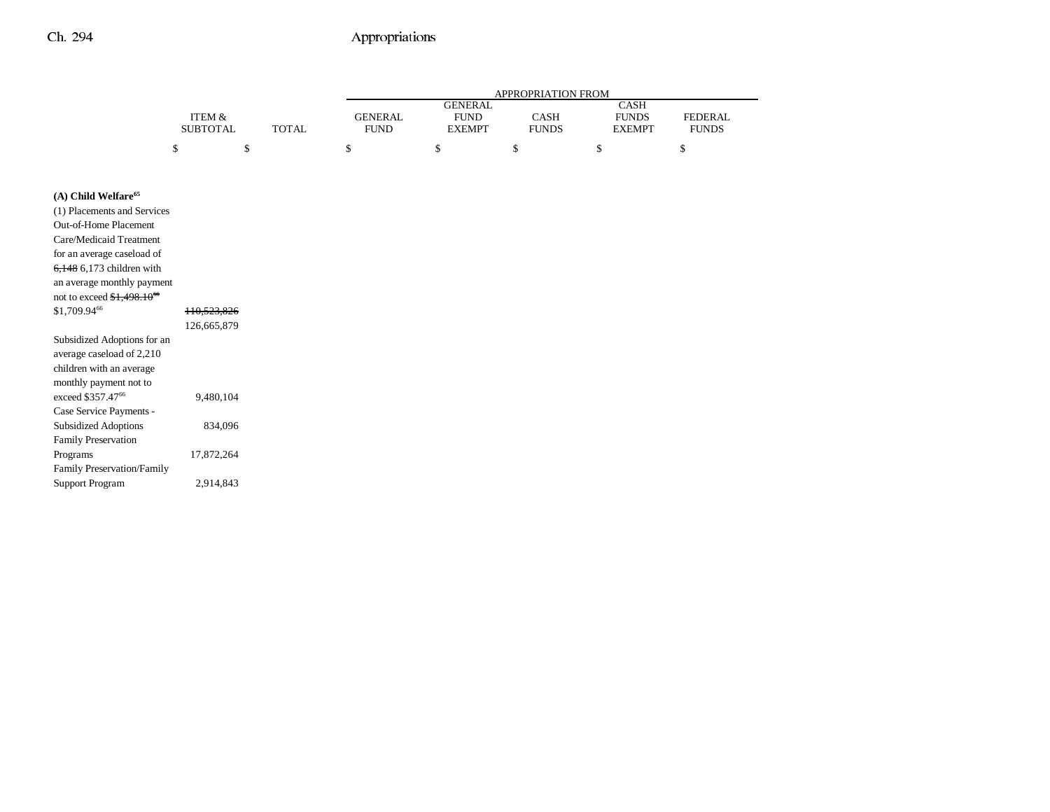|                                                                |                   |              | APPROPRIATION FROM |                |              |               |                |  |
|----------------------------------------------------------------|-------------------|--------------|--------------------|----------------|--------------|---------------|----------------|--|
|                                                                |                   |              |                    | <b>GENERAL</b> |              | <b>CASH</b>   |                |  |
|                                                                | <b>ITEM &amp;</b> |              | <b>GENERAL</b>     | <b>FUND</b>    | CASH         | <b>FUNDS</b>  | <b>FEDERAL</b> |  |
|                                                                | <b>SUBTOTAL</b>   | <b>TOTAL</b> | <b>FUND</b>        | <b>EXEMPT</b>  | <b>FUNDS</b> | <b>EXEMPT</b> | <b>FUNDS</b>   |  |
|                                                                | \$<br>\$          |              | \$                 | \$             | \$           | \$            | \$             |  |
|                                                                |                   |              |                    |                |              |               |                |  |
|                                                                |                   |              |                    |                |              |               |                |  |
| (A) Child Welfare <sup>65</sup><br>(1) Placements and Services |                   |              |                    |                |              |               |                |  |
| Out-of-Home Placement                                          |                   |              |                    |                |              |               |                |  |
| Care/Medicaid Treatment                                        |                   |              |                    |                |              |               |                |  |
| for an average caseload of                                     |                   |              |                    |                |              |               |                |  |
| $6,148$ 6,173 children with                                    |                   |              |                    |                |              |               |                |  |
| an average monthly payment                                     |                   |              |                    |                |              |               |                |  |
| not to exceed $$1,498.1066$                                    |                   |              |                    |                |              |               |                |  |
| \$1,709.9466                                                   | 110,523,826       |              |                    |                |              |               |                |  |
|                                                                | 126,665,879       |              |                    |                |              |               |                |  |
| Subsidized Adoptions for an                                    |                   |              |                    |                |              |               |                |  |
| average caseload of 2,210                                      |                   |              |                    |                |              |               |                |  |
| children with an average                                       |                   |              |                    |                |              |               |                |  |
| monthly payment not to                                         |                   |              |                    |                |              |               |                |  |
| exceed \$357.47 <sup>66</sup>                                  | 9,480,104         |              |                    |                |              |               |                |  |
| Case Service Payments -                                        |                   |              |                    |                |              |               |                |  |
| <b>Subsidized Adoptions</b>                                    | 834,096           |              |                    |                |              |               |                |  |
| <b>Family Preservation</b>                                     |                   |              |                    |                |              |               |                |  |
| Programs                                                       | 17,872,264        |              |                    |                |              |               |                |  |
| Family Preservation/Family                                     |                   |              |                    |                |              |               |                |  |
| <b>Support Program</b>                                         | 2,914,843         |              |                    |                |              |               |                |  |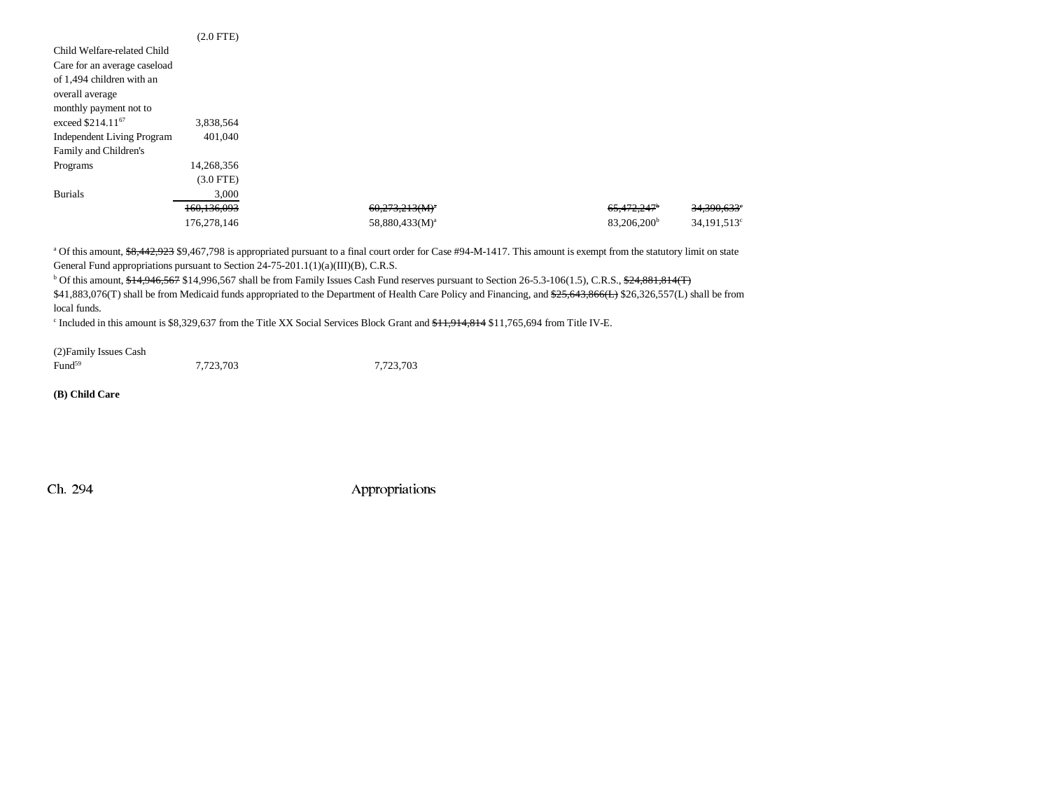|                                   | $(2.0$ FTE $)$ |                            |                         |                         |
|-----------------------------------|----------------|----------------------------|-------------------------|-------------------------|
| Child Welfare-related Child       |                |                            |                         |                         |
| Care for an average caseload      |                |                            |                         |                         |
| of 1,494 children with an         |                |                            |                         |                         |
| overall average                   |                |                            |                         |                         |
| monthly payment not to            |                |                            |                         |                         |
| exceed \$214.11 <sup>67</sup>     | 3,838,564      |                            |                         |                         |
| <b>Independent Living Program</b> | 401.040        |                            |                         |                         |
| Family and Children's             |                |                            |                         |                         |
| Programs                          | 14,268,356     |                            |                         |                         |
|                                   | $(3.0$ FTE)    |                            |                         |                         |
| <b>Burials</b>                    | 3,000          |                            |                         |                         |
|                                   | 160,136,093    | $60,273,213(M)^a$          | 65,472,247 <sup>b</sup> | 34,390,633°             |
|                                   | 176,278,146    | 58,880,433(M) <sup>a</sup> | 83,206,200 <sup>b</sup> | 34,191,513 <sup>c</sup> |

<sup>a</sup> Of this amount, \$8,442,923 \$9,467,798 is appropriated pursuant to a final court order for Case #94-M-1417. This amount is exempt from the statutory limit on state General Fund appropriations pursuant to Section 24-75-201.1(1)(a)(III)(B), C.R.S.

<sup>b</sup> Of this amount, \$14,946,567 \$14,996,567 shall be from Family Issues Cash Fund reserves pursuant to Section 26-5.3-106(1.5), C.R.S., \$24,881,814(T)

\$41,883,076(T) shall be from Medicaid funds appropriated to the Department of Health Care Policy and Financing, and \$25,643,866(L) \$26,326,557(L) shall be from local funds.

<sup>c</sup> Included in this amount is \$8,329,637 from the Title XX Social Services Block Grant and <del>\$11,914,814</del> \$11,765,694 from Title IV-E.

(2)Family Issues Cash Fund<sup>59</sup> 7,723,703 7,723,703

**(B) Child Care**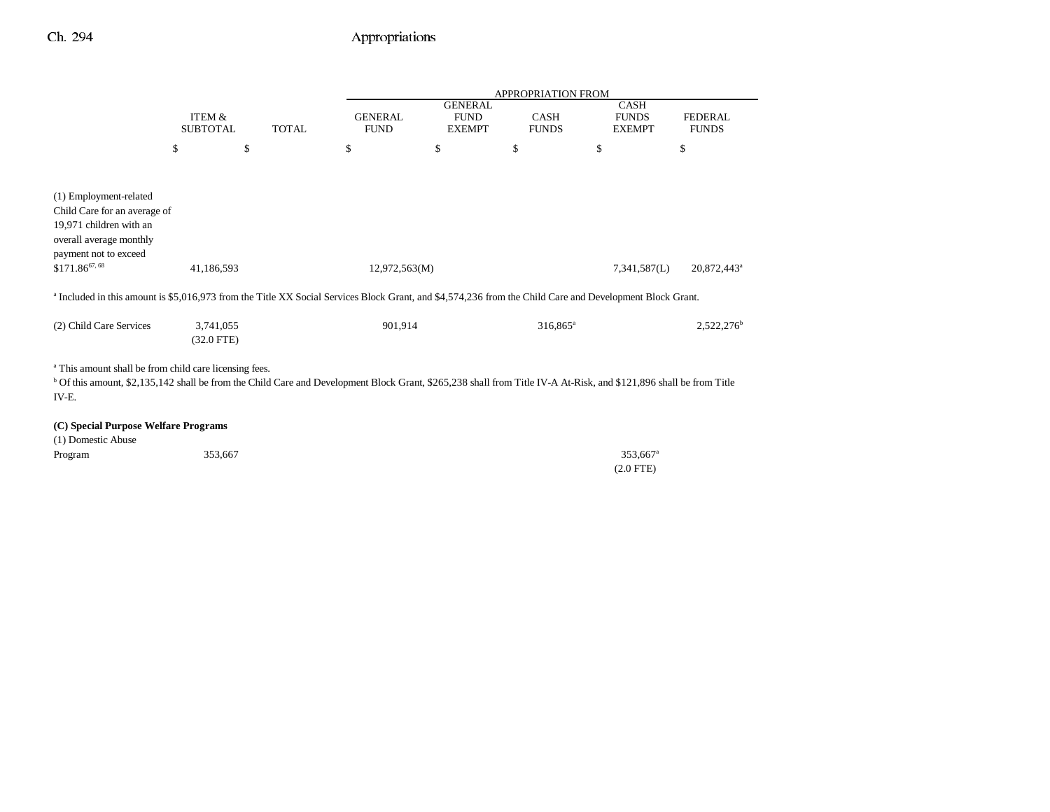|                                                                                                                                                                                                                                                             |                                      |              |                               |                                                | <b>APPROPRIATION FROM</b> |                                              |                                |
|-------------------------------------------------------------------------------------------------------------------------------------------------------------------------------------------------------------------------------------------------------------|--------------------------------------|--------------|-------------------------------|------------------------------------------------|---------------------------|----------------------------------------------|--------------------------------|
|                                                                                                                                                                                                                                                             | <b>ITEM &amp;</b><br><b>SUBTOTAL</b> | <b>TOTAL</b> | <b>GENERAL</b><br><b>FUND</b> | <b>GENERAL</b><br><b>FUND</b><br><b>EXEMPT</b> | CASH<br><b>FUNDS</b>      | <b>CASH</b><br><b>FUNDS</b><br><b>EXEMPT</b> | <b>FEDERAL</b><br><b>FUNDS</b> |
|                                                                                                                                                                                                                                                             | \$<br>\$                             |              | \$                            | \$                                             | $\mathbb{S}$              | \$                                           | \$                             |
|                                                                                                                                                                                                                                                             |                                      |              |                               |                                                |                           |                                              |                                |
| (1) Employment-related<br>Child Care for an average of<br>19,971 children with an<br>overall average monthly<br>payment not to exceed                                                                                                                       |                                      |              |                               |                                                |                           |                                              |                                |
| $$171.86^{67,68}$                                                                                                                                                                                                                                           | 41,186,593                           |              | 12,972,563(M)                 |                                                |                           | 7,341,587(L)                                 | 20,872,443 <sup>a</sup>        |
| <sup>a</sup> Included in this amount is \$5,016,973 from the Title XX Social Services Block Grant, and \$4,574,236 from the Child Care and Development Block Grant.                                                                                         |                                      |              |                               |                                                |                           |                                              |                                |
| (2) Child Care Services                                                                                                                                                                                                                                     | 3,741,055<br>$(32.0$ FTE)            |              | 901,914                       |                                                | 316,865 <sup>a</sup>      |                                              | 2,522,276 <sup>b</sup>         |
| <sup>a</sup> This amount shall be from child care licensing fees.<br><sup>b</sup> Of this amount, \$2,135,142 shall be from the Child Care and Development Block Grant, \$265,238 shall from Title IV-A At-Risk, and \$121,896 shall be from Title<br>IV-E. |                                      |              |                               |                                                |                           |                                              |                                |
| (C) Special Purpose Welfare Programs<br>(1) Domestic Abuse                                                                                                                                                                                                  |                                      |              |                               |                                                |                           |                                              |                                |
| Program                                                                                                                                                                                                                                                     | 353,667                              |              |                               |                                                |                           | 353,667 <sup>a</sup><br>$(2.0$ FTE)          |                                |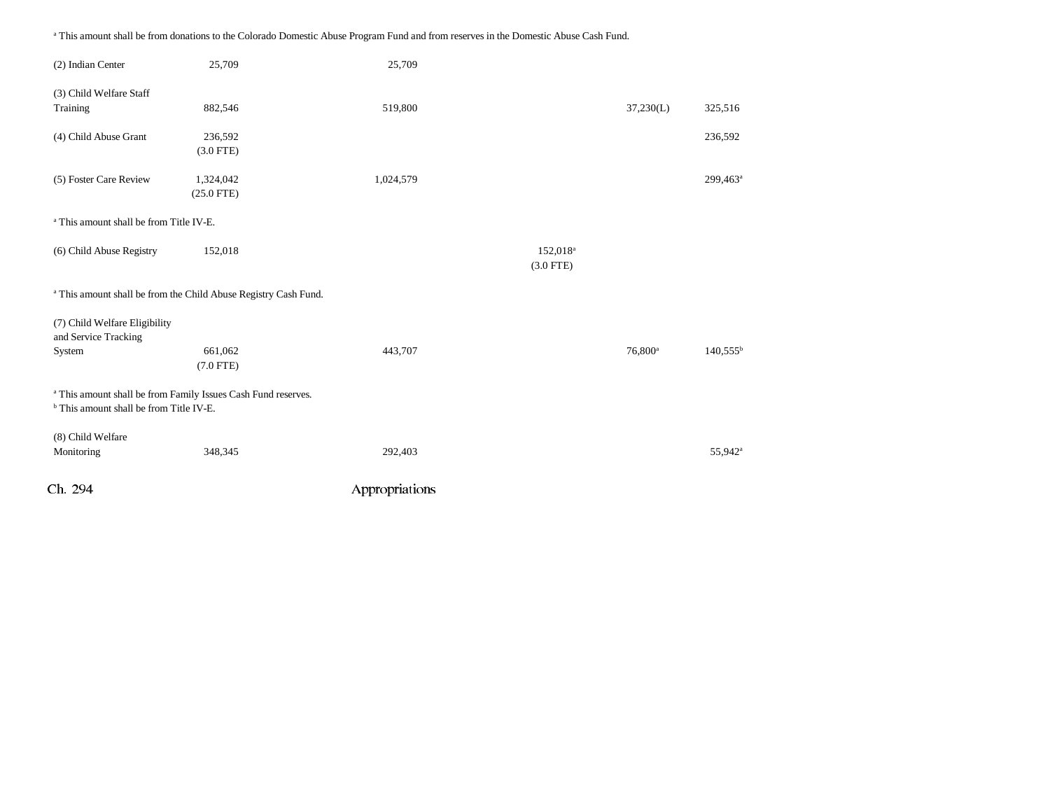Ch. 294 Appropriations (2) Indian Center 25,709 25,709 (3) Child Welfare Staff Training 882,546 519,800 37,230(L) 325,516 (4) Child Abuse Grant 236,592 236,592 (3.0 FTE) (5) Foster Care Review 1,324,042 1,024,579 299,463<sup>a</sup> (25.0 FTE) a This amount shall be from Title IV-E.(6) Child Abuse Registry  $152,018$  152,018<sup>a</sup> (3.0 FTE) a This amount shall be from the Child Abuse Registry Cash Fund. (7) Child Welfare Eligibility and Service Tracking System 661,062 661,062 443,707 6800<sup>a</sup> 140,555<sup>b</sup> (7.0 FTE) a This amount shall be from Family Issues Cash Fund reserves. b This amount shall be from Title IV-E. (8) Child Welfare Monitoring 292,403 55,942<sup>a</sup> 55,942<sup>a</sup> 55,942<sup>a</sup>

a This amount shall be from donations to the Colorado Domestic Abuse Program Fund and from reserves in the Domestic Abuse Cash Fund.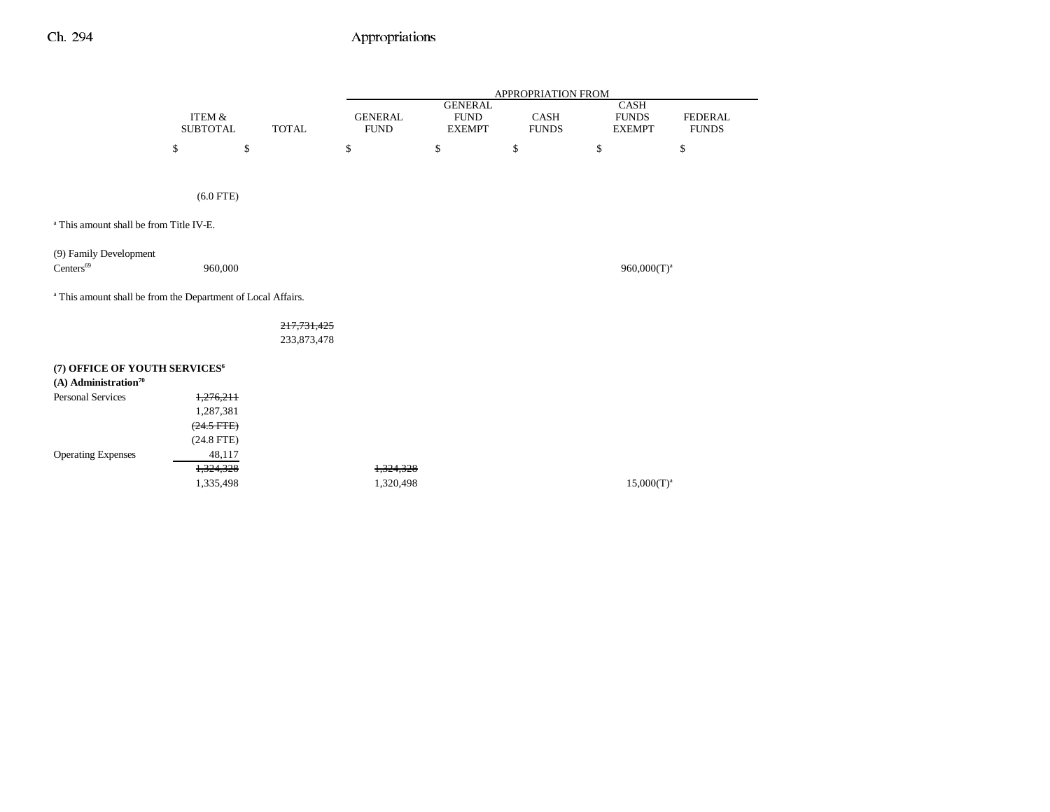|                                                                         |                                      |                              |                               |                                                | APPROPRIATION FROM          |                                       |                                |
|-------------------------------------------------------------------------|--------------------------------------|------------------------------|-------------------------------|------------------------------------------------|-----------------------------|---------------------------------------|--------------------------------|
|                                                                         | <b>ITEM &amp;</b><br><b>SUBTOTAL</b> | <b>TOTAL</b>                 | <b>GENERAL</b><br><b>FUND</b> | <b>GENERAL</b><br><b>FUND</b><br><b>EXEMPT</b> | <b>CASH</b><br><b>FUNDS</b> | CASH<br><b>FUNDS</b><br><b>EXEMPT</b> | <b>FEDERAL</b><br><b>FUNDS</b> |
|                                                                         | \$                                   | $\mathbb{S}$                 | \$                            | \$                                             | \$                          | \$                                    | \$                             |
|                                                                         |                                      |                              |                               |                                                |                             |                                       |                                |
|                                                                         | $(6.0$ FTE)                          |                              |                               |                                                |                             |                                       |                                |
| <sup>a</sup> This amount shall be from Title IV-E.                      |                                      |                              |                               |                                                |                             |                                       |                                |
| (9) Family Development<br>Centers <sup>69</sup>                         | 960,000                              |                              |                               |                                                |                             | $960,000(T)^a$                        |                                |
| <sup>a</sup> This amount shall be from the Department of Local Affairs. |                                      |                              |                               |                                                |                             |                                       |                                |
|                                                                         |                                      | 217,731,425<br>233, 873, 478 |                               |                                                |                             |                                       |                                |
| (7) OFFICE OF YOUTH SERVICES <sup>6</sup>                               |                                      |                              |                               |                                                |                             |                                       |                                |
| $(A)$ Administration <sup>70</sup>                                      |                                      |                              |                               |                                                |                             |                                       |                                |
| <b>Personal Services</b>                                                | 1,276,211                            |                              |                               |                                                |                             |                                       |                                |
|                                                                         | 1,287,381                            |                              |                               |                                                |                             |                                       |                                |
|                                                                         | $(24.5$ FTE)                         |                              |                               |                                                |                             |                                       |                                |
|                                                                         | $(24.8$ FTE)                         |                              |                               |                                                |                             |                                       |                                |
| <b>Operating Expenses</b>                                               | 48,117                               |                              |                               |                                                |                             |                                       |                                |
|                                                                         | 1,324,328                            |                              | 1,324,328                     |                                                |                             |                                       |                                |
|                                                                         | 1,335,498                            |                              | 1,320,498                     |                                                |                             | $15,000(T)^{a}$                       |                                |
|                                                                         |                                      |                              |                               |                                                |                             |                                       |                                |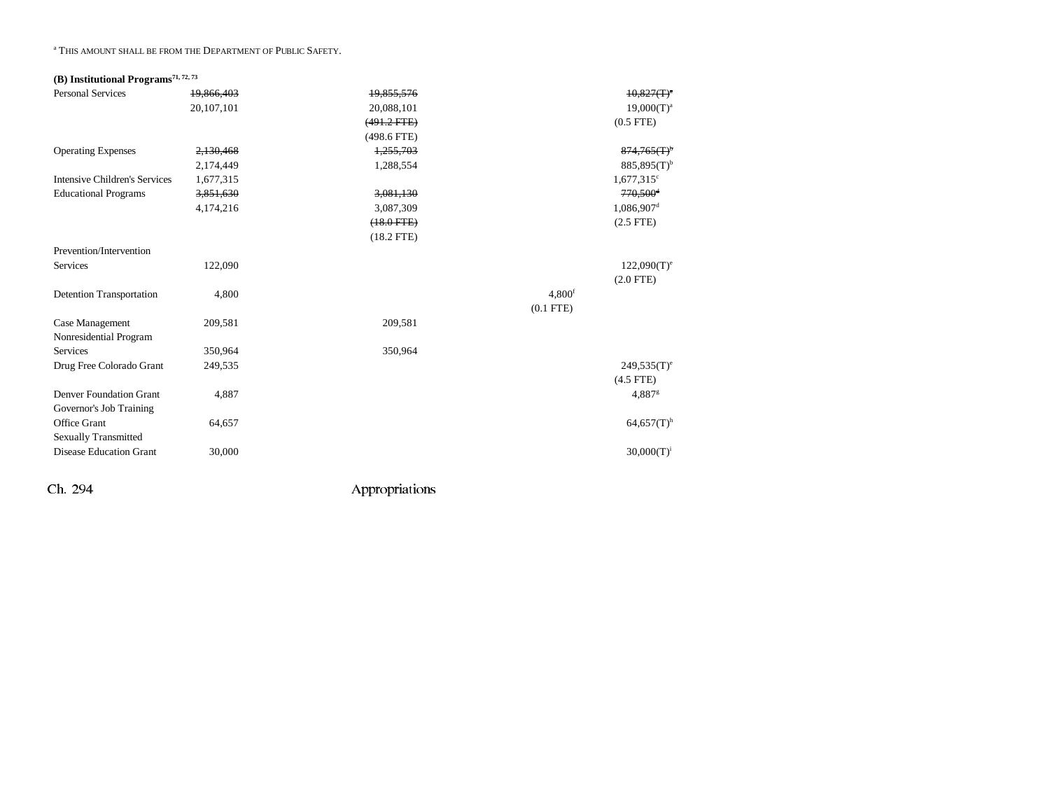#### a THIS AMOUNT SHALL BE FROM THE DEPARTMENT OF PUBLIC SAFETY.

## **(B) Institutional Programs71, 72, 73**

| <b>Personal Services</b>             | 19,866,403 | 19,855,576       |                    | $10,827(T)^4$                            |
|--------------------------------------|------------|------------------|--------------------|------------------------------------------|
|                                      | 20,107,101 | 20,088,101       |                    | $19,000(T)^a$                            |
|                                      |            | $(491.2$ FTE $)$ |                    | $(0.5$ FTE)                              |
|                                      |            | $(498.6$ FTE)    |                    |                                          |
| <b>Operating Expenses</b>            | 2,130,468  | 1,255,703        |                    | $874,765$ $\textcircled{r}$ <sup>b</sup> |
|                                      | 2,174,449  | 1,288,554        |                    | $885,895(T)$ <sup>b</sup>                |
| <b>Intensive Children's Services</b> | 1,677,315  |                  |                    | $1,677,315$ <sup>c</sup>                 |
| <b>Educational Programs</b>          | 3,851,630  | 3,081,130        |                    | $770,500$ <sup>d</sup>                   |
|                                      | 4,174,216  | 3,087,309        |                    | $1,086,907$ <sup>d</sup>                 |
|                                      |            | $(18.0$ FTE $)$  |                    | $(2.5$ FTE $)$                           |
|                                      |            | $(18.2$ FTE)     |                    |                                          |
| Prevention/Intervention              |            |                  |                    |                                          |
| <b>Services</b>                      | 122,090    |                  |                    | $122,090(T)$ <sup>e</sup>                |
|                                      |            |                  |                    | $(2.0$ FTE)                              |
| <b>Detention Transportation</b>      | 4,800      |                  | 4.800 <sup>f</sup> |                                          |
|                                      |            |                  | $(0.1$ FTE $)$     |                                          |
| Case Management                      | 209,581    | 209,581          |                    |                                          |
| Nonresidential Program               |            |                  |                    |                                          |
| <b>Services</b>                      | 350,964    | 350,964          |                    |                                          |
| Drug Free Colorado Grant             | 249,535    |                  |                    | $249.535(T)$ <sup>e</sup>                |
|                                      |            |                  |                    | $(4.5$ FTE)                              |
| <b>Denver Foundation Grant</b>       | 4,887      |                  |                    | 4,887 <sup>g</sup>                       |
| Governor's Job Training              |            |                  |                    |                                          |
| Office Grant                         | 64,657     |                  |                    | $64,657(T)$ <sup>h</sup>                 |
| <b>Sexually Transmitted</b>          |            |                  |                    |                                          |
| <b>Disease Education Grant</b>       | 30,000     |                  |                    | $30,000(T)^{i}$                          |
|                                      |            |                  |                    |                                          |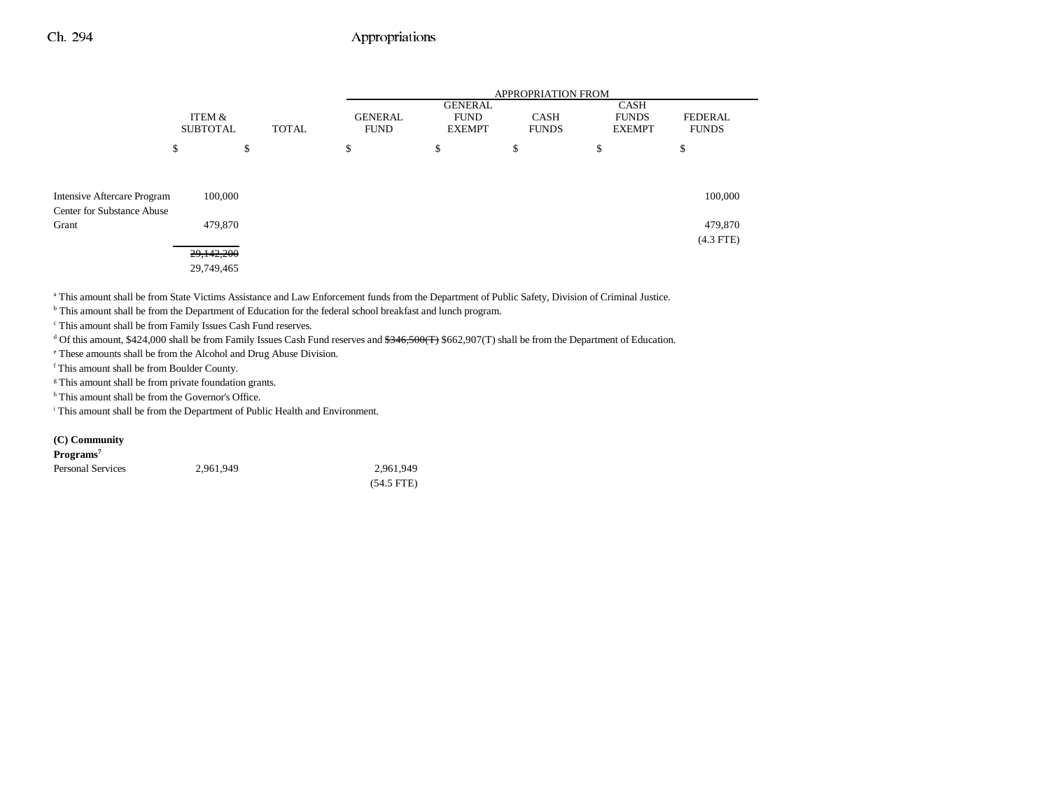|                                                                           |                           |              |                               |                                                | <b>APPROPRIATION FROM</b>   |                                       |                                |
|---------------------------------------------------------------------------|---------------------------|--------------|-------------------------------|------------------------------------------------|-----------------------------|---------------------------------------|--------------------------------|
|                                                                           | ITEM &<br><b>SUBTOTAL</b> | <b>TOTAL</b> | <b>GENERAL</b><br><b>FUND</b> | <b>GENERAL</b><br><b>FUND</b><br><b>EXEMPT</b> | <b>CASH</b><br><b>FUNDS</b> | CASH<br><b>FUNDS</b><br><b>EXEMPT</b> | <b>FEDERAL</b><br><b>FUNDS</b> |
|                                                                           | \$                        | \$           | \$                            | \$                                             | ¢<br>Ф                      | \$                                    | ¢<br>Φ                         |
| Intensive Aftercare Program<br><b>Center for Substance Abuse</b><br>Grant | 100,000<br>479,870        |              |                               |                                                |                             |                                       | 100,000<br>479,870             |
|                                                                           | 29,142,200<br>29,749,465  |              |                               |                                                |                             |                                       | $(4.3$ FTE)                    |

a This amount shall be from State Victims Assistance and Law Enforcement funds from the Department of Public Safety, Division of Criminal Justice.

b This amount shall be from the Department of Education for the federal school breakfast and lunch program.

c This amount shall be from Family Issues Cash Fund reserves.

<sup>d</sup> Of this amount, \$424,000 shall be from Family Issues Cash Fund reserves and <del>\$346,500(T)</del> \$662,907(T) shall be from the Department of Education.

e These amounts shall be from the Alcohol and Drug Abuse Division.

f This amount shall be from Boulder County.

<sup>g</sup> This amount shall be from private foundation grants.

h This amount shall be from the Governor's Office.

i This amount shall be from the Department of Public Health and Environment.

#### **(C) Community**

| Programs <sup>7</sup> |           |              |
|-----------------------|-----------|--------------|
| Personal Services     | 2.961.949 | 2.961.949    |
|                       |           | $(54.5$ FTE) |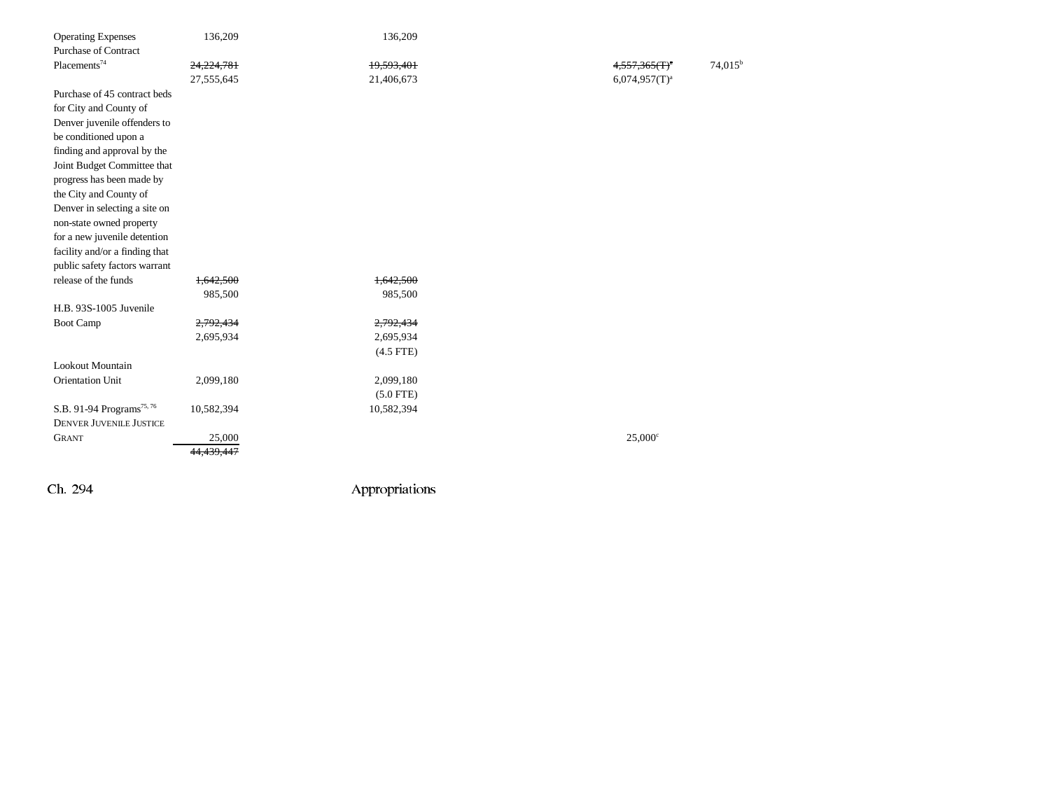| <b>Operating Expenses</b>             | 136,209                | 136,209     |                  |
|---------------------------------------|------------------------|-------------|------------------|
| <b>Purchase of Contract</b>           |                        |             |                  |
| Placements <sup>74</sup>              | 24,224,781             | 19,593,401  | $74,015^b$       |
|                                       | 27,555,645             | 21,406,673  | $6,074,957(T)^a$ |
| Purchase of 45 contract beds          |                        |             |                  |
| for City and County of                |                        |             |                  |
| Denver juvenile offenders to          |                        |             |                  |
| be conditioned upon a                 |                        |             |                  |
| finding and approval by the           |                        |             |                  |
| Joint Budget Committee that           |                        |             |                  |
| progress has been made by             |                        |             |                  |
| the City and County of                |                        |             |                  |
| Denver in selecting a site on         |                        |             |                  |
| non-state owned property              |                        |             |                  |
| for a new juvenile detention          |                        |             |                  |
| facility and/or a finding that        |                        |             |                  |
| public safety factors warrant         |                        |             |                  |
| release of the funds                  | 1,642,500              | 1,642,500   |                  |
|                                       | 985,500                | 985,500     |                  |
| H.B. 93S-1005 Juvenile                |                        |             |                  |
| Boot Camp                             | 2,792,434              | 2,792,434   |                  |
|                                       | 2,695,934              | 2,695,934   |                  |
|                                       |                        | $(4.5$ FTE) |                  |
| Lookout Mountain                      |                        |             |                  |
| Orientation Unit                      | 2,099,180              | 2,099,180   |                  |
|                                       |                        | $(5.0$ FTE) |                  |
| S.B. 91-94 Programs <sup>75, 76</sup> | 10,582,394             | 10,582,394  |                  |
| <b>DENVER JUVENILE JUSTICE</b>        |                        |             |                  |
| <b>GRANT</b>                          | 25,000                 |             | $25,000^{\circ}$ |
|                                       | 44,439,44 <del>7</del> |             |                  |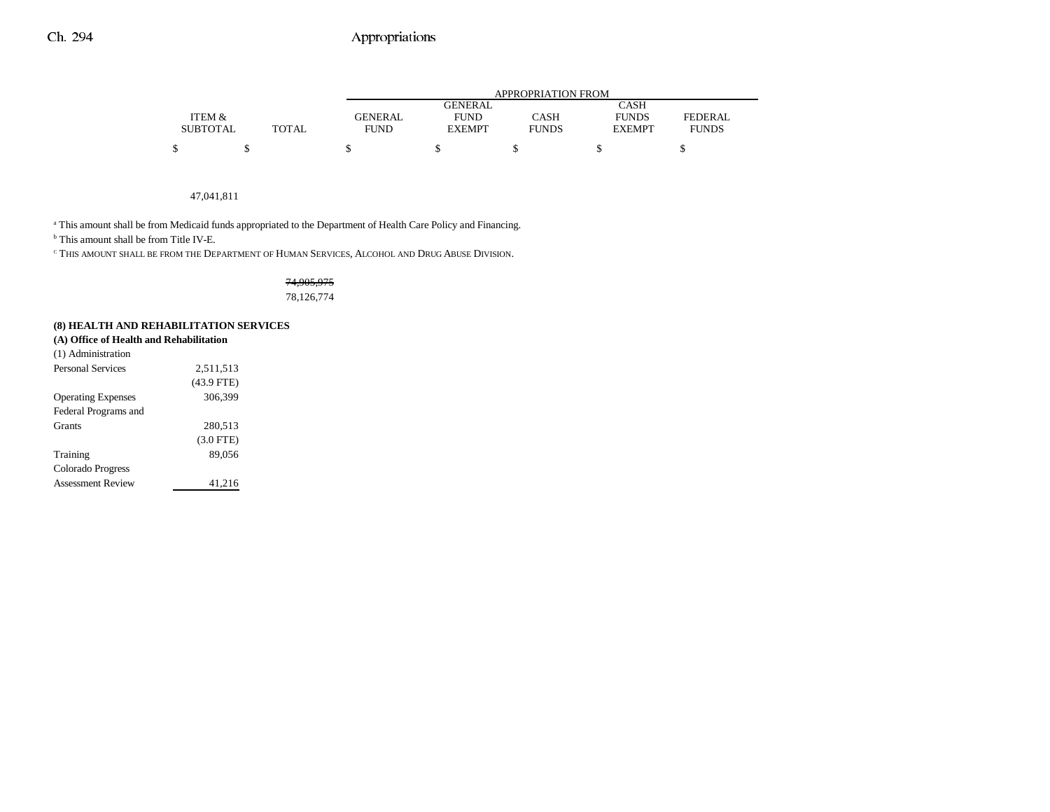|                 |              |                |                | APPROPRIATION FROM |               |                |
|-----------------|--------------|----------------|----------------|--------------------|---------------|----------------|
|                 |              |                | <b>GENERAL</b> |                    | <b>CASH</b>   |                |
| ITEM &          |              | <b>GENERAL</b> | <b>FUND</b>    | <b>CASH</b>        | <b>FUNDS</b>  | <b>FEDERAL</b> |
| <b>SUBTOTAL</b> | <b>TOTAL</b> | <b>FUND</b>    | <b>EXEMPT</b>  | <b>FUNDS</b>       | <b>EXEMPT</b> | <b>FUNDS</b>   |
| ሖ               |              |                |                |                    |               |                |

#### 47,041,811

<sup>a</sup> This amount shall be from Medicaid funds appropriated to the Department of Health Care Policy and Financing.

b This amount shall be from Title IV-E.

 $^\mathrm{c}$  This amount shall be from the Department of Human Services, Alcohol and Drug Abuse Division.

### 74,905,975 78,126,774

## **(8) HEALTH AND REHABILITATION SERVICES**

|  | (A) Office of Health and Rehabilitation |
|--|-----------------------------------------|
|--|-----------------------------------------|

| (1) Administration        |              |
|---------------------------|--------------|
| <b>Personal Services</b>  | 2,511,513    |
|                           | $(43.9$ FTE) |
| <b>Operating Expenses</b> | 306,399      |
| Federal Programs and      |              |
| <b>Grants</b>             | 280,513      |
|                           | $(3.0$ FTE)  |
| Training                  | 89.056       |
| Colorado Progress         |              |
| <b>Assessment Review</b>  | 41,216       |
|                           |              |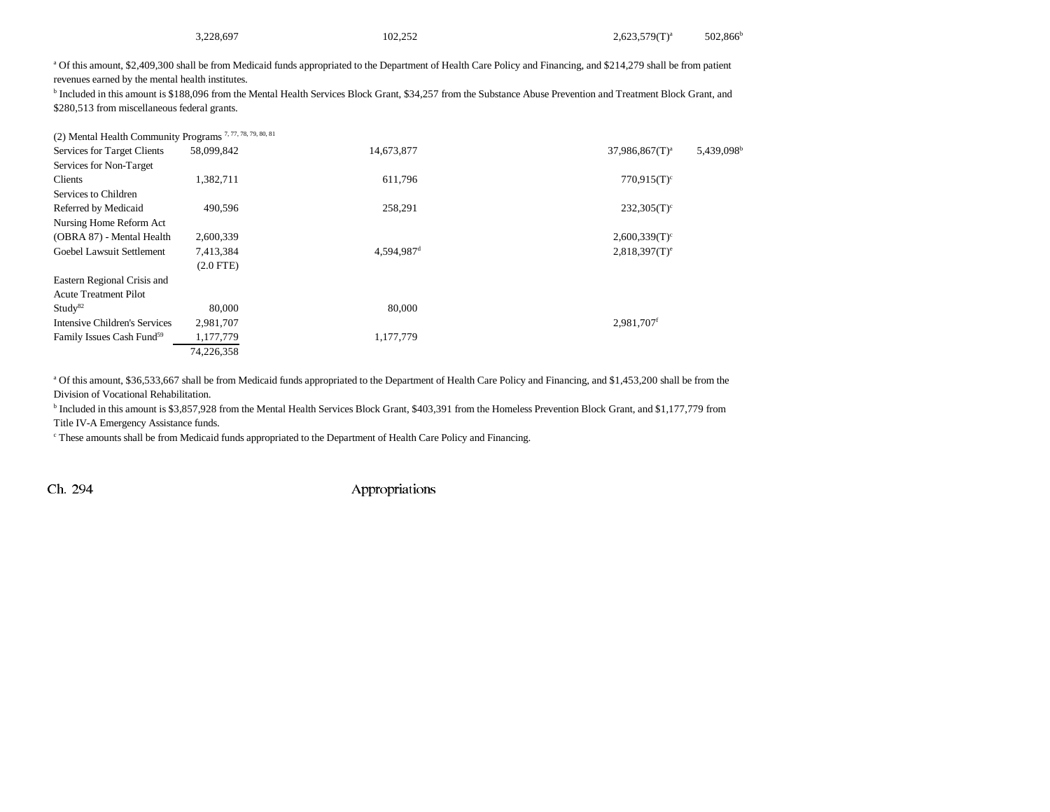| 3.228.697                                                                                                                                                                     | 102.252 | $2,623,579(T)^{a}$ | $502.866^{\text{t}}$ |
|-------------------------------------------------------------------------------------------------------------------------------------------------------------------------------|---------|--------------------|----------------------|
| <sup>a</sup> Of this amount, \$2,409,300 shall be from Medicaid funds appropriated to the Department of Health Care Policy and Financing, and \$214,279 shall be from patient |         |                    |                      |

revenues earned by the mental health institutes.

b Included in this amount is \$188,096 from the Mental Health Services Block Grant, \$34,257 from the Substance Abuse Prevention and Treatment Block Grant, and \$280,513 from miscellaneous federal grants.

| (2) Mental Health Community Programs <sup>7, 77, 78, 79, 80, 81</sup> |                |                        |                             |                        |
|-----------------------------------------------------------------------|----------------|------------------------|-----------------------------|------------------------|
| Services for Target Clients                                           | 58,099,842     | 14,673,877             | $37,986,867(T)^a$           | 5,439,098 <sup>b</sup> |
| Services for Non-Target                                               |                |                        |                             |                        |
| Clients                                                               | 1,382,711      | 611,796                | $770.915(T)^c$              |                        |
| Services to Children                                                  |                |                        |                             |                        |
| Referred by Medicaid                                                  | 490,596        | 258,291                | $232,305(T)$ <sup>c</sup>   |                        |
| Nursing Home Reform Act                                               |                |                        |                             |                        |
| (OBRA 87) - Mental Health                                             | 2,600,339      |                        | $2,600,339(T)^c$            |                        |
| Goebel Lawsuit Settlement                                             | 7,413,384      | 4,594,987 <sup>d</sup> | $2,818,397(T)$ <sup>e</sup> |                        |
|                                                                       | $(2.0$ FTE $)$ |                        |                             |                        |
| Eastern Regional Crisis and                                           |                |                        |                             |                        |
| <b>Acute Treatment Pilot</b>                                          |                |                        |                             |                        |
| Study <sup>82</sup>                                                   | 80,000         | 80,000                 |                             |                        |
| Intensive Children's Services                                         | 2,981,707      |                        | 2.981.707f                  |                        |
| Family Issues Cash Fund <sup>59</sup>                                 | 1,177,779      | 1,177,779              |                             |                        |
|                                                                       | 74,226,358     |                        |                             |                        |

a Of this amount, \$36,533,667 shall be from Medicaid funds appropriated to the Department of Health Care Policy and Financing, and \$1,453,200 shall be from the Division of Vocational Rehabilitation.

b Included in this amount is \$3,857,928 from the Mental Health Services Block Grant, \$403,391 from the Homeless Prevention Block Grant, and \$1,177,779 from Title IV-A Emergency Assistance funds.

c These amounts shall be from Medicaid funds appropriated to the Department of Health Care Policy and Financing.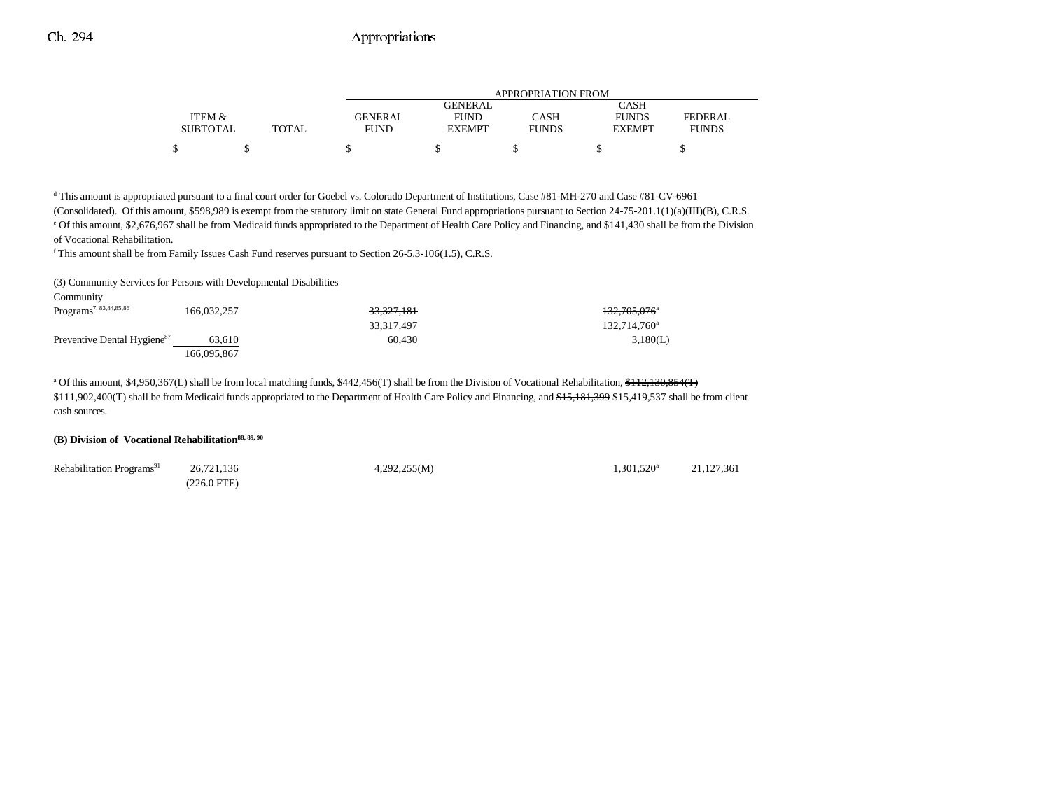|                 |       | APPROPRIATION FROM |               |              |               |                |
|-----------------|-------|--------------------|---------------|--------------|---------------|----------------|
|                 |       |                    | GENERAL       |              | CASH          |                |
| ITEM &          |       | <b>GENERAL</b>     | <b>FUND</b>   | CASH         | <b>FUNDS</b>  | <b>FEDERAL</b> |
| <b>SUBTOTAL</b> | TOTAL | <b>FUND</b>        | <b>EXEMPT</b> | <b>FUNDS</b> | <b>EXEMPT</b> | <b>FUNDS</b>   |
| \$              |       |                    |               |              |               |                |

d This amount is appropriated pursuant to a final court order for Goebel vs. Colorado Department of Institutions, Case #81-MH-270 and Case #81-CV-6961

(Consolidated). Of this amount, \$598,989 is exempt from the statutory limit on state General Fund appropriations pursuant to Section 24-75-201.1(1)(a)(III)(B), C.R.S. e Of this amount, \$2,676,967 shall be from Medicaid funds appropriated to the Department of Health Care Policy and Financing, and \$141,430 shall be from the Division

of Vocational Rehabilitation.

f This amount shall be from Family Issues Cash Fund reserves pursuant to Section 26-5.3-106(1.5), C.R.S.

(3) Community Services for Persons with Developmental Disabilities

| Community                               |             |                       |                          |
|-----------------------------------------|-------------|-----------------------|--------------------------|
| Programs <sup>7, 83,84,85,86</sup>      | 166.032.257 | <del>33,327,181</del> | <del>132,705,076</del> ° |
|                                         |             | 33.317.497            | 132,714,760 <sup>a</sup> |
| Preventive Dental Hygiene <sup>87</sup> | 63.610      | 60.430                | 3,180(L)                 |
|                                         | 166.095.867 |                       |                          |

<sup>a</sup> Of this amount, \$4,950,367(L) shall be from local matching funds, \$442,456(T) shall be from the Division of Vocational Rehabilitation, \$112,130,854(T) \$111,902,400(T) shall be from Medicaid funds appropriated to the Department of Health Care Policy and Financing, and \$15,181,399 \$15,419,537 shall be from client cash sources.

#### **(B) Division of Vocational Rehabilitation88, 89, 90**

| Rehabilitation Programs <sup>91</sup> | 26,721,136            | 4,292,255(M) | $1,301,520$ <sup>a</sup> | 21,127,361 |
|---------------------------------------|-----------------------|--------------|--------------------------|------------|
|                                       | $(226.0 \text{ FTE})$ |              |                          |            |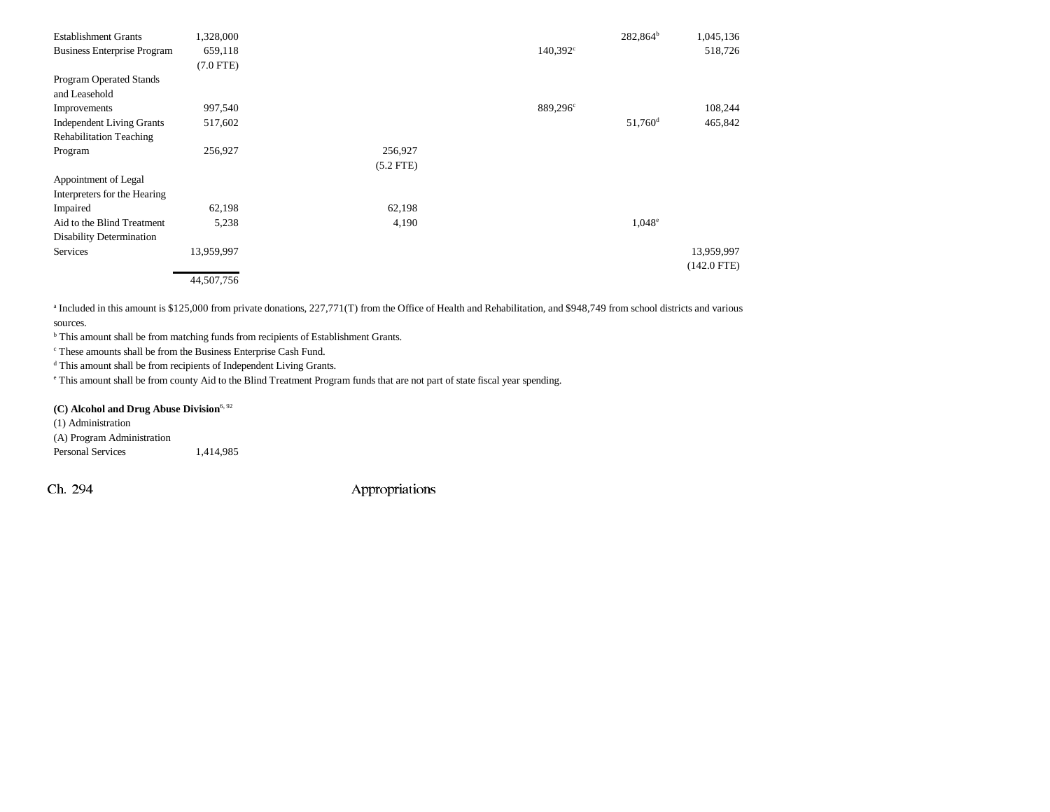| <b>Establishment Grants</b>        | 1,328,000      |             |                      | $282,864^b$         | 1,045,136     |
|------------------------------------|----------------|-------------|----------------------|---------------------|---------------|
| <b>Business Enterprise Program</b> | 659,118        |             | $140,392^{\circ}$    |                     | 518,726       |
|                                    | $(7.0$ FTE $)$ |             |                      |                     |               |
| Program Operated Stands            |                |             |                      |                     |               |
| and Leasehold                      |                |             |                      |                     |               |
| Improvements                       | 997,540        |             | 889,296 <sup>c</sup> |                     | 108,244       |
| <b>Independent Living Grants</b>   | 517,602        |             |                      | 51,760 <sup>d</sup> | 465,842       |
| <b>Rehabilitation Teaching</b>     |                |             |                      |                     |               |
| Program                            | 256,927        | 256,927     |                      |                     |               |
|                                    |                | $(5.2$ FTE) |                      |                     |               |
| Appointment of Legal               |                |             |                      |                     |               |
| Interpreters for the Hearing       |                |             |                      |                     |               |
| Impaired                           | 62,198         | 62,198      |                      |                     |               |
| Aid to the Blind Treatment         | 5,238          | 4,190       |                      | $1,048^e$           |               |
| <b>Disability Determination</b>    |                |             |                      |                     |               |
| Services                           | 13,959,997     |             |                      |                     | 13,959,997    |
|                                    |                |             |                      |                     | $(142.0$ FTE) |
|                                    | 44,507,756     |             |                      |                     |               |

<sup>a</sup> Included in this amount is \$125,000 from private donations, 227,771(T) from the Office of Health and Rehabilitation, and \$948,749 from school districts and various sources.

b This amount shall be from matching funds from recipients of Establishment Grants.

c These amounts shall be from the Business Enterprise Cash Fund.

d This amount shall be from recipients of Independent Living Grants.

e This amount shall be from county Aid to the Blind Treatment Program funds that are not part of state fiscal year spending.

(C) Alcohol and Drug Abuse Division<sup>6, 92</sup>

(1) Administration (A) Program Administration Personal Services 1,414,985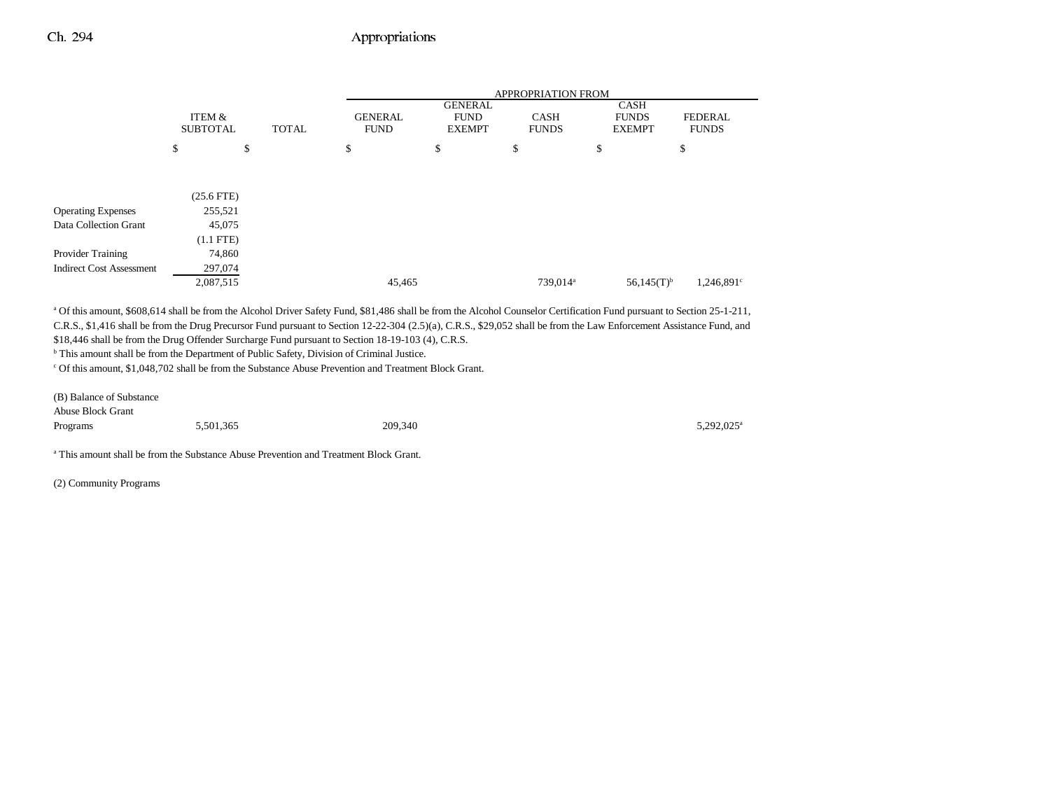|                                 |                           |              |                               |                                                | APPROPRIATION FROM          |                                              |                                |
|---------------------------------|---------------------------|--------------|-------------------------------|------------------------------------------------|-----------------------------|----------------------------------------------|--------------------------------|
|                                 | ITEM &<br><b>SUBTOTAL</b> | <b>TOTAL</b> | <b>GENERAL</b><br><b>FUND</b> | <b>GENERAL</b><br><b>FUND</b><br><b>EXEMPT</b> | <b>CASH</b><br><b>FUNDS</b> | <b>CASH</b><br><b>FUNDS</b><br><b>EXEMPT</b> | <b>FEDERAL</b><br><b>FUNDS</b> |
|                                 | \$<br>\$                  |              | \$                            | \$                                             | \$                          | \$                                           | \$                             |
|                                 |                           |              |                               |                                                |                             |                                              |                                |
|                                 | $(25.6$ FTE)              |              |                               |                                                |                             |                                              |                                |
| <b>Operating Expenses</b>       | 255,521                   |              |                               |                                                |                             |                                              |                                |
| Data Collection Grant           | 45,075                    |              |                               |                                                |                             |                                              |                                |
|                                 | $(1.1$ FTE)               |              |                               |                                                |                             |                                              |                                |
| Provider Training               | 74,860                    |              |                               |                                                |                             |                                              |                                |
| <b>Indirect Cost Assessment</b> | 297,074                   |              |                               |                                                |                             |                                              |                                |
|                                 | 2,087,515                 |              | 45,465                        |                                                | 739,014 <sup>a</sup>        | $56,145(T)^{b}$                              | 1,246,891 <sup>c</sup>         |

a Of this amount, \$608,614 shall be from the Alcohol Driver Safety Fund, \$81,486 shall be from the Alcohol Counselor Certification Fund pursuant to Section 25-1-211, C.R.S., \$1,416 shall be from the Drug Precursor Fund pursuant to Section 12-22-304 (2.5)(a), C.R.S., \$29,052 shall be from the Law Enforcement Assistance Fund, and \$18,446 shall be from the Drug Offender Surcharge Fund pursuant to Section 18-19-103 (4), C.R.S.

b This amount shall be from the Department of Public Safety, Division of Criminal Justice.

c Of this amount, \$1,048,702 shall be from the Substance Abuse Prevention and Treatment Block Grant.

| (B) Balance of Substance |           |         |                        |
|--------------------------|-----------|---------|------------------------|
| <b>Abuse Block Grant</b> |           |         |                        |
| Programs                 | 5,501,365 | 209,340 | 5,292,025 <sup>a</sup> |

a This amount shall be from the Substance Abuse Prevention and Treatment Block Grant.

(2) Community Programs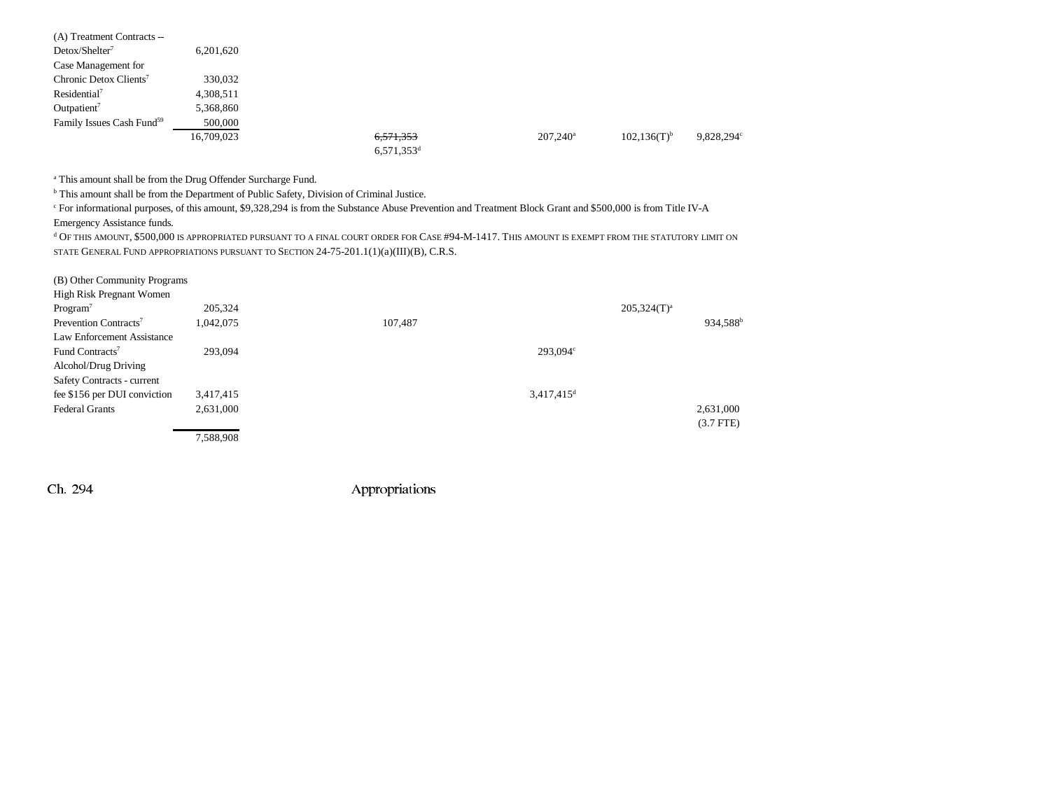| (A) Treatment Contracts --            |            |                          |             |                           |            |
|---------------------------------------|------------|--------------------------|-------------|---------------------------|------------|
| $Detox/Shelter^7$                     | 6,201,620  |                          |             |                           |            |
| Case Management for                   |            |                          |             |                           |            |
| Chronic Detox Clients <sup>7</sup>    | 330,032    |                          |             |                           |            |
| Residental <sup>7</sup>               | 4,308,511  |                          |             |                           |            |
| Outpatient <sup>7</sup>               | 5,368,860  |                          |             |                           |            |
| Family Issues Cash Fund <sup>59</sup> | 500,000    |                          |             |                           |            |
|                                       | 16,709,023 | 6,571,353                | $207,240^a$ | $102,136(T)$ <sup>b</sup> | 9,828,294° |
|                                       |            | $6,571,353$ <sup>d</sup> |             |                           |            |
|                                       |            |                          |             |                           |            |

a This amount shall be from the Drug Offender Surcharge Fund.

b This amount shall be from the Department of Public Safety, Division of Criminal Justice.

c For informational purposes, of this amount, \$9,328,294 is from the Substance Abuse Prevention and Treatment Block Grant and \$500,000 is from Title IV-A

Emergency Assistance funds.

d Of this amount, \$500,000 is appropriated pursuant to a final court order for Case #94-M-1417. This amount is exempt from the statutory limit on STATE GENERAL FUND APPROPRIATIONS PURSUANT TO SECTION 24-75-201.1(1)(a)(III)(B), C.R.S.

| (B) Other Community Programs      |           |         |                          |                  |                      |
|-----------------------------------|-----------|---------|--------------------------|------------------|----------------------|
| High Risk Pregnant Women          |           |         |                          |                  |                      |
| Program <sup>7</sup>              | 205,324   |         |                          | $205,324(T)^{a}$ |                      |
| Prevention Contracts <sup>7</sup> | 1,042,075 | 107,487 |                          |                  | 934,588 <sup>b</sup> |
| Law Enforcement Assistance        |           |         |                          |                  |                      |
| Fund Contracts <sup>7</sup>       | 293,094   |         | 293,094°                 |                  |                      |
| Alcohol/Drug Driving              |           |         |                          |                  |                      |
| Safety Contracts - current        |           |         |                          |                  |                      |
| fee \$156 per DUI conviction      | 3,417,415 |         | $3,417,415$ <sup>d</sup> |                  |                      |
| <b>Federal Grants</b>             | 2,631,000 |         |                          |                  | 2,631,000            |
|                                   |           |         |                          |                  | $(3.7$ FTE $)$       |
|                                   | 7,588,908 |         |                          |                  |                      |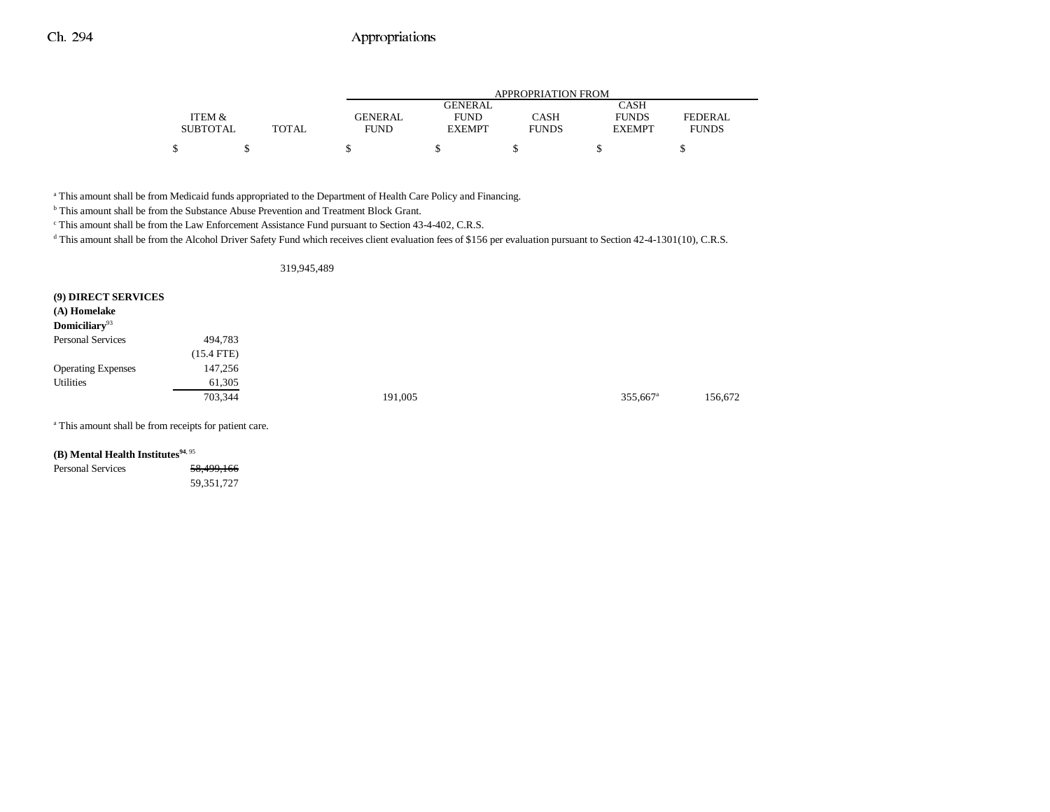|                 |       | APPROPRIATION FROM |                |              |               |              |
|-----------------|-------|--------------------|----------------|--------------|---------------|--------------|
|                 |       |                    | <b>GENERAL</b> |              | CASH          |              |
| ITEM &          |       | GENERAL            | <b>FUND</b>    | CASH         | <b>FUNDS</b>  | FEDERAL      |
| <b>SUBTOTAL</b> | TOTAL | <b>FUND</b>        | <b>EXEMPT</b>  | <b>FUNDS</b> | <b>EXEMPT</b> | <b>FUNDS</b> |
|                 |       |                    |                |              |               |              |

<sup>a</sup> This amount shall be from Medicaid funds appropriated to the Department of Health Care Policy and Financing.

b This amount shall be from the Substance Abuse Prevention and Treatment Block Grant.

c This amount shall be from the Law Enforcement Assistance Fund pursuant to Section 43-4-402, C.R.S.

<sup>d</sup> This amount shall be from the Alcohol Driver Safety Fund which receives client evaluation fees of \$156 per evaluation pursuant to Section 42-4-1301(10), C.R.S.

#### 319,945,489

| (9) DIRECT SERVICES<br>(A) Homelake<br>Domiciliary <sup>93</sup> |              |         |                      |         |
|------------------------------------------------------------------|--------------|---------|----------------------|---------|
| <b>Personal Services</b>                                         | 494,783      |         |                      |         |
|                                                                  | $(15.4$ FTE) |         |                      |         |
| <b>Operating Expenses</b>                                        | 147,256      |         |                      |         |
| Utilities                                                        | 61,305       |         |                      |         |
|                                                                  | 703,344      | 191,005 | 355,667 <sup>a</sup> | 156,672 |
|                                                                  |              |         |                      |         |

a This amount shall be from receipts for patient care.

**(B)** Mental Health Institutes<sup>94, 95</sup>

Personal Services 58,499,166 59,351,727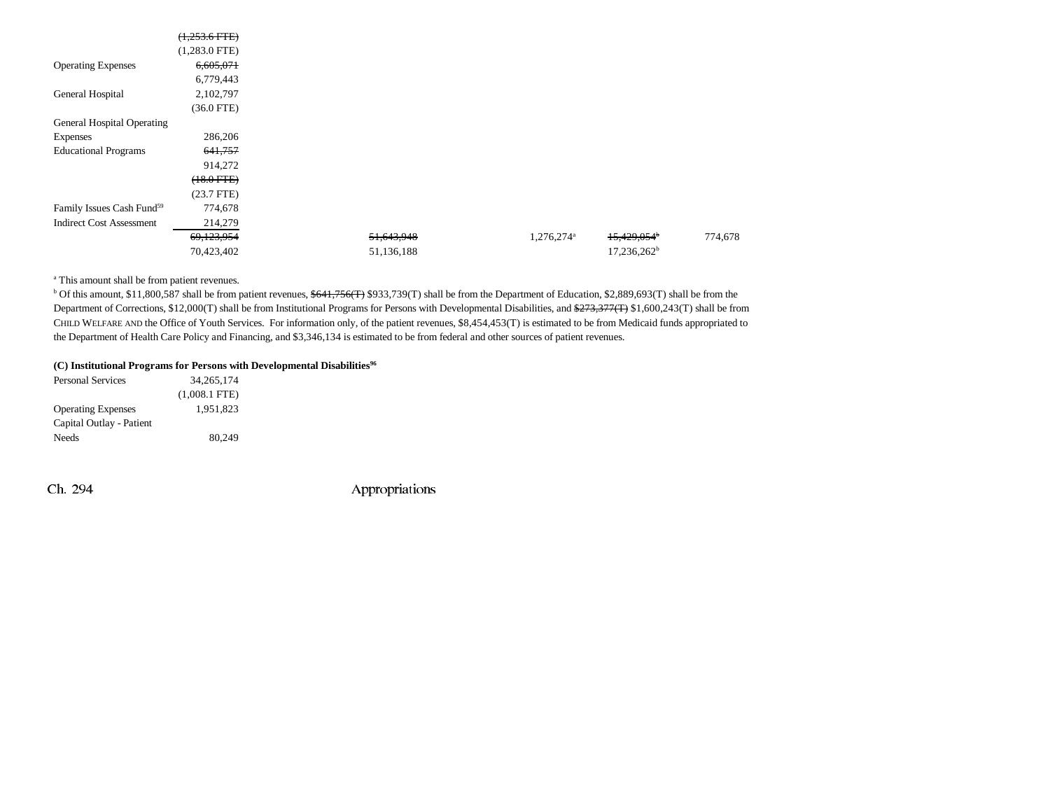|                                       | $(1,253.6$ FTE) |            |                        |                           |  |
|---------------------------------------|-----------------|------------|------------------------|---------------------------|--|
|                                       | $(1,283.0$ FTE) |            |                        |                           |  |
| <b>Operating Expenses</b>             | 6,605,071       |            |                        |                           |  |
|                                       | 6,779,443       |            |                        |                           |  |
| General Hospital                      | 2,102,797       |            |                        |                           |  |
|                                       | $(36.0$ FTE)    |            |                        |                           |  |
| General Hospital Operating            |                 |            |                        |                           |  |
| Expenses                              | 286,206         |            |                        |                           |  |
| <b>Educational Programs</b>           | 641,757         |            |                        |                           |  |
|                                       | 914,272         |            |                        |                           |  |
|                                       | $(18.0$ FTE $)$ |            |                        |                           |  |
|                                       | (23.7 FTE)      |            |                        |                           |  |
| Family Issues Cash Fund <sup>59</sup> | 774,678         |            |                        |                           |  |
| <b>Indirect Cost Assessment</b>       | 214,279         |            |                        |                           |  |
|                                       | 69,123,954      | 51,643,948 | 1,276,274 <sup>a</sup> | $15,429,054$ <sup>b</sup> |  |
|                                       | 70,423,402      | 51,136,188 |                        | 17,236,262 <sup>b</sup>   |  |

a This amount shall be from patient revenues.

<sup>b</sup> Of this amount, \$11,800,587 shall be from patient revenues, \$641,756(T) \$933,739(T) shall be from the Department of Education, \$2,889,693(T) shall be from the Department of Corrections, \$12,000(T) shall be from Institutional Programs for Persons with Developmental Disabilities, and \$273,377(T) \$1,600,243(T) shall be from CHILD WELFARE AND the Office of Youth Services. For information only, of the patient revenues, \$8,454,453(T) is estimated to be from Medicaid funds appropriated to the Department of Health Care Policy and Financing, and \$3,346,134 is estimated to be from federal and other sources of patient revenues.

#### **(C) Institutional Programs for Persons with Developmental Disabilities96**

| <b>Personal Services</b>  | 34.265.174      |
|---------------------------|-----------------|
|                           | $(1,008.1$ FTE) |
| <b>Operating Expenses</b> | 1.951.823       |
| Capital Outlay - Patient  |                 |
| Needs                     | 80,249          |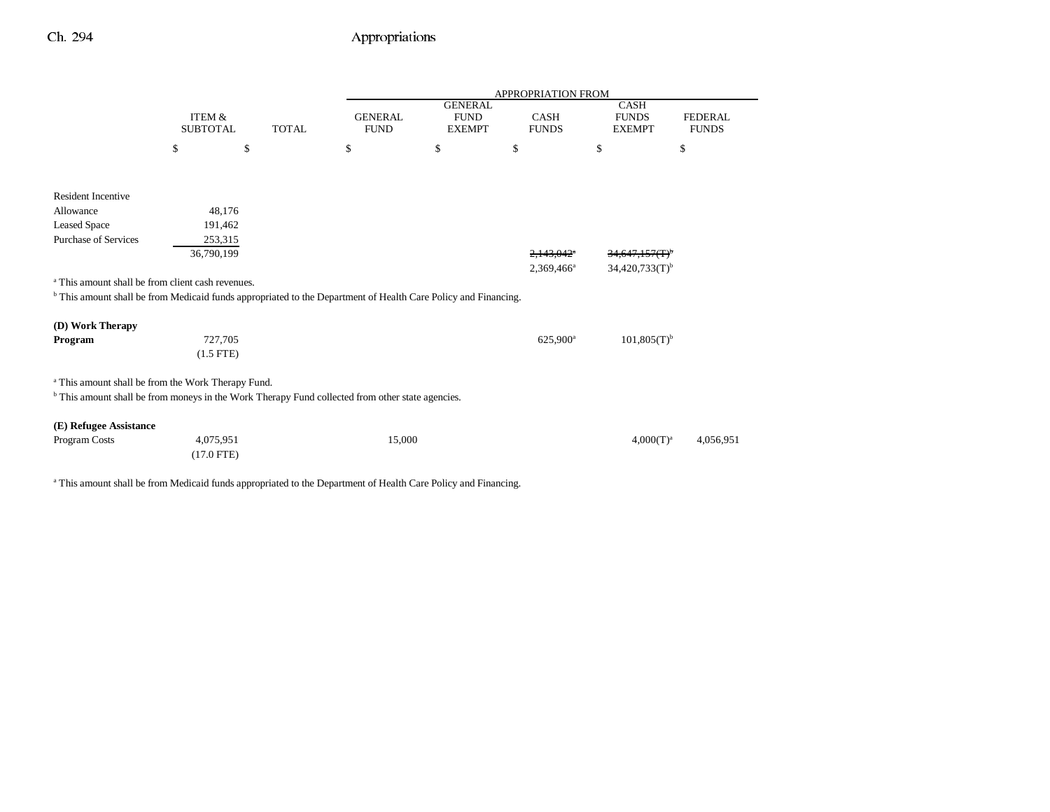|                                                                                                                           |                                      |              |                               |                                                | <b>APPROPRIATION FROM</b> |                                              |                                |
|---------------------------------------------------------------------------------------------------------------------------|--------------------------------------|--------------|-------------------------------|------------------------------------------------|---------------------------|----------------------------------------------|--------------------------------|
|                                                                                                                           | <b>ITEM &amp;</b><br><b>SUBTOTAL</b> | <b>TOTAL</b> | <b>GENERAL</b><br><b>FUND</b> | <b>GENERAL</b><br><b>FUND</b><br><b>EXEMPT</b> | CASH<br><b>FUNDS</b>      | <b>CASH</b><br><b>FUNDS</b><br><b>EXEMPT</b> | <b>FEDERAL</b><br><b>FUNDS</b> |
|                                                                                                                           | \$                                   | \$           | \$                            | $\mathbb{S}$                                   | \$                        | \$                                           | \$                             |
|                                                                                                                           |                                      |              |                               |                                                |                           |                                              |                                |
| <b>Resident Incentive</b>                                                                                                 |                                      |              |                               |                                                |                           |                                              |                                |
| Allowance                                                                                                                 | 48,176                               |              |                               |                                                |                           |                                              |                                |
| <b>Leased Space</b>                                                                                                       | 191,462                              |              |                               |                                                |                           |                                              |                                |
| Purchase of Services                                                                                                      | 253,315                              |              |                               |                                                |                           |                                              |                                |
|                                                                                                                           | 36,790,199                           |              |                               |                                                | 2,143,042 <sup>a</sup>    | 34,647,157(T) <sup>b</sup>                   |                                |
|                                                                                                                           |                                      |              |                               |                                                | 2,369,466 <sup>a</sup>    | $34,420,733(T)$ <sup>b</sup>                 |                                |
| <sup>a</sup> This amount shall be from client cash revenues.                                                              |                                      |              |                               |                                                |                           |                                              |                                |
| <sup>b</sup> This amount shall be from Medicaid funds appropriated to the Department of Health Care Policy and Financing. |                                      |              |                               |                                                |                           |                                              |                                |
| (D) Work Therapy                                                                                                          |                                      |              |                               |                                                |                           |                                              |                                |
| Program                                                                                                                   | 727,705                              |              |                               |                                                | 625,900 <sup>a</sup>      | $101,805(T)^{b}$                             |                                |
|                                                                                                                           | $(1.5$ FTE)                          |              |                               |                                                |                           |                                              |                                |
|                                                                                                                           |                                      |              |                               |                                                |                           |                                              |                                |
| <sup>a</sup> This amount shall be from the Work Therapy Fund.                                                             |                                      |              |                               |                                                |                           |                                              |                                |
| <sup>b</sup> This amount shall be from moneys in the Work Therapy Fund collected from other state agencies.               |                                      |              |                               |                                                |                           |                                              |                                |
| (E) Refugee Assistance                                                                                                    |                                      |              |                               |                                                |                           |                                              |                                |
| Program Costs                                                                                                             | 4,075,951                            |              | 15,000                        |                                                |                           | $4,000(T)^{a}$                               | 4,056,951                      |
|                                                                                                                           | $(17.0$ FTE)                         |              |                               |                                                |                           |                                              |                                |
|                                                                                                                           |                                      |              |                               |                                                |                           |                                              |                                |

<sup>a</sup> This amount shall be from Medicaid funds appropriated to the Department of Health Care Policy and Financing.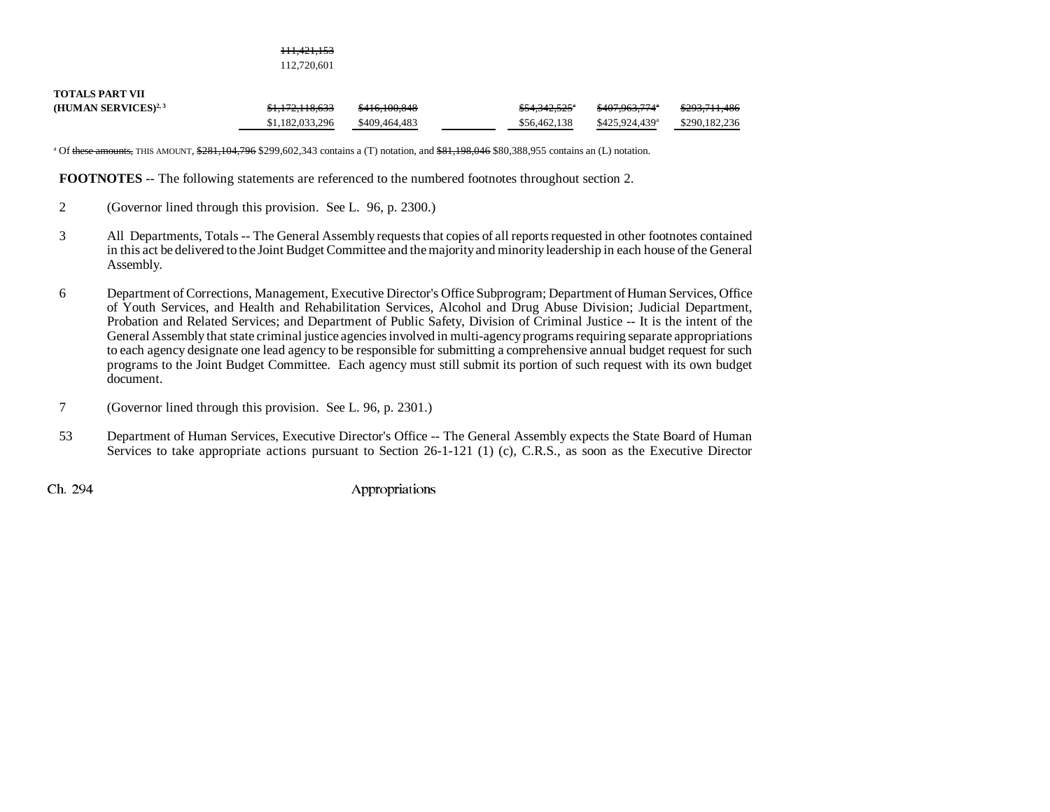111,421,153 112,720,601

| <b>TOTALS PART VII</b>           |                            |               |                           |                            |                          |
|----------------------------------|----------------------------|---------------|---------------------------|----------------------------|--------------------------|
| (HUMAN SERVICES) <sup>2, 3</sup> | <del>\$1,172,118,633</del> | \$416,100,848 | <del>\$54,342,525</del> * | <del>\$407.963.774</del> ª | <del>\$293,711,486</del> |
|                                  | \$1,182,033,296            | \$409,464,483 | \$56,462,138              | \$425,924,439 <sup>a</sup> | \$290.182.236            |

<sup>a</sup> Of these amounts, THIS AMOUNT, \$281,104,796 \$299,602,343 contains a (T) notation, and \$81,198,046 \$80,388,955 contains an (L) notation.

**FOOTNOTES** -- The following statements are referenced to the numbered footnotes throughout section 2.

- 2 (Governor lined through this provision. See L. 96, p. 2300.)
- 3 All Departments, Totals -- The General Assembly requests that copies of all reports requested in other footnotes contained in this act be delivered to the Joint Budget Committee and the majority and minority leadership in each house of the General Assembly.
- 6 Department of Corrections, Management, Executive Director's Office Subprogram; Department of Human Services, Office of Youth Services, and Health and Rehabilitation Services, Alcohol and Drug Abuse Division; Judicial Department, Probation and Related Services; and Department of Public Safety, Division of Criminal Justice -- It is the intent of the General Assembly that state criminal justice agencies involved in multi-agency programs requiring separate appropriations to each agency designate one lead agency to be responsible for submitting a comprehensive annual budget request for such programs to the Joint Budget Committee. Each agency must still submit its portion of such request with its own budget document.
- 7 (Governor lined through this provision. See L. 96, p. 2301.)
- 53 Department of Human Services, Executive Director's Office -- The General Assembly expects the State Board of Human Services to take appropriate actions pursuant to Section 26-1-121 (1) (c), C.R.S., as soon as the Executive Director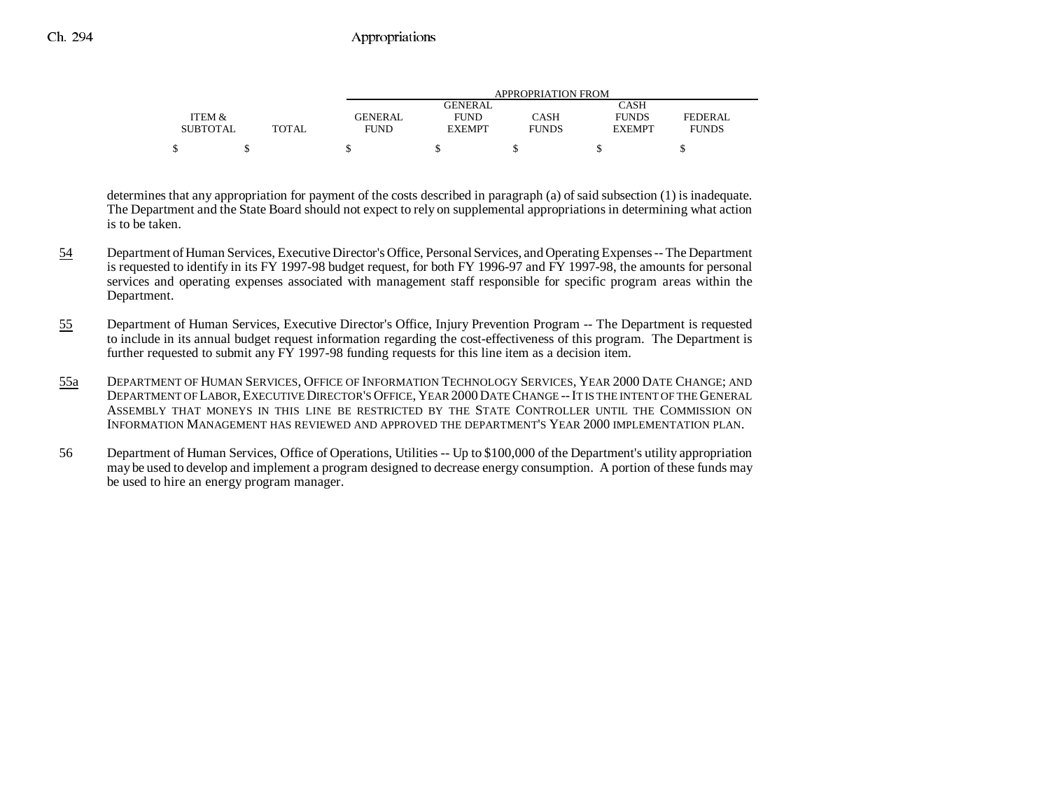|                 |              |             |                | APPROPRIATION FROM |               |              |
|-----------------|--------------|-------------|----------------|--------------------|---------------|--------------|
|                 |              |             | <b>GENERAL</b> |                    | CASH          |              |
| ITEM &          |              | GENERAL     | <b>FUND</b>    | CASH               | <b>FUNDS</b>  | FEDERAL      |
| <b>SUBTOTAL</b> | <b>TOTAL</b> | <b>FUND</b> | <b>EXEMPT</b>  | <b>FUNDS</b>       | <b>EXEMPT</b> | <b>FUNDS</b> |
|                 |              |             |                |                    |               |              |
|                 |              |             |                |                    |               |              |

determines that any appropriation for payment of the costs described in paragraph (a) of said subsection (1) is inadequate. The Department and the State Board should not expect to rely on supplemental appropriations in determining what action is to be taken.

- 54 Department of Human Services, Executive Director's Office, Personal Services, and Operating Expenses -- The Department is requested to identify in its FY 1997-98 budget request, for both FY 1996-97 and FY 1997-98, the amounts for personal services and operating expenses associated with management staff responsible for specific program areas within the Department.
- 55 Department of Human Services, Executive Director's Office, Injury Prevention Program -- The Department is requested to include in its annual budget request information regarding the cost-effectiveness of this program. The Department is further requested to submit any FY 1997-98 funding requests for this line item as a decision item.
- 55a DEPARTMENT OF HUMAN SERVICES, OFFICE OF INFORMATION TECHNOLOGY SERVICES, YEAR 2000 DATE CHANGE; AND DEPARTMENT OF LABOR, EXECUTIVE DIRECTOR'S OFFICE, YEAR 2000DATE CHANGE --IT IS THE INTENT OF THE GENERAL ASSEMBLY THAT MONEYS IN THIS LINE BE RESTRICTED BY THE STATE CONTROLLER UNTIL THE COMMISSION ONINFORMATION MANAGEMENT HAS REVIEWED AND APPROVED THE DEPARTMENT'S YEAR 2000 IMPLEMENTATION PLAN.
- 56 Department of Human Services, Office of Operations, Utilities -- Up to \$100,000 of the Department's utility appropriation may be used to develop and implement a program designed to decrease energy consumption. A portion of these funds may be used to hire an energy program manager.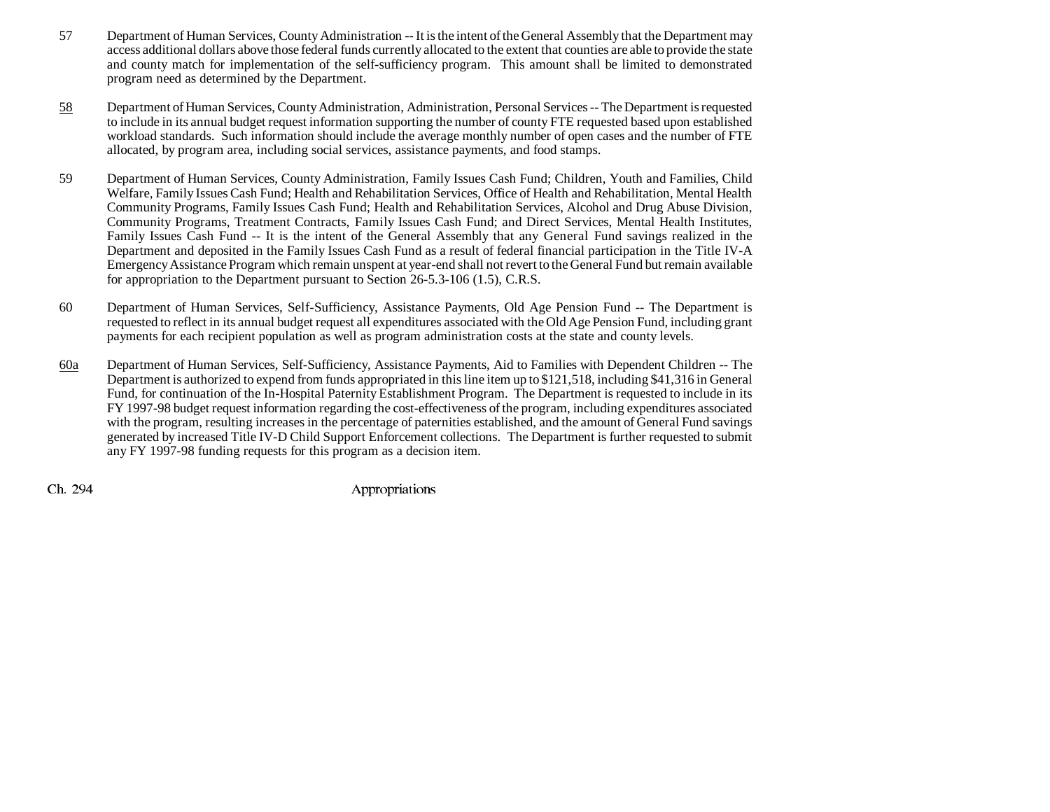- 57 Department of Human Services, County Administration -- It is the intent of the General Assembly that the Department may access additional dollars above those federal funds currently allocated to the extent that counties are able to provide the state and county match for implementation of the self-sufficiency program. This amount shall be limited to demonstrated program need as determined by the Department.
- 58 Department of Human Services, County Administration, Administration, Personal Services -- The Department is requested to include in its annual budget request information supporting the number of county FTE requested based upon established workload standards. Such information should include the average monthly number of open cases and the number of FTE allocated, by program area, including social services, assistance payments, and food stamps.
- 59 Department of Human Services, County Administration, Family Issues Cash Fund; Children, Youth and Families, Child Welfare, Family Issues Cash Fund; Health and Rehabilitation Services, Office of Health and Rehabilitation, Mental Health Community Programs, Family Issues Cash Fund; Health and Rehabilitation Services, Alcohol and Drug Abuse Division, Community Programs, Treatment Contracts, Family Issues Cash Fund; and Direct Services, Mental Health Institutes, Family Issues Cash Fund -- It is the intent of the General Assembly that any General Fund savings realized in the Department and deposited in the Family Issues Cash Fund as a result of federal financial participation in the Title IV-A Emergency Assistance Program which remain unspent at year-end shall not revert to the General Fund but remain available for appropriation to the Department pursuant to Section 26-5.3-106 (1.5), C.R.S.
- 60 Department of Human Services, Self-Sufficiency, Assistance Payments, Old Age Pension Fund -- The Department is requested to reflect in its annual budget request all expenditures associated with the Old Age Pension Fund, including grant payments for each recipient population as well as program administration costs at the state and county levels.
- 60a Department of Human Services, Self-Sufficiency, Assistance Payments, Aid to Families with Dependent Children -- The Department is authorized to expend from funds appropriated in this line item up to \$121,518, including \$41,316 in General Fund, for continuation of the In-Hospital Paternity Establishment Program. The Department is requested to include in its FY 1997-98 budget request information regarding the cost-effectiveness of the program, including expenditures associated with the program, resulting increases in the percentage of paternities established, and the amount of General Fund savings generated by increased Title IV-D Child Support Enforcement collections. The Department is further requested to submit any FY 1997-98 funding requests for this program as a decision item.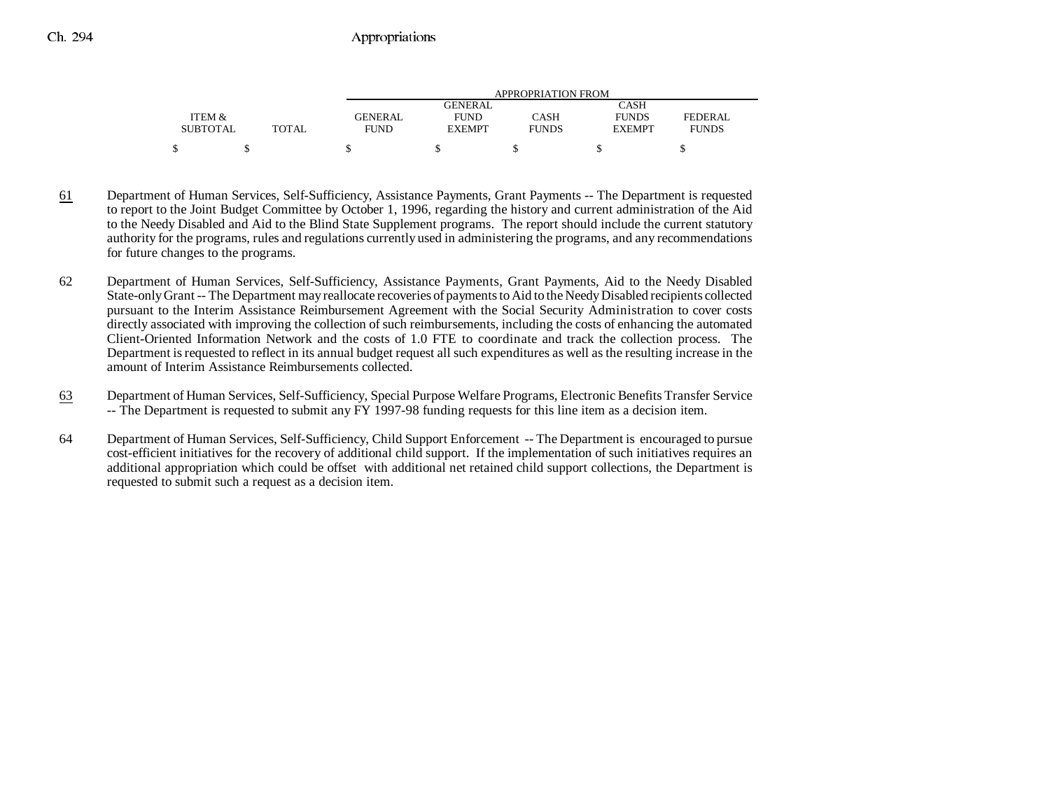|                 |       |             |                | APPROPRIATION FROM |               |              |
|-----------------|-------|-------------|----------------|--------------------|---------------|--------------|
|                 |       |             | <b>GENERAL</b> |                    | CASH          |              |
| ITEM &          |       | GENERAL     | <b>FUND</b>    | CASH               | <b>FUNDS</b>  | FEDERAL      |
| <b>SUBTOTAL</b> | TOTAL | <b>FUND</b> | <b>EXEMPT</b>  | <b>FUNDS</b>       | <b>EXEMPT</b> | <b>FUNDS</b> |
| \$              |       |             |                |                    |               |              |

- 61 Department of Human Services, Self-Sufficiency, Assistance Payments, Grant Payments -- The Department is requested to report to the Joint Budget Committee by October 1, 1996, regarding the history and current administration of the Aid to the Needy Disabled and Aid to the Blind State Supplement programs. The report should include the current statutory authority for the programs, rules and regulations currently used in administering the programs, and any recommendations for future changes to the programs.
- 62 Department of Human Services, Self-Sufficiency, Assistance Payments, Grant Payments, Aid to the Needy Disabled State-only Grant -- The Department may reallocate recoveries of payments to Aid to the Needy Disabled recipients collected pursuant to the Interim Assistance Reimbursement Agreement with the Social Security Administration to cover costs directly associated with improving the collection of such reimbursements, including the costs of enhancing the automated Client-Oriented Information Network and the costs of 1.0 FTE to coordinate and track the collection process. The Department is requested to reflect in its annual budget request all such expenditures as well as the resulting increase in the amount of Interim Assistance Reimbursements collected.
- 63 Department of Human Services, Self-Sufficiency, Special Purpose Welfare Programs, Electronic Benefits Transfer Service -- The Department is requested to submit any FY 1997-98 funding requests for this line item as a decision item.
- 64 Department of Human Services, Self-Sufficiency, Child Support Enforcement -- The Department is encouraged to pursue cost-efficient initiatives for the recovery of additional child support. If the implementation of such initiatives requires an additional appropriation which could be offset with additional net retained child support collections, the Department is requested to submit such a request as a decision item.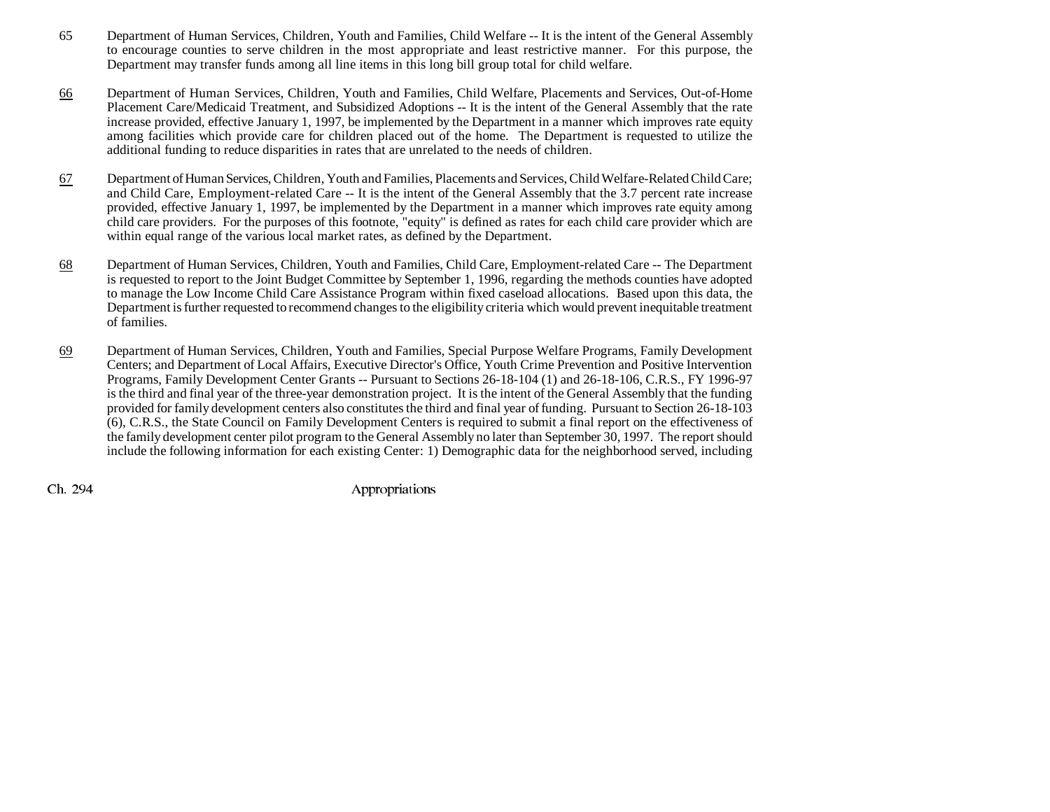- 65 Department of Human Services, Children, Youth and Families, Child Welfare -- It is the intent of the General Assembly to encourage counties to serve children in the most appropriate and least restrictive manner. For this purpose, the Department may transfer funds among all line items in this long bill group total for child welfare.
- 66 Department of Human Services, Children, Youth and Families, Child Welfare, Placements and Services, Out-of-Home Placement Care/Medicaid Treatment, and Subsidized Adoptions -- It is the intent of the General Assembly that the rate increase provided, effective January 1, 1997, be implemented by the Department in a manner which improves rate equity among facilities which provide care for children placed out of the home. The Department is requested to utilize the additional funding to reduce disparities in rates that are unrelated to the needs of children.
- 67 Department of Human Services, Children, Youth and Families, Placements and Services, Child Welfare-Related Child Care; and Child Care, Employment-related Care -- It is the intent of the General Assembly that the 3.7 percent rate increase provided, effective January 1, 1997, be implemented by the Department in a manner which improves rate equity among child care providers. For the purposes of this footnote, "equity" is defined as rates for each child care provider which are within equal range of the various local market rates, as defined by the Department.
- 68 Department of Human Services, Children, Youth and Families, Child Care, Employment-related Care -- The Department is requested to report to the Joint Budget Committee by September 1, 1996, regarding the methods counties have adopted to manage the Low Income Child Care Assistance Program within fixed caseload allocations. Based upon this data, the Department is further requested to recommend changes to the eligibility criteria which would prevent inequitable treatment of families.
- 69 Department of Human Services, Children, Youth and Families, Special Purpose Welfare Programs, Family Development Centers; and Department of Local Affairs, Executive Director's Office, Youth Crime Prevention and Positive Intervention Programs, Family Development Center Grants -- Pursuant to Sections 26-18-104 (1) and 26-18-106, C.R.S., FY 1996-97 is the third and final year of the three-year demonstration project. It is the intent of the General Assembly that the funding provided for family development centers also constitutes the third and final year of funding. Pursuant to Section 26-18-103 (6), C.R.S., the State Council on Family Development Centers is required to submit a final report on the effectiveness of the family development center pilot program to the General Assembly no later than September 30, 1997. The report should include the following information for each existing Center: 1) Demographic data for the neighborhood served, including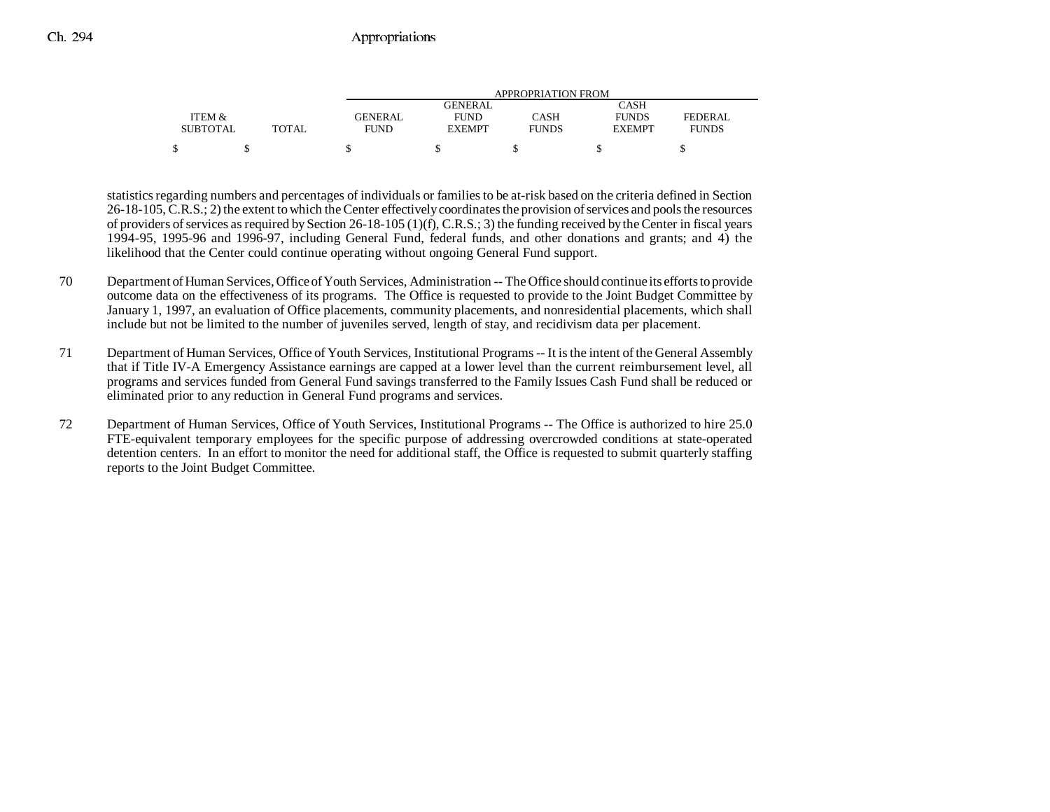|                 |       |             |                | APPROPRIATION FROM |               |              |
|-----------------|-------|-------------|----------------|--------------------|---------------|--------------|
|                 |       |             | <b>GENERAL</b> |                    | CASH          |              |
| ITEM &          |       | GENERAL     | <b>FUND</b>    | CASH               | <b>FUNDS</b>  | FEDERAL      |
| <b>SUBTOTAL</b> | TOTAL | <b>FUND</b> | <b>EXEMPT</b>  | <b>FUNDS</b>       | <b>EXEMPT</b> | <b>FUNDS</b> |
|                 |       |             |                |                    |               |              |

statistics regarding numbers and percentages of individuals or families to be at-risk based on the criteria defined in Section 26-18-105, C.R.S.; 2) the extent to which the Center effectively coordinates the provision of services and pools the resources of providers of services as required by Section 26-18-105 (1)(f), C.R.S.; 3) the funding received by the Center in fiscal years 1994-95, 1995-96 and 1996-97, including General Fund, federal funds, and other donations and grants; and 4) the likelihood that the Center could continue operating without ongoing General Fund support.

- 70 Department of Human Services, Office of Youth Services, Administration -- The Office should continue its efforts to provide outcome data on the effectiveness of its programs. The Office is requested to provide to the Joint Budget Committee by January 1, 1997, an evaluation of Office placements, community placements, and nonresidential placements, which shall include but not be limited to the number of juveniles served, length of stay, and recidivism data per placement.
- 71 Department of Human Services, Office of Youth Services, Institutional Programs -- It is the intent of the General Assembly that if Title IV-A Emergency Assistance earnings are capped at a lower level than the current reimbursement level, all programs and services funded from General Fund savings transferred to the Family Issues Cash Fund shall be reduced or eliminated prior to any reduction in General Fund programs and services.
- 72 Department of Human Services, Office of Youth Services, Institutional Programs -- The Office is authorized to hire 25.0 FTE-equivalent temporary employees for the specific purpose of addressing overcrowded conditions at state-operated detention centers. In an effort to monitor the need for additional staff, the Office is requested to submit quarterly staffing reports to the Joint Budget Committee.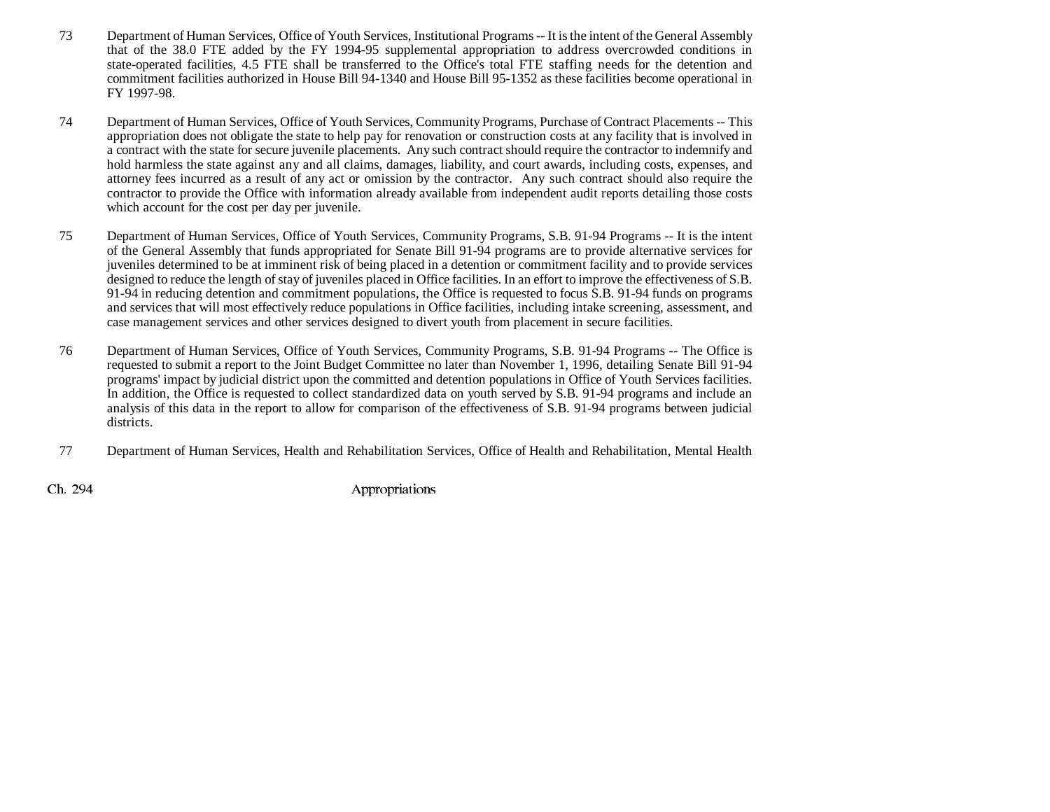- 73 Department of Human Services, Office of Youth Services, Institutional Programs -- It is the intent of the General Assembly that of the 38.0 FTE added by the FY 1994-95 supplemental appropriation to address overcrowded conditions in state-operated facilities, 4.5 FTE shall be transferred to the Office's total FTE staffing needs for the detention and commitment facilities authorized in House Bill 94-1340 and House Bill 95-1352 as these facilities become operational in FY 1997-98.
- 74 Department of Human Services, Office of Youth Services, Community Programs, Purchase of Contract Placements -- This appropriation does not obligate the state to help pay for renovation or construction costs at any facility that is involved in a contract with the state for secure juvenile placements. Any such contract should require the contractor to indemnify and hold harmless the state against any and all claims, damages, liability, and court awards, including costs, expenses, and attorney fees incurred as a result of any act or omission by the contractor. Any such contract should also require the contractor to provide the Office with information already available from independent audit reports detailing those costs which account for the cost per day per juvenile.
- 75 Department of Human Services, Office of Youth Services, Community Programs, S.B. 91-94 Programs -- It is the intent of the General Assembly that funds appropriated for Senate Bill 91-94 programs are to provide alternative services for juveniles determined to be at imminent risk of being placed in a detention or commitment facility and to provide services designed to reduce the length of stay of juveniles placed in Office facilities. In an effort to improve the effectiveness of S.B. 91-94 in reducing detention and commitment populations, the Office is requested to focus S.B. 91-94 funds on programs and services that will most effectively reduce populations in Office facilities, including intake screening, assessment, and case management services and other services designed to divert youth from placement in secure facilities.
- 76 Department of Human Services, Office of Youth Services, Community Programs, S.B. 91-94 Programs -- The Office is requested to submit a report to the Joint Budget Committee no later than November 1, 1996, detailing Senate Bill 91-94 programs' impact by judicial district upon the committed and detention populations in Office of Youth Services facilities. In addition, the Office is requested to collect standardized data on youth served by S.B. 91-94 programs and include an analysis of this data in the report to allow for comparison of the effectiveness of S.B. 91-94 programs between judicial districts.
- 77 Department of Human Services, Health and Rehabilitation Services, Office of Health and Rehabilitation, Mental Health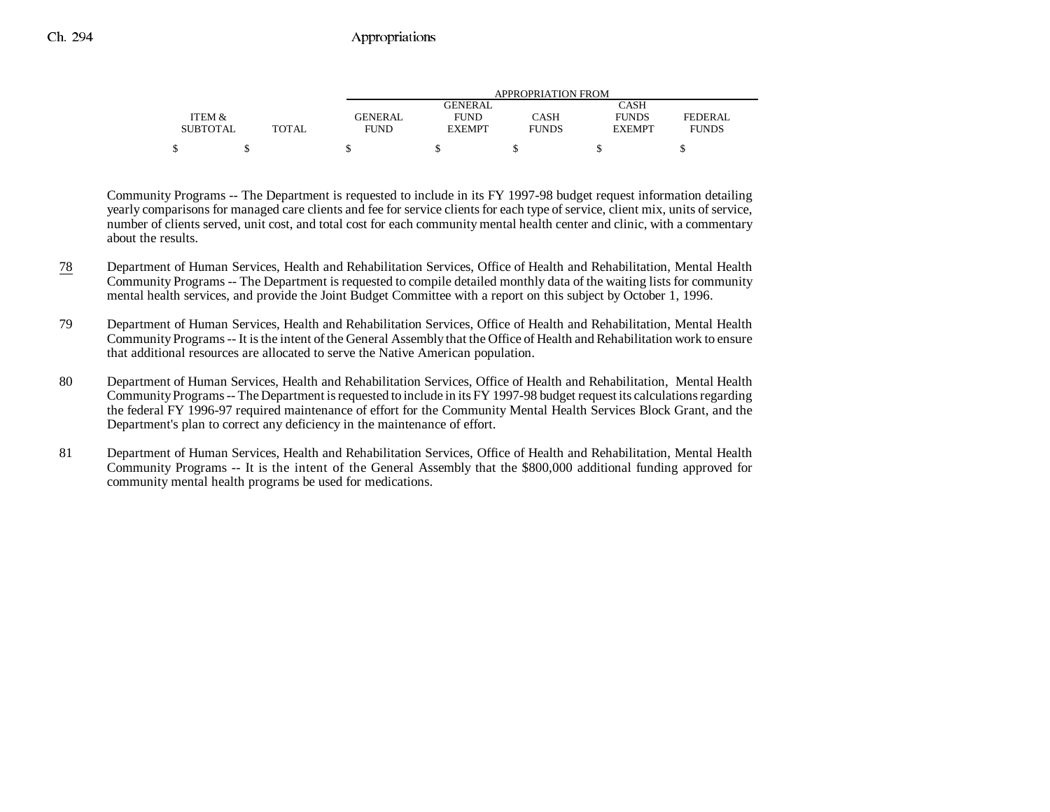|                 |       |                | APPROPRIATION FROM |              |               |              |  |  |
|-----------------|-------|----------------|--------------------|--------------|---------------|--------------|--|--|
|                 |       |                | <b>GENERAL</b>     |              | CASH          |              |  |  |
| ITEM &          |       | <b>GENERAL</b> | <b>FUND</b>        | CASH         | <b>FUNDS</b>  | FEDERAL      |  |  |
| <b>SUBTOTAL</b> | TOTAL | <b>FUND</b>    | <b>EXEMPT</b>      | <b>FUNDS</b> | <b>EXEMPT</b> | <b>FUNDS</b> |  |  |
|                 |       |                |                    |              |               |              |  |  |

Community Programs -- The Department is requested to include in its FY 1997-98 budget request information detailing yearly comparisons for managed care clients and fee for service clients for each type of service, client mix, units of service, number of clients served, unit cost, and total cost for each community mental health center and clinic, with a commentary about the results.

- 78 Department of Human Services, Health and Rehabilitation Services, Office of Health and Rehabilitation, Mental Health Community Programs -- The Department is requested to compile detailed monthly data of the waiting lists for community mental health services, and provide the Joint Budget Committee with a report on this subject by October 1, 1996.
- 79 Department of Human Services, Health and Rehabilitation Services, Office of Health and Rehabilitation, Mental Health Community Programs -- It is the intent of the General Assembly that the Office of Health and Rehabilitation work to ensure that additional resources are allocated to serve the Native American population.
- 80 Department of Human Services, Health and Rehabilitation Services, Office of Health and Rehabilitation, Mental Health Community Programs -- The Department is requested to include in its FY 1997-98 budget request its calculations regarding the federal FY 1996-97 required maintenance of effort for the Community Mental Health Services Block Grant, and the Department's plan to correct any deficiency in the maintenance of effort.
- 81 Department of Human Services, Health and Rehabilitation Services, Office of Health and Rehabilitation, Mental Health Community Programs -- It is the intent of the General Assembly that the \$800,000 additional funding approved for community mental health programs be used for medications.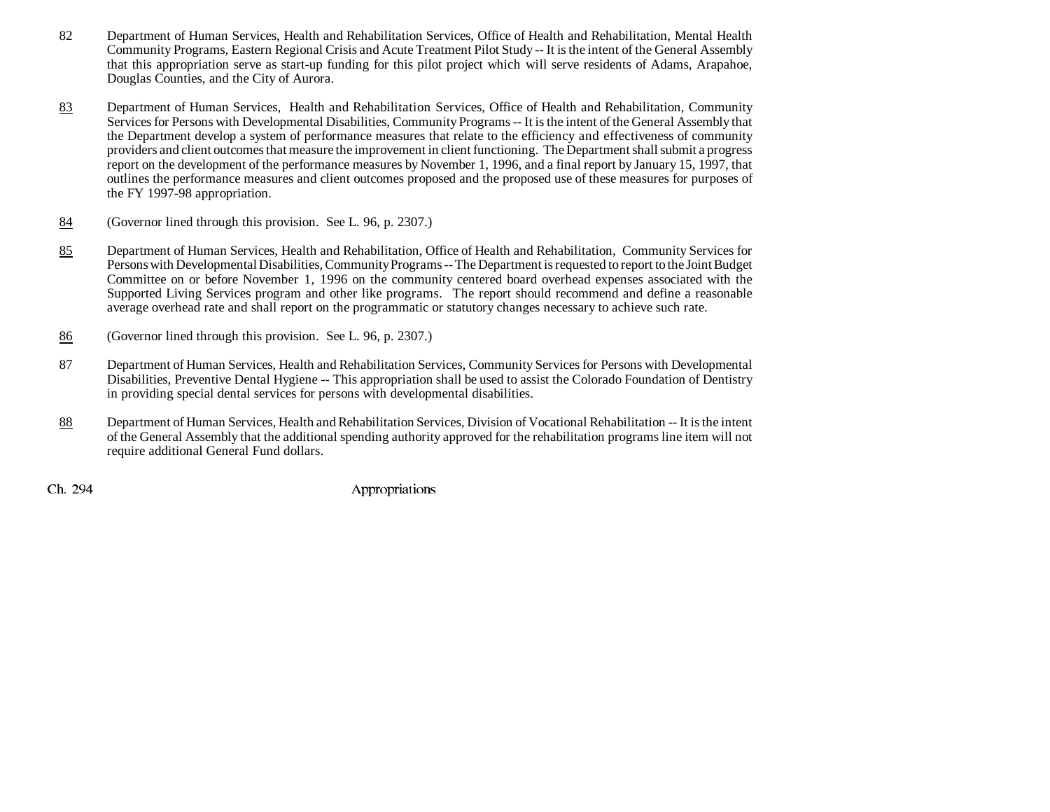- 82 Department of Human Services, Health and Rehabilitation Services, Office of Health and Rehabilitation, Mental Health Community Programs, Eastern Regional Crisis and Acute Treatment Pilot Study -- It is the intent of the General Assembly that this appropriation serve as start-up funding for this pilot project which will serve residents of Adams, Arapahoe, Douglas Counties, and the City of Aurora.
- 83 Department of Human Services, Health and Rehabilitation Services, Office of Health and Rehabilitation, Community Services for Persons with Developmental Disabilities, Community Programs -- It is the intent of the General Assembly that the Department develop a system of performance measures that relate to the efficiency and effectiveness of community providers and client outcomes that measure the improvement in client functioning. The Department shall submit a progress report on the development of the performance measures by November 1, 1996, and a final report by January 15, 1997, that outlines the performance measures and client outcomes proposed and the proposed use of these measures for purposes of the FY 1997-98 appropriation.
- 84(Governor lined through this provision. See L. 96, p. 2307.)
- 85 Department of Human Services, Health and Rehabilitation, Office of Health and Rehabilitation, Community Services for Persons with Developmental Disabilities, Community Programs -- The Department is requested to report to the Joint Budget Committee on or before November 1, 1996 on the community centered board overhead expenses associated with the Supported Living Services program and other like programs. The report should recommend and define a reasonable average overhead rate and shall report on the programmatic or statutory changes necessary to achieve such rate.
- 86(Governor lined through this provision. See L. 96, p. 2307.)
- 87 Department of Human Services, Health and Rehabilitation Services, Community Services for Persons with Developmental Disabilities, Preventive Dental Hygiene -- This appropriation shall be used to assist the Colorado Foundation of Dentistry in providing special dental services for persons with developmental disabilities.
- 88 Department of Human Services, Health and Rehabilitation Services, Division of Vocational Rehabilitation -- It is the intent of the General Assembly that the additional spending authority approved for the rehabilitation programs line item will not require additional General Fund dollars.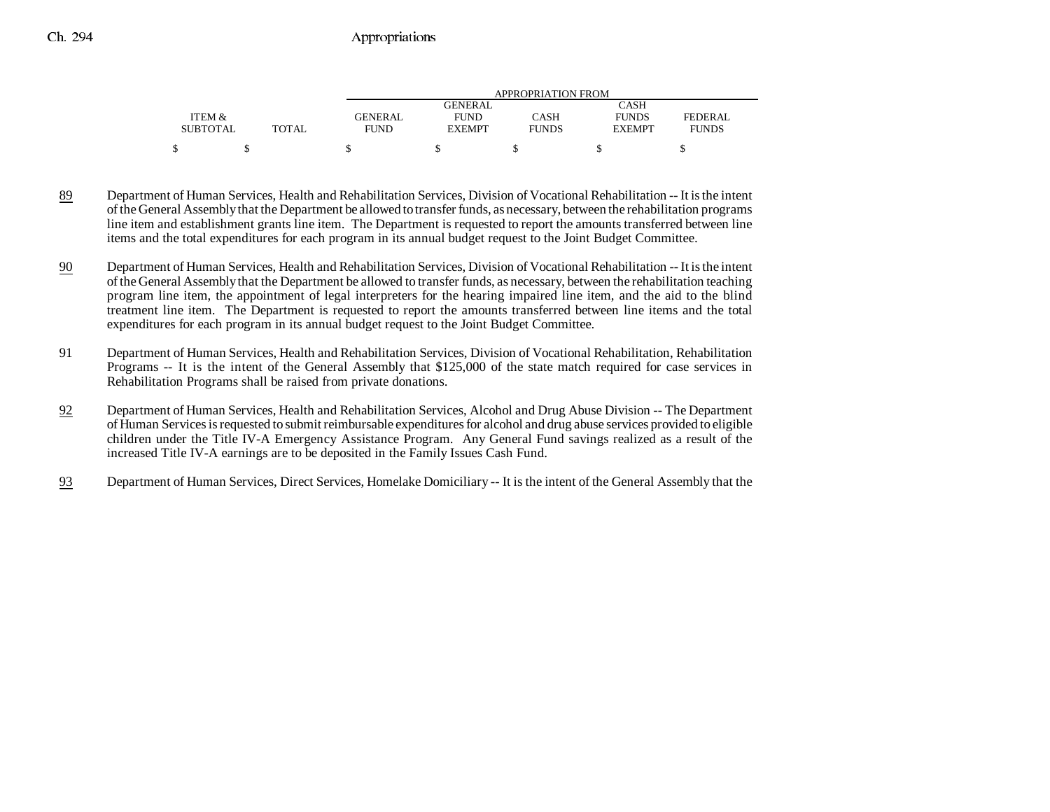|                 |       |             |               | APPROPRIATION FROM |               |              |
|-----------------|-------|-------------|---------------|--------------------|---------------|--------------|
|                 |       |             | GENERAL       |                    | CASH          |              |
| ITEM &          |       | GENERAL     | <b>FUND</b>   | CASH               | <b>FUNDS</b>  | FEDERAL      |
| <b>SUBTOTAL</b> | TOTAL | <b>FUND</b> | <b>EXEMPT</b> | <b>FUNDS</b>       | <b>EXEMPT</b> | <b>FUNDS</b> |
| ሖ               |       |             |               |                    |               |              |

- 89 Department of Human Services, Health and Rehabilitation Services, Division of Vocational Rehabilitation -- It is the intent of the General Assembly that the Department be allowed to transfer funds, as necessary, between the rehabilitation programs line item and establishment grants line item. The Department is requested to report the amounts transferred between line items and the total expenditures for each program in its annual budget request to the Joint Budget Committee.
- 90 Department of Human Services, Health and Rehabilitation Services, Division of Vocational Rehabilitation -- It is the intent of the General Assembly that the Department be allowed to transfer funds, as necessary, between the rehabilitation teaching program line item, the appointment of legal interpreters for the hearing impaired line item, and the aid to the blind treatment line item. The Department is requested to report the amounts transferred between line items and the total expenditures for each program in its annual budget request to the Joint Budget Committee.
- 91 Department of Human Services, Health and Rehabilitation Services, Division of Vocational Rehabilitation, Rehabilitation Programs -- It is the intent of the General Assembly that \$125,000 of the state match required for case services in Rehabilitation Programs shall be raised from private donations.
- 92 Department of Human Services, Health and Rehabilitation Services, Alcohol and Drug Abuse Division -- The Department of Human Services is requested to submit reimbursable expenditures for alcohol and drug abuse services provided to eligible children under the Title IV-A Emergency Assistance Program. Any General Fund savings realized as a result of the increased Title IV-A earnings are to be deposited in the Family Issues Cash Fund.
- 93Department of Human Services, Direct Services, Homelake Domiciliary -- It is the intent of the General Assembly that the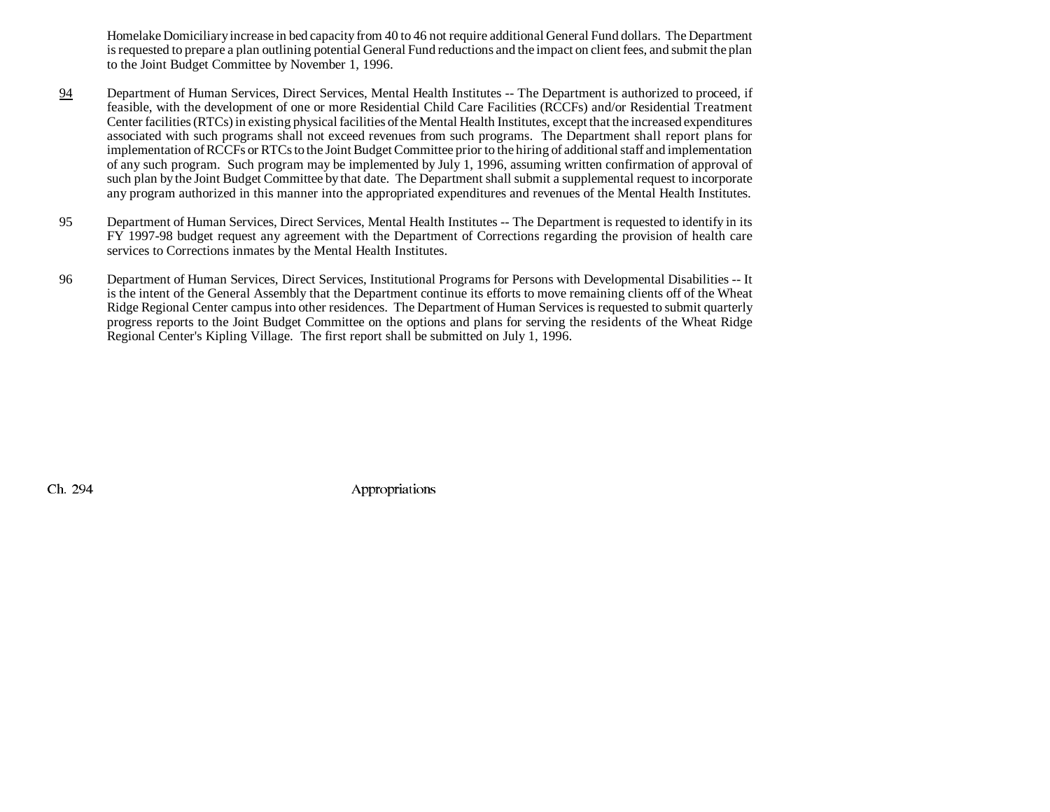Homelake Domiciliary increase in bed capacity from 40 to 46 not require additional General Fund dollars. The Department is requested to prepare a plan outlining potential General Fund reductions and the impact on client fees, and submit the plan to the Joint Budget Committee by November 1, 1996.

- 94 Department of Human Services, Direct Services, Mental Health Institutes -- The Department is authorized to proceed, if feasible, with the development of one or more Residential Child Care Facilities (RCCFs) and/or Residential Treatment Center facilities (RTCs) in existing physical facilities of the Mental Health Institutes, except that the increased expenditures associated with such programs shall not exceed revenues from such programs. The Department shall report plans for implementation of RCCFs or RTCs to the Joint Budget Committee prior to the hiring of additional staff and implementation of any such program. Such program may be implemented by July 1, 1996, assuming written confirmation of approval of such plan by the Joint Budget Committee by that date. The Department shall submit a supplemental request to incorporate any program authorized in this manner into the appropriated expenditures and revenues of the Mental Health Institutes.
- 95 Department of Human Services, Direct Services, Mental Health Institutes -- The Department is requested to identify in its FY 1997-98 budget request any agreement with the Department of Corrections regarding the provision of health care services to Corrections inmates by the Mental Health Institutes.
- 96 Department of Human Services, Direct Services, Institutional Programs for Persons with Developmental Disabilities -- It is the intent of the General Assembly that the Department continue its efforts to move remaining clients off of the Wheat Ridge Regional Center campus into other residences. The Department of Human Services is requested to submit quarterly progress reports to the Joint Budget Committee on the options and plans for serving the residents of the Wheat Ridge Regional Center's Kipling Village. The first report shall be submitted on July 1, 1996.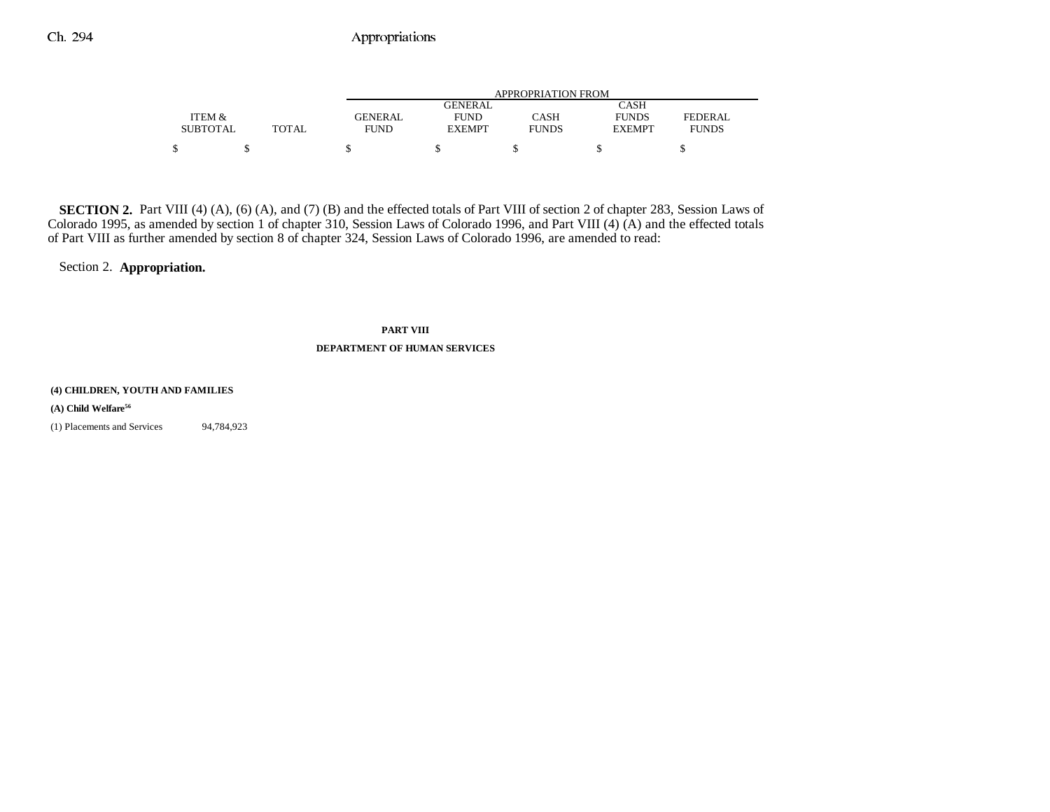|                 |        | APPROPRIATION FROM |               |              |               |              |
|-----------------|--------|--------------------|---------------|--------------|---------------|--------------|
|                 |        |                    | GENERAL       |              | CASH          |              |
| ITEM &          |        | GENERAL            | <b>FUND</b>   | CASH         | <b>FUNDS</b>  | FEDERAL      |
| <b>SUBTOTAL</b> | TOTAL. | <b>FUND</b>        | <b>EXEMPT</b> | <b>FUNDS</b> | <b>EXEMPT</b> | <b>FUNDS</b> |
| \$              |        |                    |               |              |               |              |

**SECTION 2.** Part VIII (4) (A), (6) (A), and (7) (B) and the effected totals of Part VIII of section 2 of chapter 283, Session Laws of Colorado 1995, as amended by section 1 of chapter 310, Session Laws of Colorado 1996, and Part VIII (4) (A) and the effected totals of Part VIII as further amended by section 8 of chapter 324, Session Laws of Colorado 1996, are amended to read:

Section 2. **Appropriation.**

**PART VIII DEPARTMENT OF HUMAN SERVICES**

#### **(4) CHILDREN, YOUTH AND FAMILIES**

#### **(A) Child Welfare56**

(1) Placements and Services 94,784,923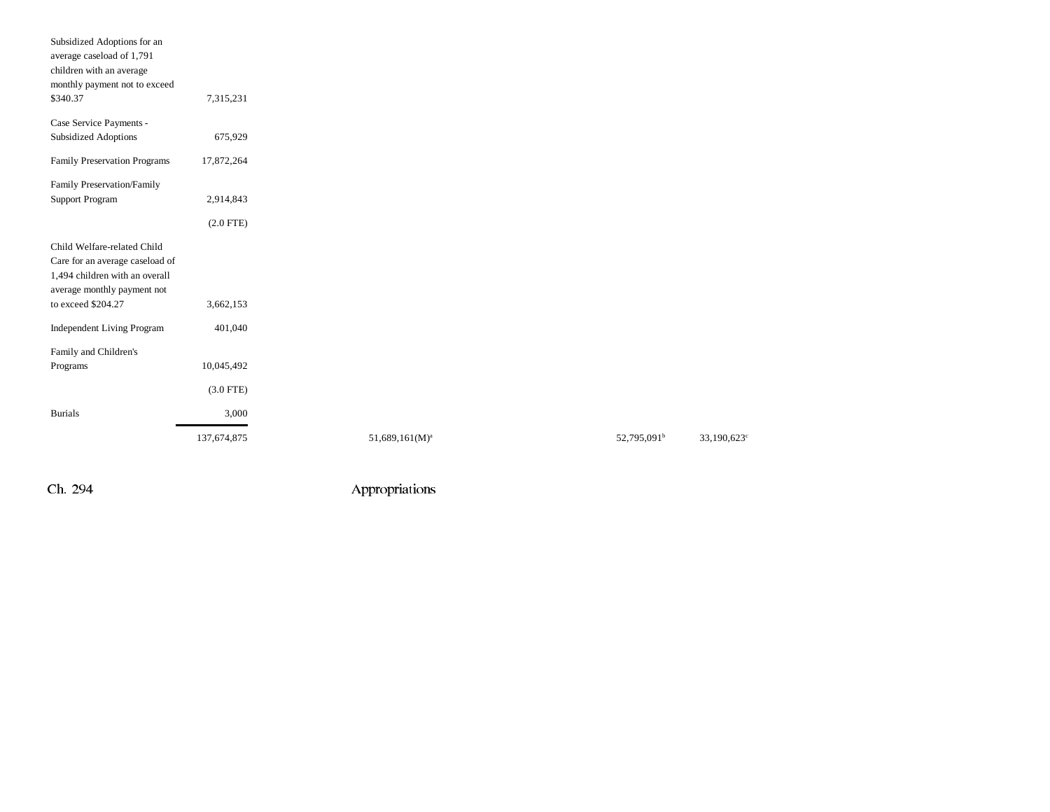| Subsidized Adoptions for an<br>average caseload of 1,791          |             |                   |                         |  |
|-------------------------------------------------------------------|-------------|-------------------|-------------------------|--|
| children with an average                                          |             |                   |                         |  |
| monthly payment not to exceed<br>\$340.37                         | 7,315,231   |                   |                         |  |
| Case Service Payments -                                           |             |                   |                         |  |
| <b>Subsidized Adoptions</b>                                       | 675,929     |                   |                         |  |
| Family Preservation Programs                                      | 17,872,264  |                   |                         |  |
| Family Preservation/Family                                        |             |                   |                         |  |
| <b>Support Program</b>                                            | 2,914,843   |                   |                         |  |
|                                                                   | $(2.0$ FTE) |                   |                         |  |
| Child Welfare-related Child                                       |             |                   |                         |  |
| Care for an average caseload of<br>1,494 children with an overall |             |                   |                         |  |
| average monthly payment not                                       |             |                   |                         |  |
| to exceed \$204.27                                                | 3,662,153   |                   |                         |  |
| Independent Living Program                                        | 401,040     |                   |                         |  |
| Family and Children's                                             |             |                   |                         |  |
| Programs                                                          | 10,045,492  |                   |                         |  |
|                                                                   | $(3.0$ FTE) |                   |                         |  |
| <b>Burials</b>                                                    | 3,000       |                   |                         |  |
|                                                                   | 137,674,875 | $51,689,161(M)^a$ | 52,795,091 <sup>b</sup> |  |
|                                                                   |             |                   |                         |  |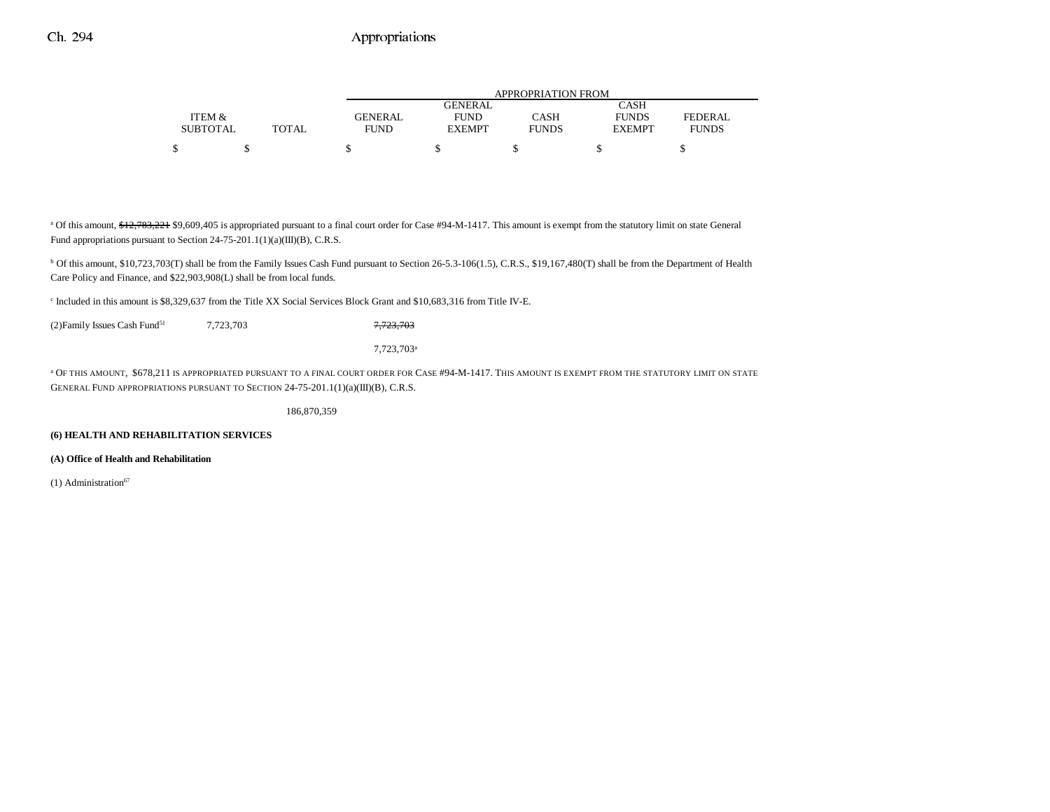|                 |              | APPROPRIATION FROM |                |              |               |              |  |  |  |
|-----------------|--------------|--------------------|----------------|--------------|---------------|--------------|--|--|--|
|                 |              |                    | <b>GENERAL</b> |              | CASH          |              |  |  |  |
| ITEM &          |              | <b>GENERAL</b>     | <b>FUND</b>    | CASH         | <b>FUNDS</b>  | FEDERAL      |  |  |  |
| <b>SUBTOTAL</b> | <b>TOTAL</b> | FUND               | <b>EXEMPT</b>  | <b>FUNDS</b> | <b>EXEMPT</b> | <b>FUNDS</b> |  |  |  |
| Φ               |              |                    |                |              |               |              |  |  |  |

<sup>a</sup> Of this amount, \$12,783,221 \$9,609,405 is appropriated pursuant to a final court order for Case #94-M-1417. This amount is exempt from the statutory limit on state General Fund appropriations pursuant to Section 24-75-201.1(1)(a)(III)(B), C.R.S.

<sup>b</sup> Of this amount, \$10,723,703(T) shall be from the Family Issues Cash Fund pursuant to Section 26-5.3-106(1.5), C.R.S., \$19,167,480(T) shall be from the Department of Health Care Policy and Finance, and \$22,903,908(L) shall be from local funds.

c Included in this amount is \$8,329,637 from the Title XX Social Services Block Grant and \$10,683,316 from Title IV-E.

(2) Family Issues Cash Fund<sup>51</sup> 7,723,703 7,723,703

7,723,703a

a OF THIS AMOUNT, \$678,211 IS APPROPRIATED PURSUANT TO A FINAL COURT ORDER FOR CASE #94-M-1417. THIS AMOUNT IS EXEMPT FROM THE STATUTORY LIMIT ON STATE GENERAL FUND APPROPRIATIONS PURSUANT TO SECTION 24-75-201.1(1)(a)(III)(B), C.R.S.

186,870,359

#### **(6) HEALTH AND REHABILITATION SERVICES**

**(A) Office of Health and Rehabilitation**

(1) Administration $67$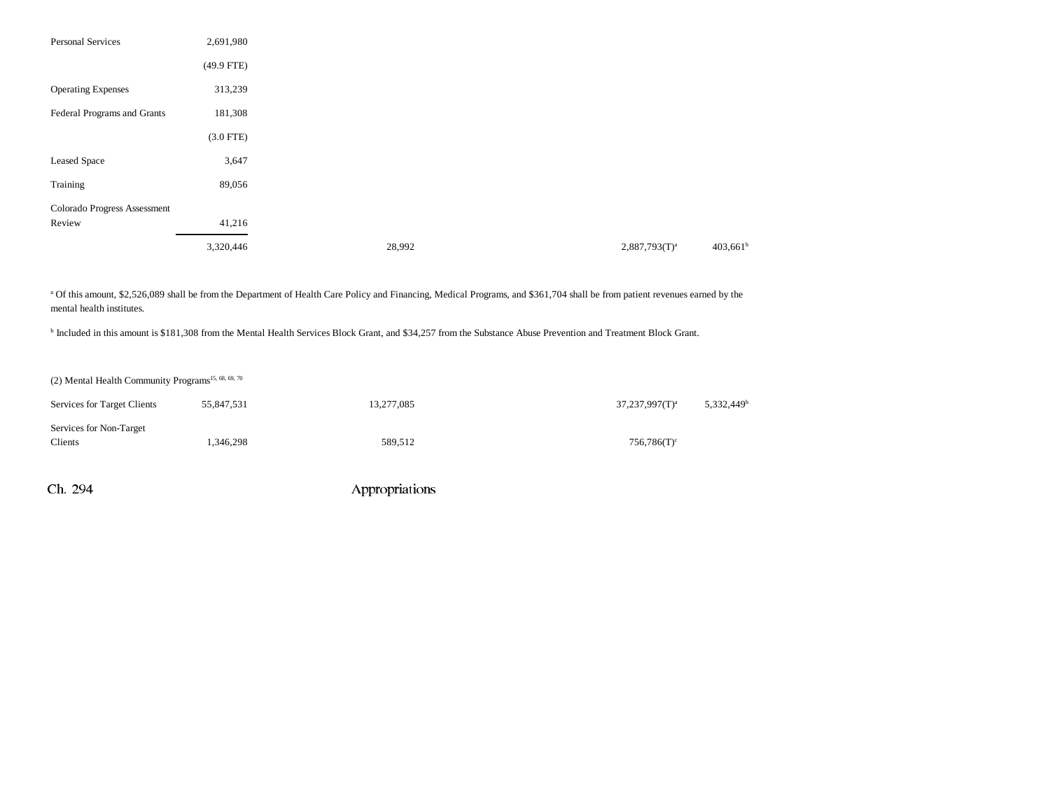| <b>Personal Services</b>     | 2,691,980    |        |                  |             |
|------------------------------|--------------|--------|------------------|-------------|
|                              | $(49.9$ FTE) |        |                  |             |
| <b>Operating Expenses</b>    | 313,239      |        |                  |             |
| Federal Programs and Grants  | 181,308      |        |                  |             |
|                              | $(3.0$ FTE)  |        |                  |             |
| Leased Space                 | 3,647        |        |                  |             |
| Training                     | 89,056       |        |                  |             |
| Colorado Progress Assessment |              |        |                  |             |
| Review                       | 41,216       |        |                  |             |
|                              | 3,320,446    | 28,992 | $2,887,793(T)^a$ | $403,661^b$ |

a Of this amount, \$2,526,089 shall be from the Department of Health Care Policy and Financing, Medical Programs, and \$361,704 shall be from patient revenues earned by the mental health institutes.

b Included in this amount is \$181,308 from the Mental Health Services Block Grant, and \$34,257 from the Substance Abuse Prevention and Treatment Block Grant.

| (2) Mental Health Community Programs <sup>15, 68, 69, 70</sup> |            |            |                           |                        |
|----------------------------------------------------------------|------------|------------|---------------------------|------------------------|
| Services for Target Clients                                    | 55,847,531 | 13,277,085 | $37,237,997(T)^a$         | 5,332,449 <sup>t</sup> |
| Services for Non-Target<br>Clients                             | 1.346.298  | 589,512    | $756,786(T)$ <sup>c</sup> |                        |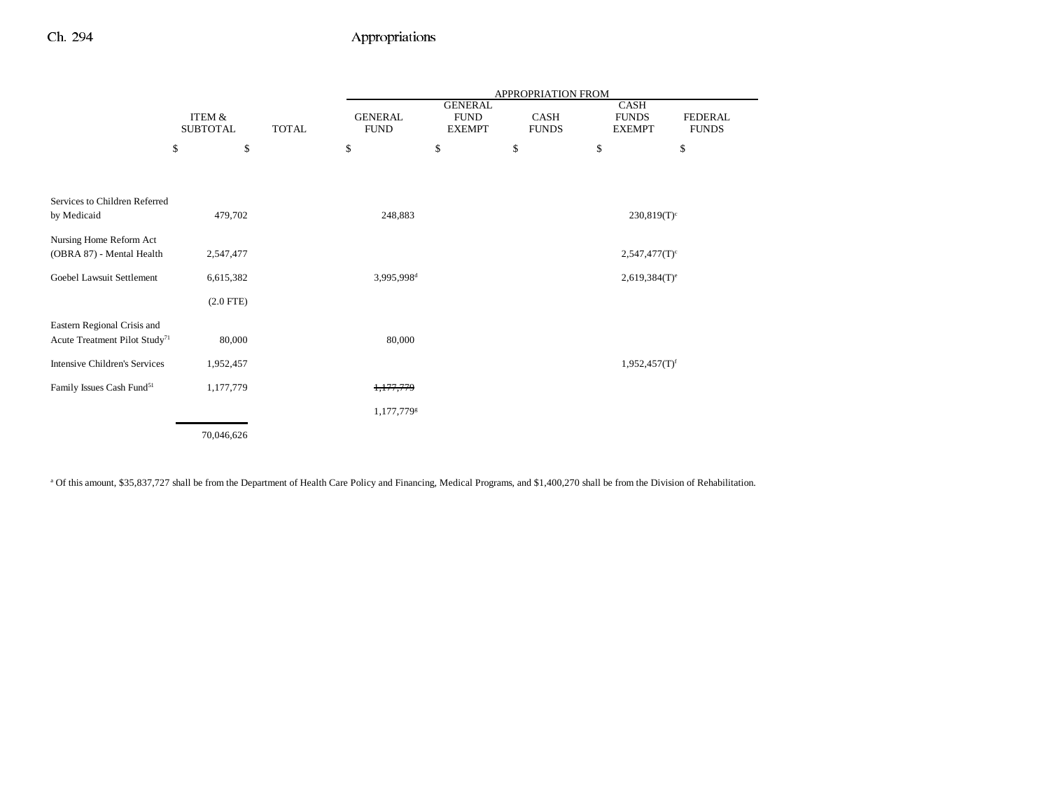|                                           |                 |              | APPROPRIATION FROM     |                               |              |                             |                |  |  |
|-------------------------------------------|-----------------|--------------|------------------------|-------------------------------|--------------|-----------------------------|----------------|--|--|
|                                           | ITEM &          |              |                        | <b>GENERAL</b><br><b>FUND</b> | CASH         | CASH<br><b>FUNDS</b>        | <b>FEDERAL</b> |  |  |
|                                           | <b>SUBTOTAL</b> | <b>TOTAL</b> | <b>FUND</b>            | <b>EXEMPT</b>                 | <b>FUNDS</b> | <b>EXEMPT</b>               | <b>FUNDS</b>   |  |  |
|                                           | \$<br>\$        |              | \$                     | \$                            | \$           | \$                          | \$             |  |  |
|                                           |                 |              |                        |                               |              |                             |                |  |  |
| Services to Children Referred             |                 |              |                        |                               |              |                             |                |  |  |
| by Medicaid                               | 479,702         |              | 248,883                |                               |              | $230,819(T)^c$              |                |  |  |
| Nursing Home Reform Act                   |                 |              |                        |                               |              |                             |                |  |  |
| (OBRA 87) - Mental Health                 | 2,547,477       |              |                        |                               |              | $2,547,477(T)$ <sup>c</sup> |                |  |  |
| Goebel Lawsuit Settlement                 | 6,615,382       |              | 3,995,998 <sup>d</sup> |                               |              | $2,619,384(T)$ <sup>e</sup> |                |  |  |
|                                           | $(2.0$ FTE)     |              |                        |                               |              |                             |                |  |  |
| Eastern Regional Crisis and               |                 |              |                        |                               |              |                             |                |  |  |
| Acute Treatment Pilot Study <sup>71</sup> | 80,000          |              | 80,000                 |                               |              |                             |                |  |  |
| <b>Intensive Children's Services</b>      | 1,952,457       |              |                        |                               |              | $1,952,457(T)$ <sup>f</sup> |                |  |  |
| Family Issues Cash Fund <sup>51</sup>     | 1,177,779       |              | 1,177,779              |                               |              |                             |                |  |  |
|                                           |                 |              | 1,177,7798             |                               |              |                             |                |  |  |
|                                           | 70,046,626      |              |                        |                               |              |                             |                |  |  |

<sup>a</sup> Of this amount, \$35,837,727 shall be from the Department of Health Care Policy and Financing, Medical Programs, and \$1,400,270 shall be from the Division of Rehabilitation.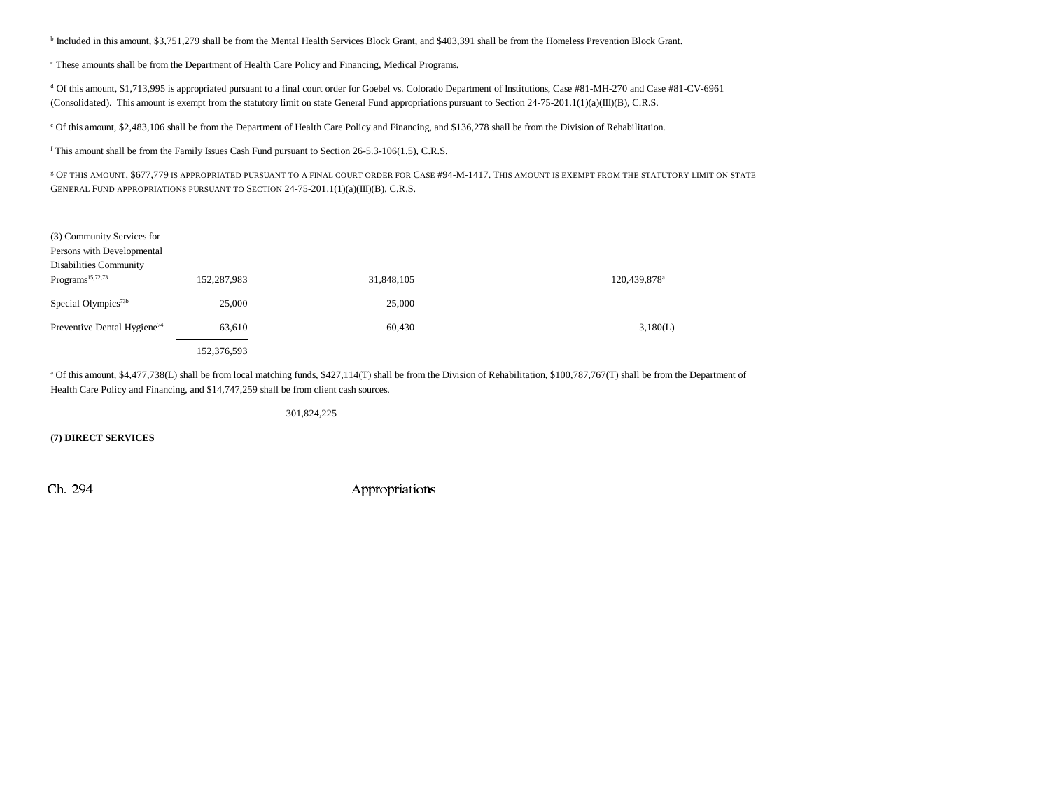b Included in this amount, \$3,751,279 shall be from the Mental Health Services Block Grant, and \$403,391 shall be from the Homeless Prevention Block Grant.

c These amounts shall be from the Department of Health Care Policy and Financing, Medical Programs.

d Of this amount, \$1,713,995 is appropriated pursuant to a final court order for Goebel vs. Colorado Department of Institutions, Case #81-MH-270 and Case #81-CV-6961 (Consolidated). This amount is exempt from the statutory limit on state General Fund appropriations pursuant to Section 24-75-201.1(1)(a)(III)(B), C.R.S.

e Of this amount, \$2,483,106 shall be from the Department of Health Care Policy and Financing, and \$136,278 shall be from the Division of Rehabilitation.

f This amount shall be from the Family Issues Cash Fund pursuant to Section 26-5.3-106(1.5), C.R.S.

g OF THIS AMOUNT, \$677,779 IS APPROPRIATED PURSUANT TO A FINAL COURT ORDER FOR CASE #94-M-1417. THIS AMOUNT IS EXEMPT FROM THE STATUTORY LIMIT ON STATE GENERAL FUND APPROPRIATIONS PURSUANT TO SECTION 24-75-201.1(1)(a)(III)(B), C.R.S.

| (3) Community Services for<br>Persons with Developmental<br>Disabilities Community |             |            |                          |
|------------------------------------------------------------------------------------|-------------|------------|--------------------------|
| Programs <sup>15,72,73</sup>                                                       | 152,287,983 | 31,848,105 | 120,439,878 <sup>a</sup> |
| Special Olympics <sup>73b</sup>                                                    | 25,000      | 25,000     |                          |
| Preventive Dental Hygiene <sup>74</sup>                                            | 63,610      | 60,430     | 3,180(L)                 |
|                                                                                    | 152.376.593 |            |                          |

<sup>a</sup> Of this amount, \$4,477,738(L) shall be from local matching funds, \$427,114(T) shall be from the Division of Rehabilitation, \$100,787,767(T) shall be from the Department of Health Care Policy and Financing, and \$14,747,259 shall be from client cash sources.

301,824,225

**(7) DIRECT SERVICES**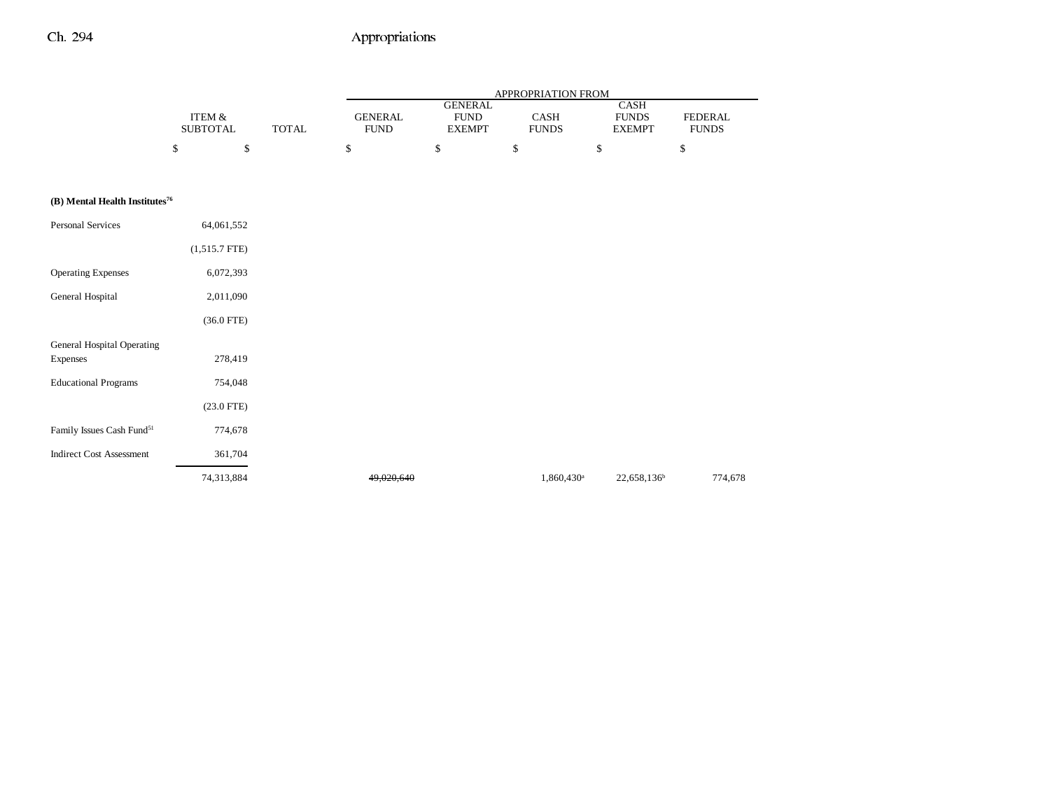|                                            |                           |              | <b>APPROPRIATION FROM</b>     |                                                |                        |                                              |                         |  |  |
|--------------------------------------------|---------------------------|--------------|-------------------------------|------------------------------------------------|------------------------|----------------------------------------------|-------------------------|--|--|
|                                            | ITEM &<br><b>SUBTOTAL</b> | <b>TOTAL</b> | <b>GENERAL</b><br><b>FUND</b> | <b>GENERAL</b><br><b>FUND</b><br><b>EXEMPT</b> | CASH<br><b>FUNDS</b>   | <b>CASH</b><br><b>FUNDS</b><br><b>EXEMPT</b> | FEDERAL<br><b>FUNDS</b> |  |  |
|                                            | \$<br>\$                  |              | \$                            | \$                                             | \$                     | \$                                           | \$                      |  |  |
|                                            |                           |              |                               |                                                |                        |                                              |                         |  |  |
| (B) Mental Health Institutes <sup>76</sup> |                           |              |                               |                                                |                        |                                              |                         |  |  |
| <b>Personal Services</b>                   | 64,061,552                |              |                               |                                                |                        |                                              |                         |  |  |
|                                            | $(1,515.7$ FTE)           |              |                               |                                                |                        |                                              |                         |  |  |
| <b>Operating Expenses</b>                  | 6,072,393                 |              |                               |                                                |                        |                                              |                         |  |  |
| General Hospital                           | 2,011,090                 |              |                               |                                                |                        |                                              |                         |  |  |
|                                            | $(36.0$ FTE)              |              |                               |                                                |                        |                                              |                         |  |  |
| General Hospital Operating                 |                           |              |                               |                                                |                        |                                              |                         |  |  |
| Expenses                                   | 278,419                   |              |                               |                                                |                        |                                              |                         |  |  |
| <b>Educational Programs</b>                | 754,048                   |              |                               |                                                |                        |                                              |                         |  |  |
|                                            | $(23.0$ FTE)              |              |                               |                                                |                        |                                              |                         |  |  |
| Family Issues Cash Fund <sup>51</sup>      | 774,678                   |              |                               |                                                |                        |                                              |                         |  |  |
| <b>Indirect Cost Assessment</b>            | 361,704                   |              |                               |                                                |                        |                                              |                         |  |  |
|                                            | 74,313,884                |              | 49.020.640                    |                                                | 1,860,430 <sup>a</sup> | 22,658,136 <sup>b</sup>                      | 774,678                 |  |  |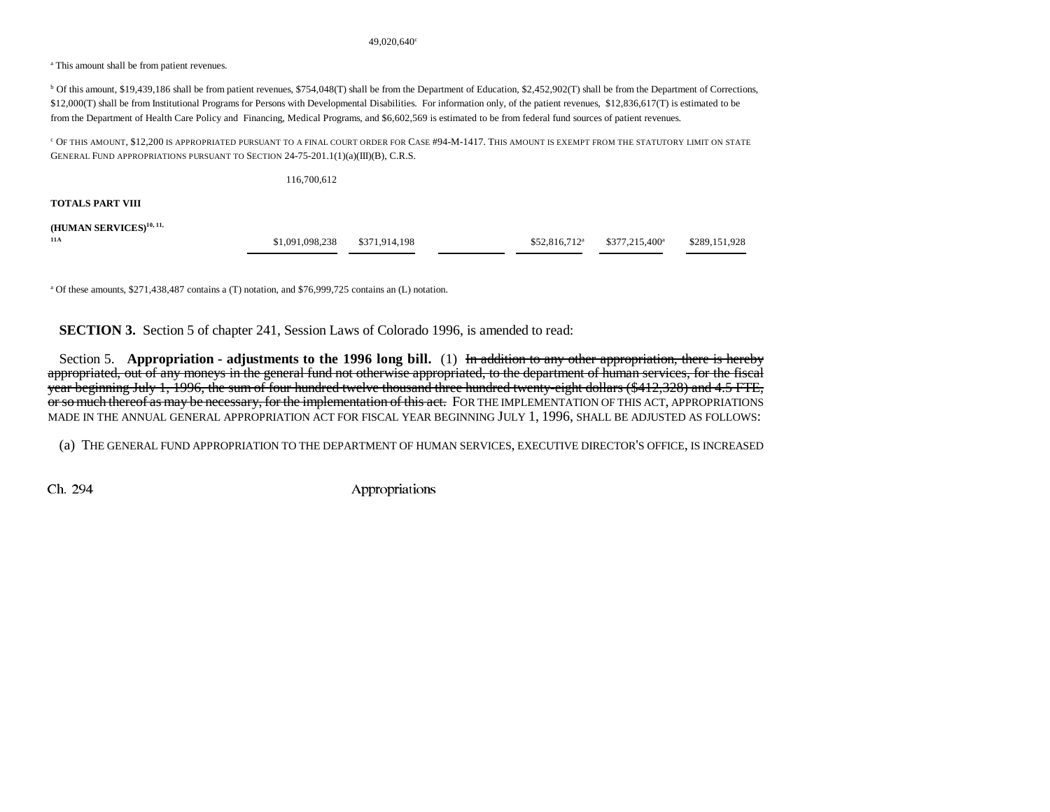#### 49,020,640<sup>c</sup>

<sup>a</sup> This amount shall be from patient revenues.

b Of this amount, \$19,439,186 shall be from patient revenues, \$754,048(T) shall be from the Department of Education, \$2,452,902(T) shall be from the Department of Corrections, \$12,000(T) shall be from Institutional Programs for Persons with Developmental Disabilities. For information only, of the patient revenues, \$12,836,617(T) is estimated to be from the Department of Health Care Policy and Financing, Medical Programs, and \$6,602,569 is estimated to be from federal fund sources of patient revenues.

 $^{\rm c}$  Of this amount, \$12,200 is appropriated pursuant to a final court order for Case #94-M-1417. This amount is exempt from the statutory limit on state GENERAL FUND APPROPRIATIONS PURSUANT TO SECTION 24-75-201.1(1)(a)(III)(B), C.R.S.

|                                     | 116,700,612     |               |                 |                            |               |
|-------------------------------------|-----------------|---------------|-----------------|----------------------------|---------------|
| TOTALS PART VIII                    |                 |               |                 |                            |               |
| (HUMAN SERVICES) <sup>10, 11,</sup> |                 |               |                 |                            |               |
| 11A                                 | \$1,091,098,238 | \$371,914,198 | $$52,816,712^a$ | \$377,215,400 <sup>a</sup> | \$289,151,928 |

a Of these amounts, \$271,438,487 contains a (T) notation, and \$76,999,725 contains an (L) notation.

**SECTION 3.** Section 5 of chapter 241, Session Laws of Colorado 1996, is amended to read:

Section 5. **Appropriation - adjustments to the 1996 long bill.** (1) In addition to any other appropriation, there is hereby appropriated, out of any moneys in the general fund not otherwise appropriated, to the department of human services, for the fiscal year beginning July 1, 1996, the sum of four hundred twelve thousand three hundred twenty-eight dollars (\$412,328) and 4.5 FTE, or so much thereof as may be necessary, for the implementation of this act. FOR THE IMPLEMENTATION OF THIS ACT, APPROPRIATIONS MADE IN THE ANNUAL GENERAL APPROPRIATION ACT FOR FISCAL YEAR BEGINNING JULY 1, 1996, SHALL BE ADJUSTED AS FOLLOWS:

(a) THE GENERAL FUND APPROPRIATION TO THE DEPARTMENT OF HUMAN SERVICES, EXECUTIVE DIRECTOR'S OFFICE, IS INCREASED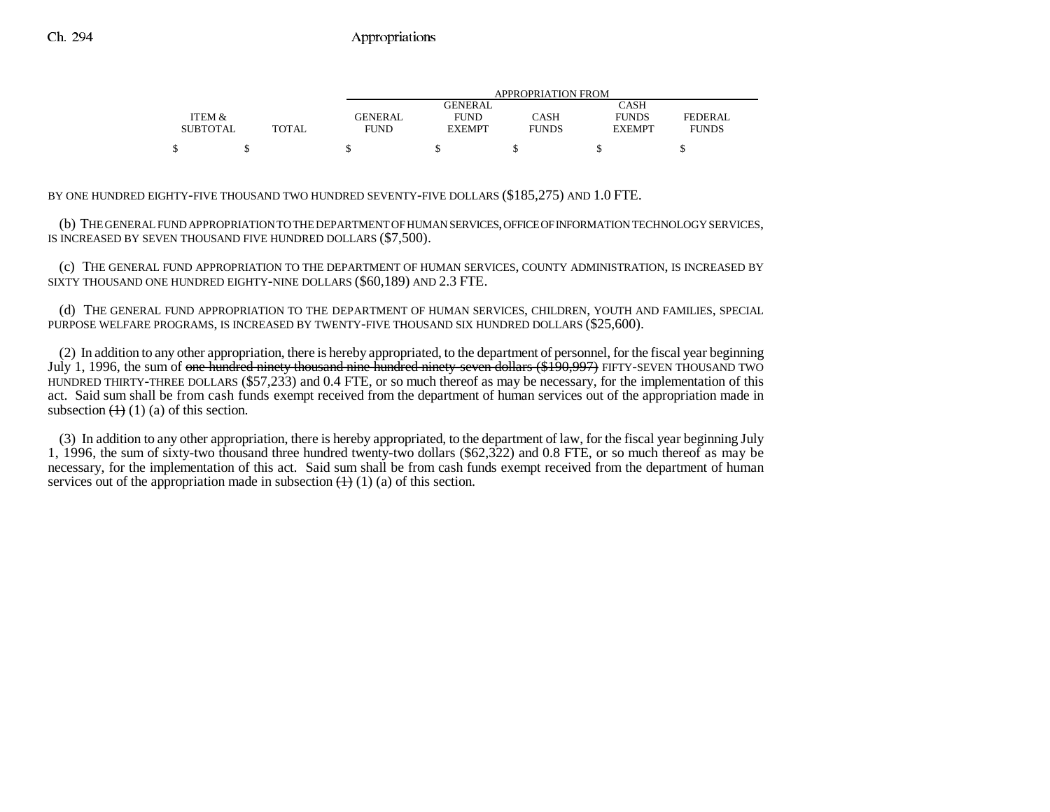|                 |       |             | APPROPRIATION FROM |              |               |                |  |  |  |  |
|-----------------|-------|-------------|--------------------|--------------|---------------|----------------|--|--|--|--|
|                 |       |             | <b>GENERAL</b>     |              | CASH          |                |  |  |  |  |
| ITEM &          |       | GENERAL     | <b>FUND</b>        | CASH         | <b>FUNDS</b>  | <b>FEDERAL</b> |  |  |  |  |
| <b>SUBTOTAL</b> | TOTAL | <b>FUND</b> | <b>EXEMPT</b>      | <b>FUNDS</b> | <b>EXEMPT</b> | <b>FUNDS</b>   |  |  |  |  |
|                 |       |             |                    |              |               |                |  |  |  |  |

BY ONE HUNDRED EIGHTY-FIVE THOUSAND TWO HUNDRED SEVENTY-FIVE DOLLARS (\$185,275) AND 1.0 FTE.

(b) THE GENERAL FUND APPROPRIATION TO THE DEPARTMENT OF HUMAN SERVICES, OFFICE OF INFORMATION TECHNOLOGY SERVICES, IS INCREASED BY SEVEN THOUSAND FIVE HUNDRED DOLLARS (\$7,500).

(c) THE GENERAL FUND APPROPRIATION TO THE DEPARTMENT OF HUMAN SERVICES, COUNTY ADMINISTRATION, IS INCREASED BY SIXTY THOUSAND ONE HUNDRED EIGHTY-NINE DOLLARS (\$60,189) AND 2.3 FTE.

(d) THE GENERAL FUND APPROPRIATION TO THE DEPARTMENT OF HUMAN SERVICES, CHILDREN, YOUTH AND FAMILIES, SPECIAL PURPOSE WELFARE PROGRAMS, IS INCREASED BY TWENTY-FIVE THOUSAND SIX HUNDRED DOLLARS (\$25,600).

(2) In addition to any other appropriation, there is hereby appropriated, to the department of personnel, for the fiscal year beginning July 1, 1996, the sum of one hundred ninety thousand nine hundred ninety-seven dollars (\$190,997) FIFTY-SEVEN THOUSAND TWO HUNDRED THIRTY-THREE DOLLARS (\$57,233) and 0.4 FTE, or so much thereof as may be necessary, for the implementation of this act. Said sum shall be from cash funds exempt received from the department of human services out of the appropriation made in subsection  $(1)(1)$  (a) of this section.

(3) In addition to any other appropriation, there is hereby appropriated, to the department of law, for the fiscal year beginning July 1, 1996, the sum of sixty-two thousand three hundred twenty-two dollars (\$62,322) and 0.8 FTE, or so much thereof as may be necessary, for the implementation of this act. Said sum shall be from cash funds exempt received from the department of human services out of the appropriation made in subsection  $(1)(1)(a)$  of this section.